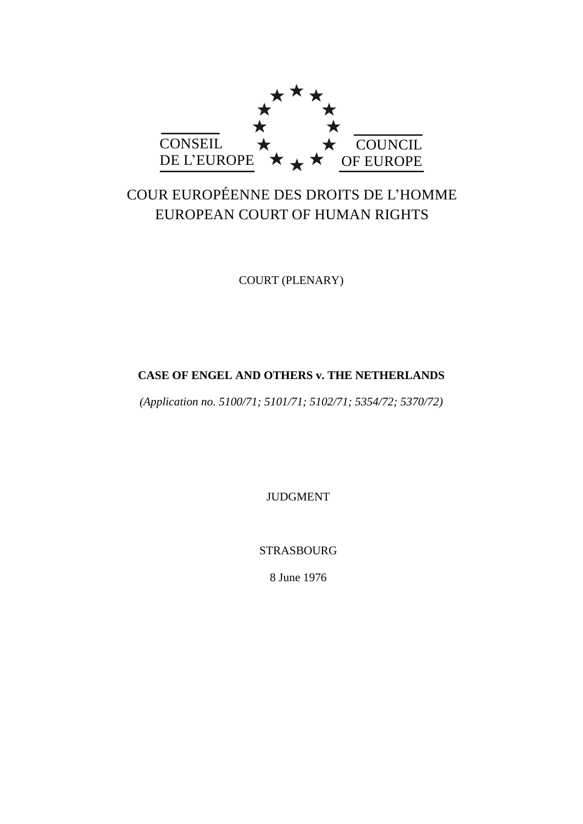

# COUR EUROPÉENNE DES DROITS DE L'HOMME EUROPEAN COURT OF HUMAN RIGHTS

COURT (PLENARY)

## **CASE OF ENGEL AND OTHERS v. THE NETHERLANDS**

*(Application no. 5100/71; 5101/71; 5102/71; 5354/72; 5370/72)*

JUDGMENT

STRASBOURG

8 June 1976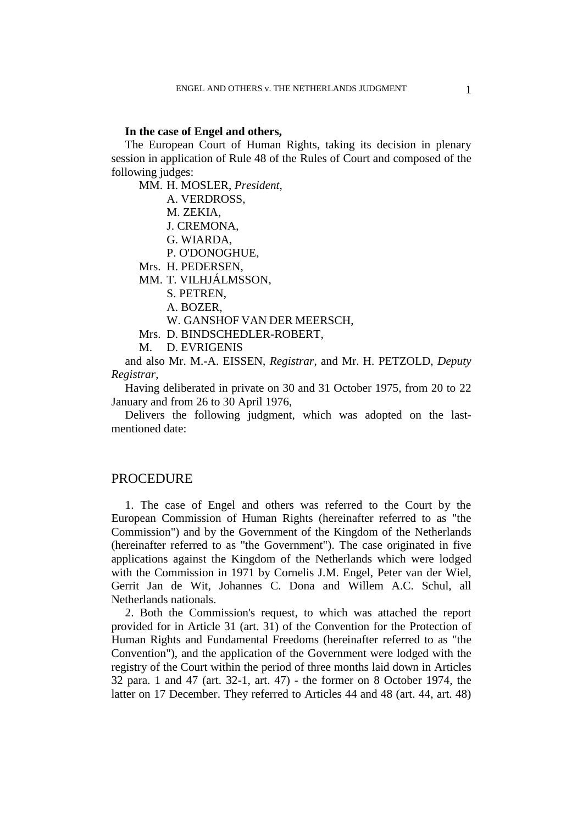#### **In the case of Engel and others,**

The European Court of Human Rights, taking its decision in plenary session in application of Rule 48 of the Rules of Court and composed of the following judges:

MM. H. MOSLER, *President*,

A. VERDROSS,

M. ZEKIA,

J. CREMONA,

G. WIARDA,

P. O'DONOGHUE,

Mrs. H. PEDERSEN,

MM. T. VILHJÁLMSSON,

S. PETREN,

A. BOZER,

W. GANSHOF VAN DER MEERSCH,

Mrs. D. BINDSCHEDLER-ROBERT,

M. D. EVRIGENIS

and also Mr. M.-A. EISSEN, *Registrar*, and Mr. H. PETZOLD, *Deputy Registrar*,

Having deliberated in private on 30 and 31 October 1975, from 20 to 22 January and from 26 to 30 April 1976,

Delivers the following judgment, which was adopted on the lastmentioned date:

## **PROCEDURE**

1. The case of Engel and others was referred to the Court by the European Commission of Human Rights (hereinafter referred to as "the Commission") and by the Government of the Kingdom of the Netherlands (hereinafter referred to as "the Government"). The case originated in five applications against the Kingdom of the Netherlands which were lodged with the Commission in 1971 by Cornelis J.M. Engel, Peter van der Wiel, Gerrit Jan de Wit, Johannes C. Dona and Willem A.C. Schul, all Netherlands nationals.

2. Both the Commission's request, to which was attached the report provided for in Article 31 (art. 31) of the Convention for the Protection of Human Rights and Fundamental Freedoms (hereinafter referred to as "the Convention"), and the application of the Government were lodged with the registry of the Court within the period of three months laid down in Articles 32 para. 1 and 47 (art. 32-1, art. 47) - the former on 8 October 1974, the latter on 17 December. They referred to Articles 44 and 48 (art. 44, art. 48)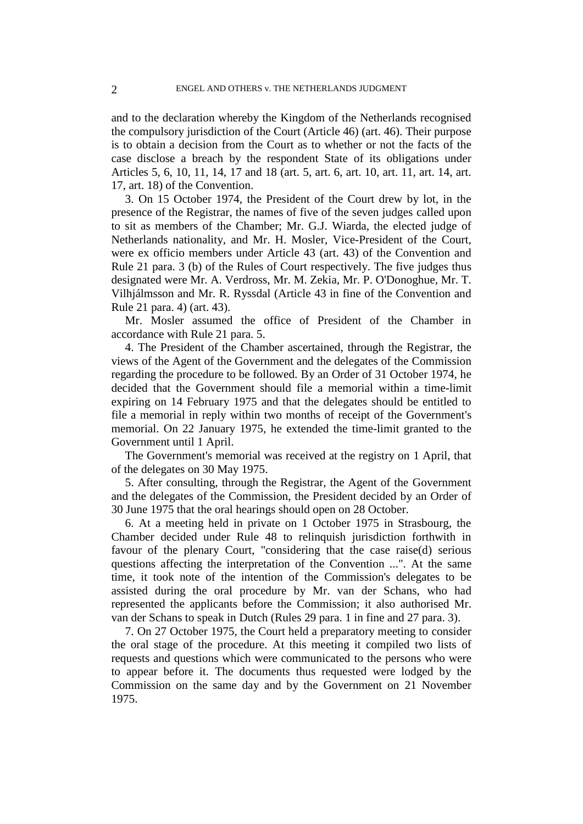and to the declaration whereby the Kingdom of the Netherlands recognised the compulsory jurisdiction of the Court (Article 46) (art. 46). Their purpose is to obtain a decision from the Court as to whether or not the facts of the case disclose a breach by the respondent State of its obligations under Articles 5, 6, 10, 11, 14, 17 and 18 (art. 5, art. 6, art. 10, art. 11, art. 14, art. 17, art. 18) of the Convention.

3. On 15 October 1974, the President of the Court drew by lot, in the presence of the Registrar, the names of five of the seven judges called upon to sit as members of the Chamber; Mr. G.J. Wiarda, the elected judge of Netherlands nationality, and Mr. H. Mosler, Vice-President of the Court, were ex officio members under Article 43 (art. 43) of the Convention and Rule 21 para. 3 (b) of the Rules of Court respectively. The five judges thus designated were Mr. A. Verdross, Mr. M. Zekia, Mr. P. O'Donoghue, Mr. T. Vilhjálmsson and Mr. R. Ryssdal (Article 43 in fine of the Convention and Rule 21 para. 4) (art. 43).

Mr. Mosler assumed the office of President of the Chamber in accordance with Rule 21 para. 5.

4. The President of the Chamber ascertained, through the Registrar, the views of the Agent of the Government and the delegates of the Commission regarding the procedure to be followed. By an Order of 31 October 1974, he decided that the Government should file a memorial within a time-limit expiring on 14 February 1975 and that the delegates should be entitled to file a memorial in reply within two months of receipt of the Government's memorial. On 22 January 1975, he extended the time-limit granted to the Government until 1 April.

The Government's memorial was received at the registry on 1 April, that of the delegates on 30 May 1975.

5. After consulting, through the Registrar, the Agent of the Government and the delegates of the Commission, the President decided by an Order of 30 June 1975 that the oral hearings should open on 28 October.

6. At a meeting held in private on 1 October 1975 in Strasbourg, the Chamber decided under Rule 48 to relinquish jurisdiction forthwith in favour of the plenary Court, "considering that the case raise(d) serious questions affecting the interpretation of the Convention ...". At the same time, it took note of the intention of the Commission's delegates to be assisted during the oral procedure by Mr. van der Schans, who had represented the applicants before the Commission; it also authorised Mr. van der Schans to speak in Dutch (Rules 29 para. 1 in fine and 27 para. 3).

7. On 27 October 1975, the Court held a preparatory meeting to consider the oral stage of the procedure. At this meeting it compiled two lists of requests and questions which were communicated to the persons who were to appear before it. The documents thus requested were lodged by the Commission on the same day and by the Government on 21 November 1975.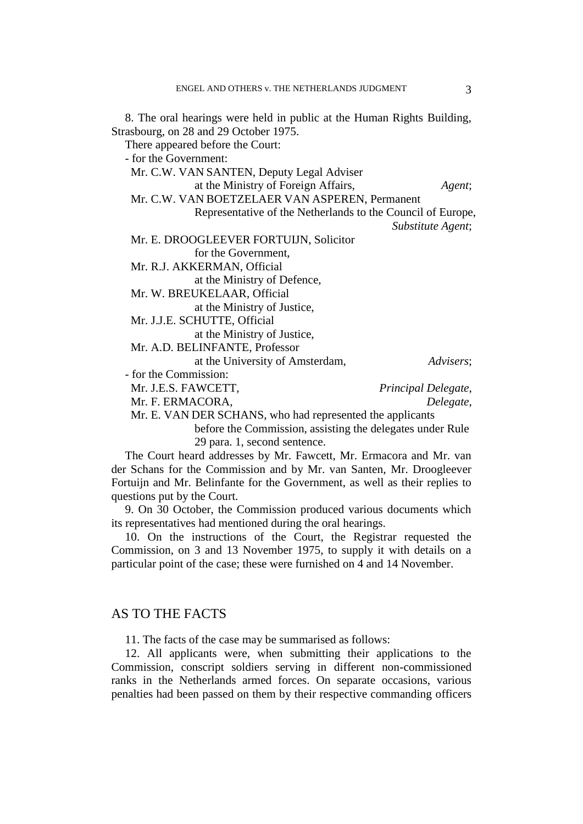8. The oral hearings were held in public at the Human Rights Building, Strasbourg, on 28 and 29 October 1975. There appeared before the Court: - for the Government: Mr. C.W. VAN SANTEN, Deputy Legal Adviser at the Ministry of Foreign Affairs, *Agent*; Mr. C.W. VAN BOETZELAER VAN ASPEREN, Permanent Representative of the Netherlands to the Council of Europe, *Substitute Agent*; Mr. E. DROOGLEEVER FORTUIJN, Solicitor for the Government, Mr. R.J. AKKERMAN, Official at the Ministry of Defence, Mr. W. BREUKELAAR, Official at the Ministry of Justice, Mr. J.J.E. SCHUTTE, Official at the Ministry of Justice, Mr. A.D. BELINFANTE, Professor at the University of Amsterdam, *Advisers*; - for the Commission: Mr. J.E.S. FAWCETT, *Principal Delegate*, Mr. F. ERMACORA, *Delegate,* Mr. E. VAN DER SCHANS, who had represented the applicants before the Commission, assisting the delegates under Rule 29 para. 1, second sentence.

The Court heard addresses by Mr. Fawcett, Mr. Ermacora and Mr. van der Schans for the Commission and by Mr. van Santen, Mr. Droogleever Fortuijn and Mr. Belinfante for the Government, as well as their replies to questions put by the Court.

9. On 30 October, the Commission produced various documents which its representatives had mentioned during the oral hearings.

10. On the instructions of the Court, the Registrar requested the Commission, on 3 and 13 November 1975, to supply it with details on a particular point of the case; these were furnished on 4 and 14 November.

## AS TO THE FACTS

11. The facts of the case may be summarised as follows:

12. All applicants were, when submitting their applications to the Commission, conscript soldiers serving in different non-commissioned ranks in the Netherlands armed forces. On separate occasions, various penalties had been passed on them by their respective commanding officers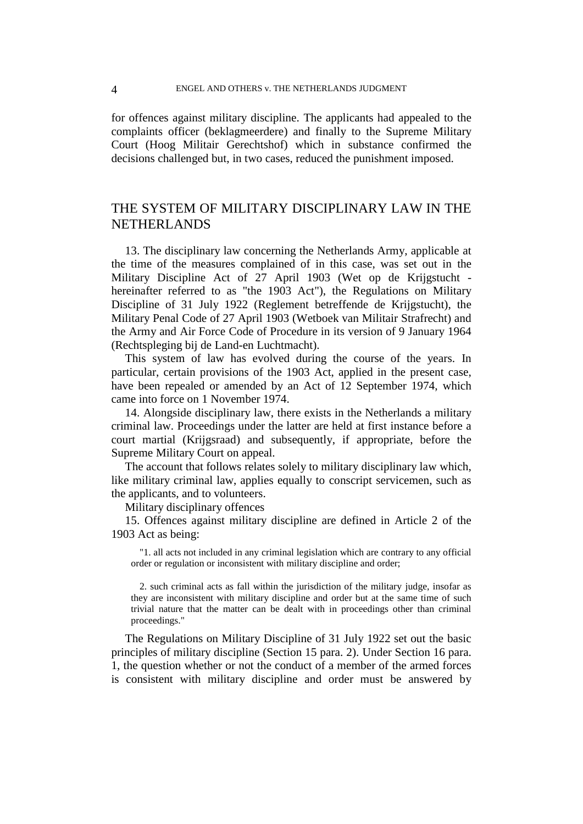for offences against military discipline. The applicants had appealed to the complaints officer (beklagmeerdere) and finally to the Supreme Military Court (Hoog Militair Gerechtshof) which in substance confirmed the decisions challenged but, in two cases, reduced the punishment imposed.

## THE SYSTEM OF MILITARY DISCIPLINARY LAW IN THE NETHERLANDS

13. The disciplinary law concerning the Netherlands Army, applicable at the time of the measures complained of in this case, was set out in the Military Discipline Act of 27 April 1903 (Wet op de Krijgstucht hereinafter referred to as "the 1903 Act"), the Regulations on Military Discipline of 31 July 1922 (Reglement betreffende de Krijgstucht), the Military Penal Code of 27 April 1903 (Wetboek van Militair Strafrecht) and the Army and Air Force Code of Procedure in its version of 9 January 1964 (Rechtspleging bij de Land-en Luchtmacht).

This system of law has evolved during the course of the years. In particular, certain provisions of the 1903 Act, applied in the present case, have been repealed or amended by an Act of 12 September 1974, which came into force on 1 November 1974.

14. Alongside disciplinary law, there exists in the Netherlands a military criminal law. Proceedings under the latter are held at first instance before a court martial (Krijgsraad) and subsequently, if appropriate, before the Supreme Military Court on appeal.

The account that follows relates solely to military disciplinary law which, like military criminal law, applies equally to conscript servicemen, such as the applicants, and to volunteers.

Military disciplinary offences

15. Offences against military discipline are defined in Article 2 of the 1903 Act as being:

"1. all acts not included in any criminal legislation which are contrary to any official order or regulation or inconsistent with military discipline and order;

2. such criminal acts as fall within the jurisdiction of the military judge, insofar as they are inconsistent with military discipline and order but at the same time of such trivial nature that the matter can be dealt with in proceedings other than criminal proceedings."

The Regulations on Military Discipline of 31 July 1922 set out the basic principles of military discipline (Section 15 para. 2). Under Section 16 para. 1, the question whether or not the conduct of a member of the armed forces is consistent with military discipline and order must be answered by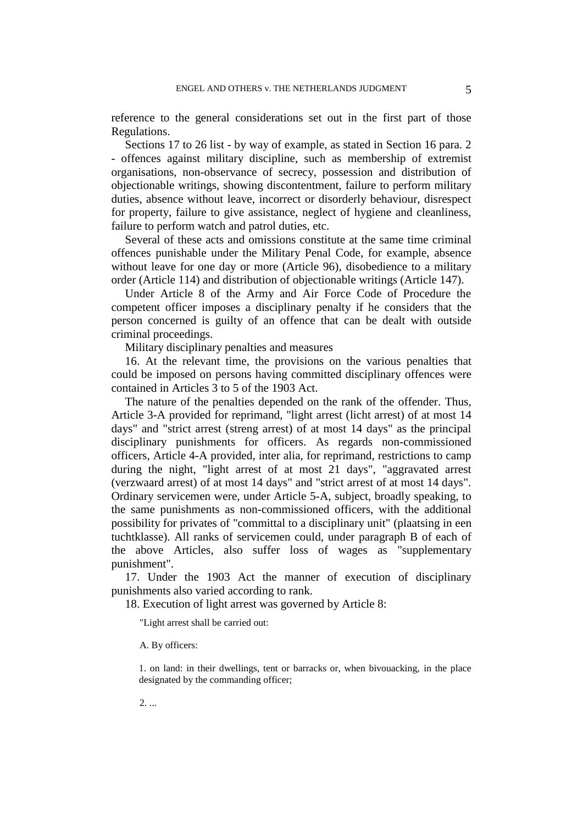reference to the general considerations set out in the first part of those Regulations.

Sections 17 to 26 list - by way of example, as stated in Section 16 para. 2 - offences against military discipline, such as membership of extremist organisations, non-observance of secrecy, possession and distribution of objectionable writings, showing discontentment, failure to perform military duties, absence without leave, incorrect or disorderly behaviour, disrespect for property, failure to give assistance, neglect of hygiene and cleanliness, failure to perform watch and patrol duties, etc.

Several of these acts and omissions constitute at the same time criminal offences punishable under the Military Penal Code, for example, absence without leave for one day or more (Article 96), disobedience to a military order (Article 114) and distribution of objectionable writings (Article 147).

Under Article 8 of the Army and Air Force Code of Procedure the competent officer imposes a disciplinary penalty if he considers that the person concerned is guilty of an offence that can be dealt with outside criminal proceedings.

Military disciplinary penalties and measures

16. At the relevant time, the provisions on the various penalties that could be imposed on persons having committed disciplinary offences were contained in Articles 3 to 5 of the 1903 Act.

The nature of the penalties depended on the rank of the offender. Thus, Article 3-A provided for reprimand, "light arrest (licht arrest) of at most 14 days" and "strict arrest (streng arrest) of at most 14 days" as the principal disciplinary punishments for officers. As regards non-commissioned officers, Article 4-A provided, inter alia, for reprimand, restrictions to camp during the night, "light arrest of at most 21 days", "aggravated arrest (verzwaard arrest) of at most 14 days" and "strict arrest of at most 14 days". Ordinary servicemen were, under Article 5-A, subject, broadly speaking, to the same punishments as non-commissioned officers, with the additional possibility for privates of "committal to a disciplinary unit" (plaatsing in een tuchtklasse). All ranks of servicemen could, under paragraph B of each of the above Articles, also suffer loss of wages as "supplementary punishment".

17. Under the 1903 Act the manner of execution of disciplinary punishments also varied according to rank.

18. Execution of light arrest was governed by Article 8:

"Light arrest shall be carried out:

A. By officers:

1. on land: in their dwellings, tent or barracks or, when bivouacking, in the place designated by the commanding officer;

2. ...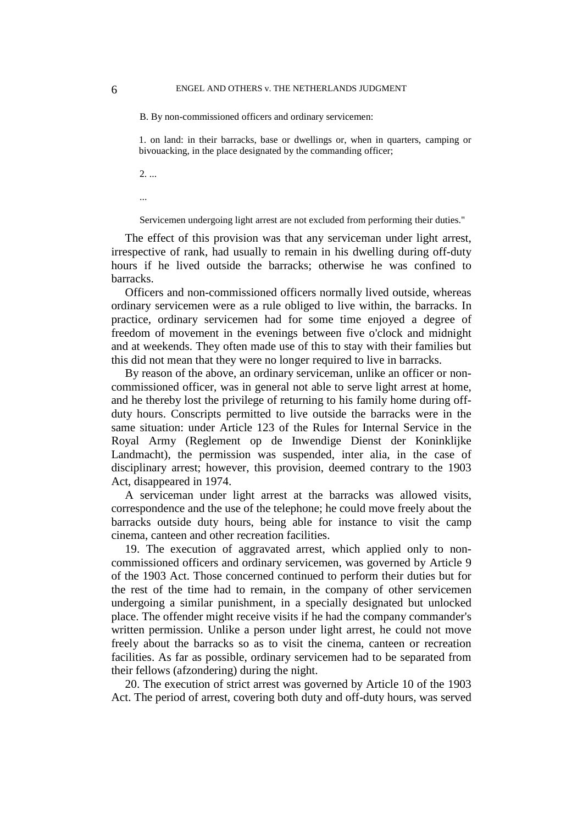B. By non-commissioned officers and ordinary servicemen:

1. on land: in their barracks, base or dwellings or, when in quarters, camping or bivouacking, in the place designated by the commanding officer;

2. ...

...

Servicemen undergoing light arrest are not excluded from performing their duties."

The effect of this provision was that any serviceman under light arrest, irrespective of rank, had usually to remain in his dwelling during off-duty hours if he lived outside the barracks; otherwise he was confined to barracks.

Officers and non-commissioned officers normally lived outside, whereas ordinary servicemen were as a rule obliged to live within, the barracks. In practice, ordinary servicemen had for some time enjoyed a degree of freedom of movement in the evenings between five o'clock and midnight and at weekends. They often made use of this to stay with their families but this did not mean that they were no longer required to live in barracks.

By reason of the above, an ordinary serviceman, unlike an officer or noncommissioned officer, was in general not able to serve light arrest at home, and he thereby lost the privilege of returning to his family home during offduty hours. Conscripts permitted to live outside the barracks were in the same situation: under Article 123 of the Rules for Internal Service in the Royal Army (Reglement op de Inwendige Dienst der Koninklijke Landmacht), the permission was suspended, inter alia, in the case of disciplinary arrest; however, this provision, deemed contrary to the 1903 Act, disappeared in 1974.

A serviceman under light arrest at the barracks was allowed visits, correspondence and the use of the telephone; he could move freely about the barracks outside duty hours, being able for instance to visit the camp cinema, canteen and other recreation facilities.

19. The execution of aggravated arrest, which applied only to noncommissioned officers and ordinary servicemen, was governed by Article 9 of the 1903 Act. Those concerned continued to perform their duties but for the rest of the time had to remain, in the company of other servicemen undergoing a similar punishment, in a specially designated but unlocked place. The offender might receive visits if he had the company commander's written permission. Unlike a person under light arrest, he could not move freely about the barracks so as to visit the cinema, canteen or recreation facilities. As far as possible, ordinary servicemen had to be separated from their fellows (afzondering) during the night.

20. The execution of strict arrest was governed by Article 10 of the 1903 Act. The period of arrest, covering both duty and off-duty hours, was served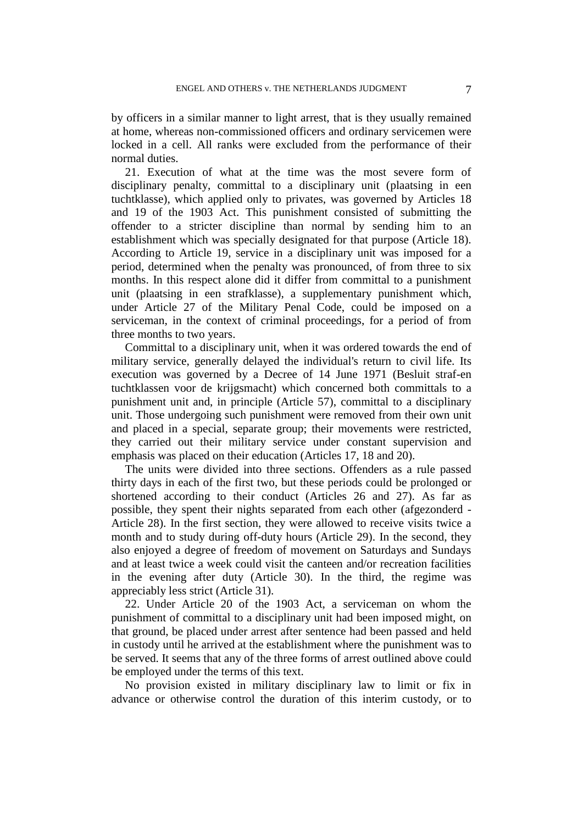by officers in a similar manner to light arrest, that is they usually remained at home, whereas non-commissioned officers and ordinary servicemen were locked in a cell. All ranks were excluded from the performance of their normal duties.

21. Execution of what at the time was the most severe form of disciplinary penalty, committal to a disciplinary unit (plaatsing in een tuchtklasse), which applied only to privates, was governed by Articles 18 and 19 of the 1903 Act. This punishment consisted of submitting the offender to a stricter discipline than normal by sending him to an establishment which was specially designated for that purpose (Article 18). According to Article 19, service in a disciplinary unit was imposed for a period, determined when the penalty was pronounced, of from three to six months. In this respect alone did it differ from committal to a punishment unit (plaatsing in een strafklasse), a supplementary punishment which, under Article 27 of the Military Penal Code, could be imposed on a serviceman, in the context of criminal proceedings, for a period of from three months to two years.

Committal to a disciplinary unit, when it was ordered towards the end of military service, generally delayed the individual's return to civil life. Its execution was governed by a Decree of 14 June 1971 (Besluit straf-en tuchtklassen voor de krijgsmacht) which concerned both committals to a punishment unit and, in principle (Article 57), committal to a disciplinary unit. Those undergoing such punishment were removed from their own unit and placed in a special, separate group; their movements were restricted, they carried out their military service under constant supervision and emphasis was placed on their education (Articles 17, 18 and 20).

The units were divided into three sections. Offenders as a rule passed thirty days in each of the first two, but these periods could be prolonged or shortened according to their conduct (Articles 26 and 27). As far as possible, they spent their nights separated from each other (afgezonderd - Article 28). In the first section, they were allowed to receive visits twice a month and to study during off-duty hours (Article 29). In the second, they also enjoyed a degree of freedom of movement on Saturdays and Sundays and at least twice a week could visit the canteen and/or recreation facilities in the evening after duty (Article 30). In the third, the regime was appreciably less strict (Article 31).

22. Under Article 20 of the 1903 Act, a serviceman on whom the punishment of committal to a disciplinary unit had been imposed might, on that ground, be placed under arrest after sentence had been passed and held in custody until he arrived at the establishment where the punishment was to be served. It seems that any of the three forms of arrest outlined above could be employed under the terms of this text.

No provision existed in military disciplinary law to limit or fix in advance or otherwise control the duration of this interim custody, or to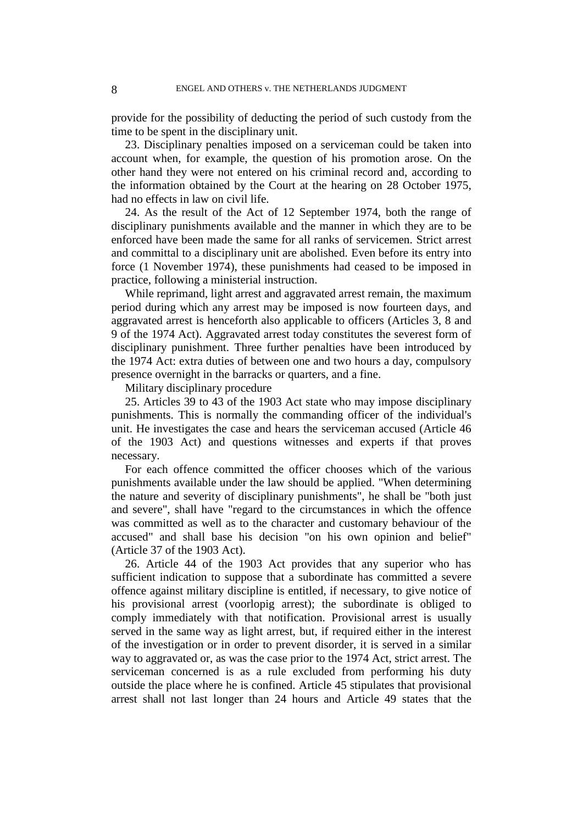provide for the possibility of deducting the period of such custody from the time to be spent in the disciplinary unit.

23. Disciplinary penalties imposed on a serviceman could be taken into account when, for example, the question of his promotion arose. On the other hand they were not entered on his criminal record and, according to the information obtained by the Court at the hearing on 28 October 1975, had no effects in law on civil life.

24. As the result of the Act of 12 September 1974, both the range of disciplinary punishments available and the manner in which they are to be enforced have been made the same for all ranks of servicemen. Strict arrest and committal to a disciplinary unit are abolished. Even before its entry into force (1 November 1974), these punishments had ceased to be imposed in practice, following a ministerial instruction.

While reprimand, light arrest and aggravated arrest remain, the maximum period during which any arrest may be imposed is now fourteen days, and aggravated arrest is henceforth also applicable to officers (Articles 3, 8 and 9 of the 1974 Act). Aggravated arrest today constitutes the severest form of disciplinary punishment. Three further penalties have been introduced by the 1974 Act: extra duties of between one and two hours a day, compulsory presence overnight in the barracks or quarters, and a fine.

Military disciplinary procedure

25. Articles 39 to 43 of the 1903 Act state who may impose disciplinary punishments. This is normally the commanding officer of the individual's unit. He investigates the case and hears the serviceman accused (Article 46 of the 1903 Act) and questions witnesses and experts if that proves necessary.

For each offence committed the officer chooses which of the various punishments available under the law should be applied. "When determining the nature and severity of disciplinary punishments", he shall be "both just and severe", shall have "regard to the circumstances in which the offence was committed as well as to the character and customary behaviour of the accused" and shall base his decision "on his own opinion and belief" (Article 37 of the 1903 Act).

26. Article 44 of the 1903 Act provides that any superior who has sufficient indication to suppose that a subordinate has committed a severe offence against military discipline is entitled, if necessary, to give notice of his provisional arrest (voorlopig arrest); the subordinate is obliged to comply immediately with that notification. Provisional arrest is usually served in the same way as light arrest, but, if required either in the interest of the investigation or in order to prevent disorder, it is served in a similar way to aggravated or, as was the case prior to the 1974 Act, strict arrest. The serviceman concerned is as a rule excluded from performing his duty outside the place where he is confined. Article 45 stipulates that provisional arrest shall not last longer than 24 hours and Article 49 states that the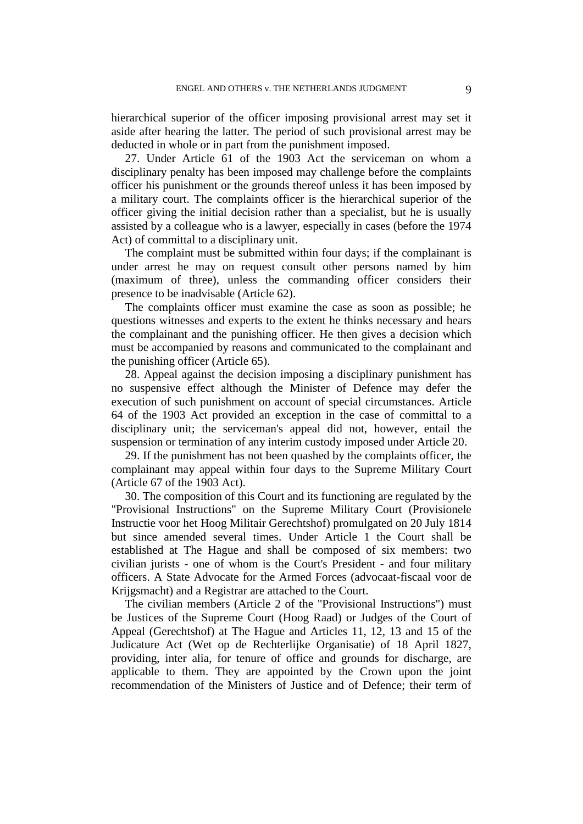hierarchical superior of the officer imposing provisional arrest may set it aside after hearing the latter. The period of such provisional arrest may be deducted in whole or in part from the punishment imposed.

27. Under Article 61 of the 1903 Act the serviceman on whom a disciplinary penalty has been imposed may challenge before the complaints officer his punishment or the grounds thereof unless it has been imposed by a military court. The complaints officer is the hierarchical superior of the officer giving the initial decision rather than a specialist, but he is usually assisted by a colleague who is a lawyer, especially in cases (before the 1974 Act) of committal to a disciplinary unit.

The complaint must be submitted within four days; if the complainant is under arrest he may on request consult other persons named by him (maximum of three), unless the commanding officer considers their presence to be inadvisable (Article 62).

The complaints officer must examine the case as soon as possible; he questions witnesses and experts to the extent he thinks necessary and hears the complainant and the punishing officer. He then gives a decision which must be accompanied by reasons and communicated to the complainant and the punishing officer (Article 65).

28. Appeal against the decision imposing a disciplinary punishment has no suspensive effect although the Minister of Defence may defer the execution of such punishment on account of special circumstances. Article 64 of the 1903 Act provided an exception in the case of committal to a disciplinary unit; the serviceman's appeal did not, however, entail the suspension or termination of any interim custody imposed under Article 20.

29. If the punishment has not been quashed by the complaints officer, the complainant may appeal within four days to the Supreme Military Court (Article 67 of the 1903 Act).

30. The composition of this Court and its functioning are regulated by the "Provisional Instructions" on the Supreme Military Court (Provisionele Instructie voor het Hoog Militair Gerechtshof) promulgated on 20 July 1814 but since amended several times. Under Article 1 the Court shall be established at The Hague and shall be composed of six members: two civilian jurists - one of whom is the Court's President - and four military officers. A State Advocate for the Armed Forces (advocaat-fiscaal voor de Krijgsmacht) and a Registrar are attached to the Court.

The civilian members (Article 2 of the "Provisional Instructions") must be Justices of the Supreme Court (Hoog Raad) or Judges of the Court of Appeal (Gerechtshof) at The Hague and Articles 11, 12, 13 and 15 of the Judicature Act (Wet op de Rechterlijke Organisatie) of 18 April 1827, providing, inter alia, for tenure of office and grounds for discharge, are applicable to them. They are appointed by the Crown upon the joint recommendation of the Ministers of Justice and of Defence; their term of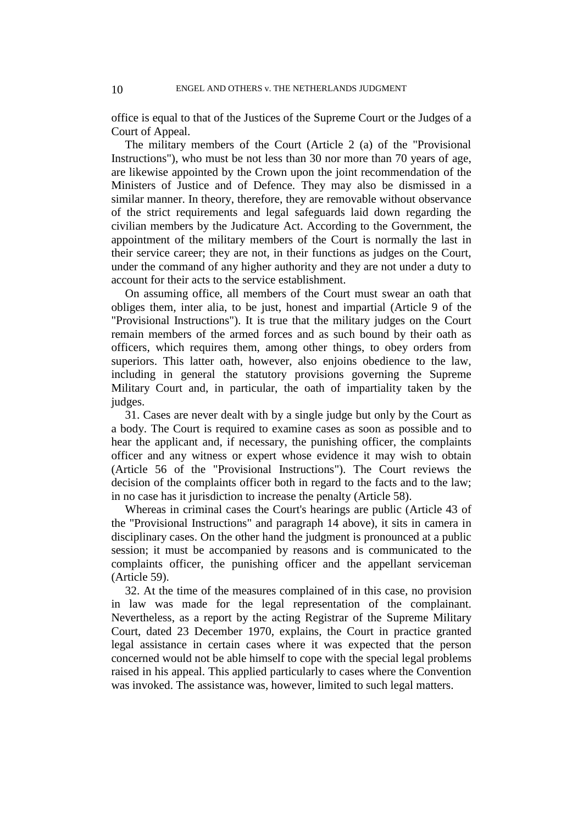office is equal to that of the Justices of the Supreme Court or the Judges of a Court of Appeal.

The military members of the Court (Article 2 (a) of the "Provisional Instructions"), who must be not less than 30 nor more than 70 years of age, are likewise appointed by the Crown upon the joint recommendation of the Ministers of Justice and of Defence. They may also be dismissed in a similar manner. In theory, therefore, they are removable without observance of the strict requirements and legal safeguards laid down regarding the civilian members by the Judicature Act. According to the Government, the appointment of the military members of the Court is normally the last in their service career; they are not, in their functions as judges on the Court, under the command of any higher authority and they are not under a duty to account for their acts to the service establishment.

On assuming office, all members of the Court must swear an oath that obliges them, inter alia, to be just, honest and impartial (Article 9 of the "Provisional Instructions"). It is true that the military judges on the Court remain members of the armed forces and as such bound by their oath as officers, which requires them, among other things, to obey orders from superiors. This latter oath, however, also enjoins obedience to the law, including in general the statutory provisions governing the Supreme Military Court and, in particular, the oath of impartiality taken by the judges.

31. Cases are never dealt with by a single judge but only by the Court as a body. The Court is required to examine cases as soon as possible and to hear the applicant and, if necessary, the punishing officer, the complaints officer and any witness or expert whose evidence it may wish to obtain (Article 56 of the "Provisional Instructions"). The Court reviews the decision of the complaints officer both in regard to the facts and to the law; in no case has it jurisdiction to increase the penalty (Article 58).

Whereas in criminal cases the Court's hearings are public (Article 43 of the "Provisional Instructions" and paragraph 14 above), it sits in camera in disciplinary cases. On the other hand the judgment is pronounced at a public session; it must be accompanied by reasons and is communicated to the complaints officer, the punishing officer and the appellant serviceman (Article 59).

32. At the time of the measures complained of in this case, no provision in law was made for the legal representation of the complainant. Nevertheless, as a report by the acting Registrar of the Supreme Military Court, dated 23 December 1970, explains, the Court in practice granted legal assistance in certain cases where it was expected that the person concerned would not be able himself to cope with the special legal problems raised in his appeal. This applied particularly to cases where the Convention was invoked. The assistance was, however, limited to such legal matters.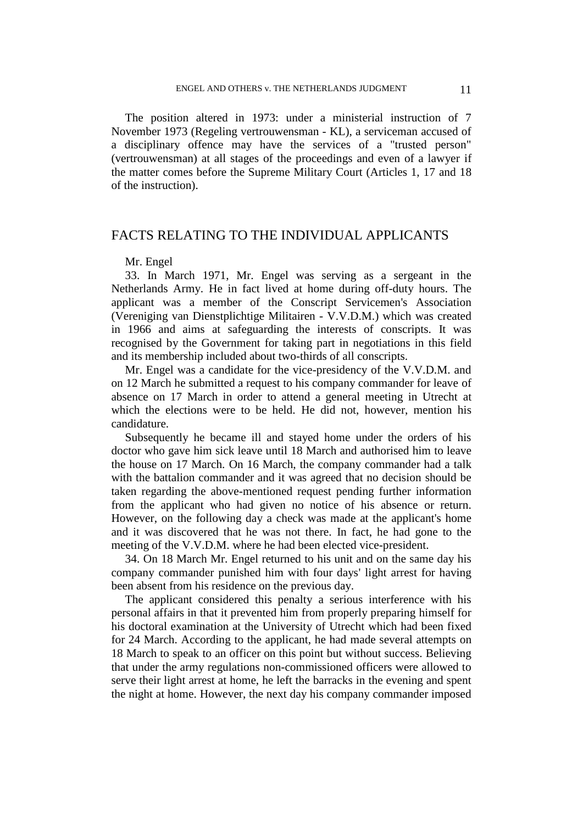The position altered in 1973: under a ministerial instruction of 7 November 1973 (Regeling vertrouwensman - KL), a serviceman accused of a disciplinary offence may have the services of a "trusted person" (vertrouwensman) at all stages of the proceedings and even of a lawyer if the matter comes before the Supreme Military Court (Articles 1, 17 and 18 of the instruction).

## FACTS RELATING TO THE INDIVIDUAL APPLICANTS

### Mr. Engel

33. In March 1971, Mr. Engel was serving as a sergeant in the Netherlands Army. He in fact lived at home during off-duty hours. The applicant was a member of the Conscript Servicemen's Association (Vereniging van Dienstplichtige Militairen - V.V.D.M.) which was created in 1966 and aims at safeguarding the interests of conscripts. It was recognised by the Government for taking part in negotiations in this field and its membership included about two-thirds of all conscripts.

Mr. Engel was a candidate for the vice-presidency of the V.V.D.M. and on 12 March he submitted a request to his company commander for leave of absence on 17 March in order to attend a general meeting in Utrecht at which the elections were to be held. He did not, however, mention his candidature.

Subsequently he became ill and stayed home under the orders of his doctor who gave him sick leave until 18 March and authorised him to leave the house on 17 March. On 16 March, the company commander had a talk with the battalion commander and it was agreed that no decision should be taken regarding the above-mentioned request pending further information from the applicant who had given no notice of his absence or return. However, on the following day a check was made at the applicant's home and it was discovered that he was not there. In fact, he had gone to the meeting of the V.V.D.M. where he had been elected vice-president.

34. On 18 March Mr. Engel returned to his unit and on the same day his company commander punished him with four days' light arrest for having been absent from his residence on the previous day.

The applicant considered this penalty a serious interference with his personal affairs in that it prevented him from properly preparing himself for his doctoral examination at the University of Utrecht which had been fixed for 24 March. According to the applicant, he had made several attempts on 18 March to speak to an officer on this point but without success. Believing that under the army regulations non-commissioned officers were allowed to serve their light arrest at home, he left the barracks in the evening and spent the night at home. However, the next day his company commander imposed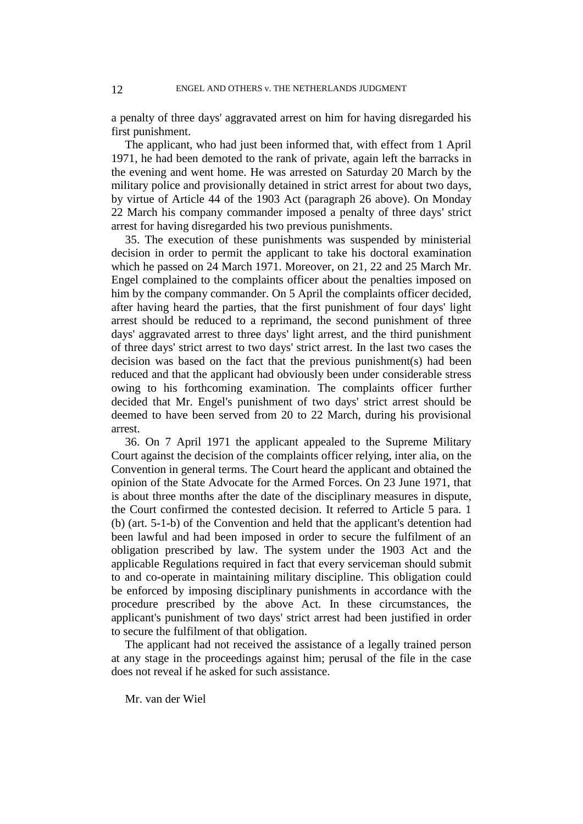a penalty of three days' aggravated arrest on him for having disregarded his first punishment.

The applicant, who had just been informed that, with effect from 1 April 1971, he had been demoted to the rank of private, again left the barracks in the evening and went home. He was arrested on Saturday 20 March by the military police and provisionally detained in strict arrest for about two days, by virtue of Article 44 of the 1903 Act (paragraph 26 above). On Monday 22 March his company commander imposed a penalty of three days' strict arrest for having disregarded his two previous punishments.

35. The execution of these punishments was suspended by ministerial decision in order to permit the applicant to take his doctoral examination which he passed on 24 March 1971. Moreover, on 21, 22 and 25 March Mr. Engel complained to the complaints officer about the penalties imposed on him by the company commander. On 5 April the complaints officer decided, after having heard the parties, that the first punishment of four days' light arrest should be reduced to a reprimand, the second punishment of three days' aggravated arrest to three days' light arrest, and the third punishment of three days' strict arrest to two days' strict arrest. In the last two cases the decision was based on the fact that the previous punishment(s) had been reduced and that the applicant had obviously been under considerable stress owing to his forthcoming examination. The complaints officer further decided that Mr. Engel's punishment of two days' strict arrest should be deemed to have been served from 20 to 22 March, during his provisional arrest.

36. On 7 April 1971 the applicant appealed to the Supreme Military Court against the decision of the complaints officer relying, inter alia, on the Convention in general terms. The Court heard the applicant and obtained the opinion of the State Advocate for the Armed Forces. On 23 June 1971, that is about three months after the date of the disciplinary measures in dispute, the Court confirmed the contested decision. It referred to Article 5 para. 1 (b) (art. 5-1-b) of the Convention and held that the applicant's detention had been lawful and had been imposed in order to secure the fulfilment of an obligation prescribed by law. The system under the 1903 Act and the applicable Regulations required in fact that every serviceman should submit to and co-operate in maintaining military discipline. This obligation could be enforced by imposing disciplinary punishments in accordance with the procedure prescribed by the above Act. In these circumstances, the applicant's punishment of two days' strict arrest had been justified in order to secure the fulfilment of that obligation.

The applicant had not received the assistance of a legally trained person at any stage in the proceedings against him; perusal of the file in the case does not reveal if he asked for such assistance.

Mr. van der Wiel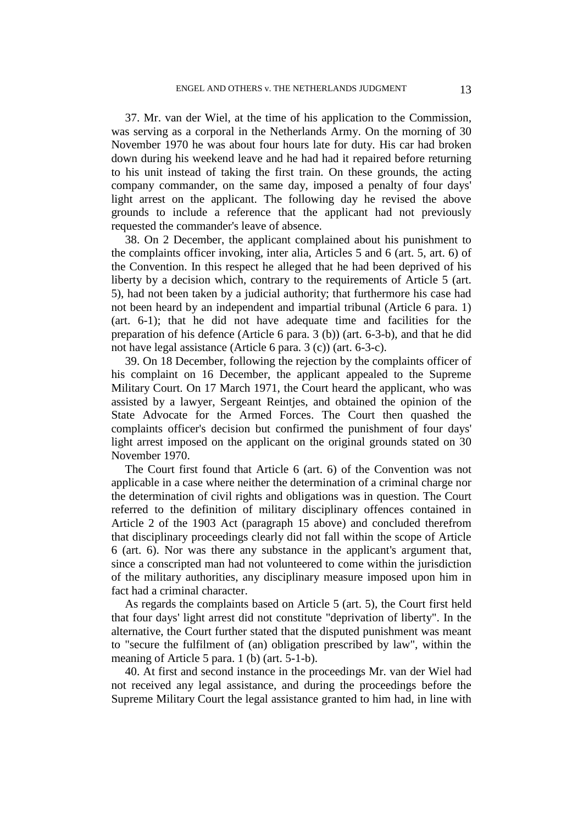37. Mr. van der Wiel, at the time of his application to the Commission, was serving as a corporal in the Netherlands Army. On the morning of 30 November 1970 he was about four hours late for duty. His car had broken down during his weekend leave and he had had it repaired before returning to his unit instead of taking the first train. On these grounds, the acting company commander, on the same day, imposed a penalty of four days' light arrest on the applicant. The following day he revised the above grounds to include a reference that the applicant had not previously requested the commander's leave of absence.

38. On 2 December, the applicant complained about his punishment to the complaints officer invoking, inter alia, Articles 5 and 6 (art. 5, art. 6) of the Convention. In this respect he alleged that he had been deprived of his liberty by a decision which, contrary to the requirements of Article 5 (art. 5), had not been taken by a judicial authority; that furthermore his case had not been heard by an independent and impartial tribunal (Article 6 para. 1) (art. 6-1); that he did not have adequate time and facilities for the preparation of his defence (Article 6 para. 3 (b)) (art. 6-3-b), and that he did not have legal assistance (Article 6 para. 3 (c)) (art. 6-3-c).

39. On 18 December, following the rejection by the complaints officer of his complaint on 16 December, the applicant appealed to the Supreme Military Court. On 17 March 1971, the Court heard the applicant, who was assisted by a lawyer, Sergeant Reintjes, and obtained the opinion of the State Advocate for the Armed Forces. The Court then quashed the complaints officer's decision but confirmed the punishment of four days' light arrest imposed on the applicant on the original grounds stated on 30 November 1970.

The Court first found that Article 6 (art. 6) of the Convention was not applicable in a case where neither the determination of a criminal charge nor the determination of civil rights and obligations was in question. The Court referred to the definition of military disciplinary offences contained in Article 2 of the 1903 Act (paragraph 15 above) and concluded therefrom that disciplinary proceedings clearly did not fall within the scope of Article 6 (art. 6). Nor was there any substance in the applicant's argument that, since a conscripted man had not volunteered to come within the jurisdiction of the military authorities, any disciplinary measure imposed upon him in fact had a criminal character.

As regards the complaints based on Article 5 (art. 5), the Court first held that four days' light arrest did not constitute "deprivation of liberty". In the alternative, the Court further stated that the disputed punishment was meant to "secure the fulfilment of (an) obligation prescribed by law", within the meaning of Article 5 para. 1 (b) (art. 5-1-b).

40. At first and second instance in the proceedings Mr. van der Wiel had not received any legal assistance, and during the proceedings before the Supreme Military Court the legal assistance granted to him had, in line with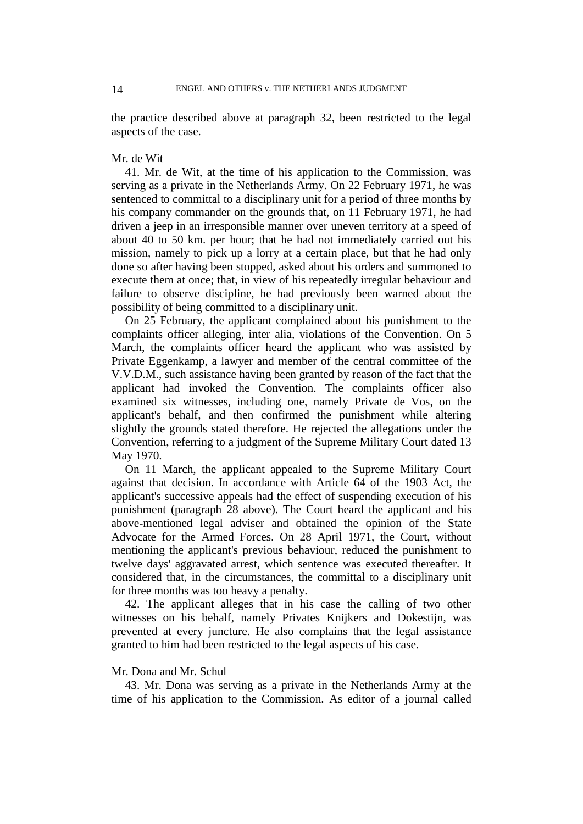the practice described above at paragraph 32, been restricted to the legal aspects of the case.

### Mr. de Wit

41. Mr. de Wit, at the time of his application to the Commission, was serving as a private in the Netherlands Army. On 22 February 1971, he was sentenced to committal to a disciplinary unit for a period of three months by his company commander on the grounds that, on 11 February 1971, he had driven a jeep in an irresponsible manner over uneven territory at a speed of about 40 to 50 km. per hour; that he had not immediately carried out his mission, namely to pick up a lorry at a certain place, but that he had only done so after having been stopped, asked about his orders and summoned to execute them at once; that, in view of his repeatedly irregular behaviour and failure to observe discipline, he had previously been warned about the possibility of being committed to a disciplinary unit.

On 25 February, the applicant complained about his punishment to the complaints officer alleging, inter alia, violations of the Convention. On 5 March, the complaints officer heard the applicant who was assisted by Private Eggenkamp, a lawyer and member of the central committee of the V.V.D.M., such assistance having been granted by reason of the fact that the applicant had invoked the Convention. The complaints officer also examined six witnesses, including one, namely Private de Vos, on the applicant's behalf, and then confirmed the punishment while altering slightly the grounds stated therefore. He rejected the allegations under the Convention, referring to a judgment of the Supreme Military Court dated 13 May 1970.

On 11 March, the applicant appealed to the Supreme Military Court against that decision. In accordance with Article 64 of the 1903 Act, the applicant's successive appeals had the effect of suspending execution of his punishment (paragraph 28 above). The Court heard the applicant and his above-mentioned legal adviser and obtained the opinion of the State Advocate for the Armed Forces. On 28 April 1971, the Court, without mentioning the applicant's previous behaviour, reduced the punishment to twelve days' aggravated arrest, which sentence was executed thereafter. It considered that, in the circumstances, the committal to a disciplinary unit for three months was too heavy a penalty.

42. The applicant alleges that in his case the calling of two other witnesses on his behalf, namely Privates Knijkers and Dokestijn, was prevented at every juncture. He also complains that the legal assistance granted to him had been restricted to the legal aspects of his case.

### Mr. Dona and Mr. Schul

43. Mr. Dona was serving as a private in the Netherlands Army at the time of his application to the Commission. As editor of a journal called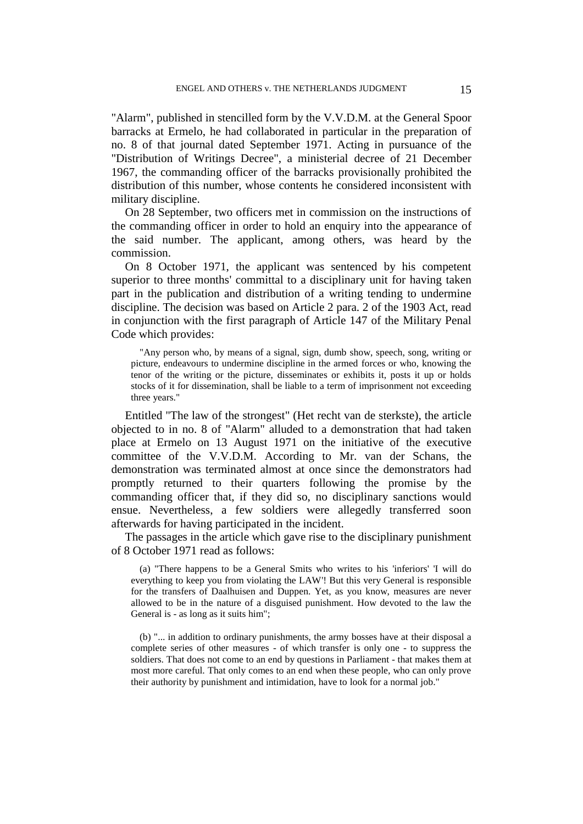"Alarm", published in stencilled form by the V.V.D.M. at the General Spoor barracks at Ermelo, he had collaborated in particular in the preparation of no. 8 of that journal dated September 1971. Acting in pursuance of the "Distribution of Writings Decree", a ministerial decree of 21 December 1967, the commanding officer of the barracks provisionally prohibited the distribution of this number, whose contents he considered inconsistent with military discipline.

On 28 September, two officers met in commission on the instructions of the commanding officer in order to hold an enquiry into the appearance of the said number. The applicant, among others, was heard by the commission.

On 8 October 1971, the applicant was sentenced by his competent superior to three months' committal to a disciplinary unit for having taken part in the publication and distribution of a writing tending to undermine discipline. The decision was based on Article 2 para. 2 of the 1903 Act, read in conjunction with the first paragraph of Article 147 of the Military Penal Code which provides:

"Any person who, by means of a signal, sign, dumb show, speech, song, writing or picture, endeavours to undermine discipline in the armed forces or who, knowing the tenor of the writing or the picture, disseminates or exhibits it, posts it up or holds stocks of it for dissemination, shall be liable to a term of imprisonment not exceeding three years."

Entitled "The law of the strongest" (Het recht van de sterkste), the article objected to in no. 8 of "Alarm" alluded to a demonstration that had taken place at Ermelo on 13 August 1971 on the initiative of the executive committee of the V.V.D.M. According to Mr. van der Schans, the demonstration was terminated almost at once since the demonstrators had promptly returned to their quarters following the promise by the commanding officer that, if they did so, no disciplinary sanctions would ensue. Nevertheless, a few soldiers were allegedly transferred soon afterwards for having participated in the incident.

The passages in the article which gave rise to the disciplinary punishment of 8 October 1971 read as follows:

(a) "There happens to be a General Smits who writes to his 'inferiors' 'I will do everything to keep you from violating the LAW'! But this very General is responsible for the transfers of Daalhuisen and Duppen. Yet, as you know, measures are never allowed to be in the nature of a disguised punishment. How devoted to the law the General is - as long as it suits him";

(b) "... in addition to ordinary punishments, the army bosses have at their disposal a complete series of other measures - of which transfer is only one - to suppress the soldiers. That does not come to an end by questions in Parliament - that makes them at most more careful. That only comes to an end when these people, who can only prove their authority by punishment and intimidation, have to look for a normal job."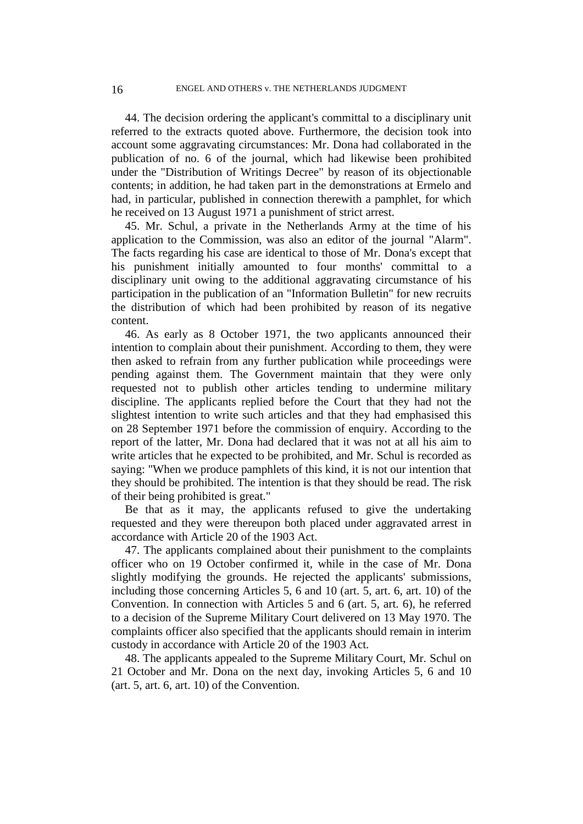44. The decision ordering the applicant's committal to a disciplinary unit referred to the extracts quoted above. Furthermore, the decision took into account some aggravating circumstances: Mr. Dona had collaborated in the publication of no. 6 of the journal, which had likewise been prohibited under the "Distribution of Writings Decree" by reason of its objectionable contents; in addition, he had taken part in the demonstrations at Ermelo and had, in particular, published in connection therewith a pamphlet, for which he received on 13 August 1971 a punishment of strict arrest.

45. Mr. Schul, a private in the Netherlands Army at the time of his application to the Commission, was also an editor of the journal "Alarm". The facts regarding his case are identical to those of Mr. Dona's except that his punishment initially amounted to four months' committal to a disciplinary unit owing to the additional aggravating circumstance of his participation in the publication of an "Information Bulletin" for new recruits the distribution of which had been prohibited by reason of its negative content.

46. As early as 8 October 1971, the two applicants announced their intention to complain about their punishment. According to them, they were then asked to refrain from any further publication while proceedings were pending against them. The Government maintain that they were only requested not to publish other articles tending to undermine military discipline. The applicants replied before the Court that they had not the slightest intention to write such articles and that they had emphasised this on 28 September 1971 before the commission of enquiry. According to the report of the latter, Mr. Dona had declared that it was not at all his aim to write articles that he expected to be prohibited, and Mr. Schul is recorded as saying: "When we produce pamphlets of this kind, it is not our intention that they should be prohibited. The intention is that they should be read. The risk of their being prohibited is great."

Be that as it may, the applicants refused to give the undertaking requested and they were thereupon both placed under aggravated arrest in accordance with Article 20 of the 1903 Act.

47. The applicants complained about their punishment to the complaints officer who on 19 October confirmed it, while in the case of Mr. Dona slightly modifying the grounds. He rejected the applicants' submissions, including those concerning Articles 5, 6 and 10 (art. 5, art. 6, art. 10) of the Convention. In connection with Articles 5 and 6 (art. 5, art. 6), he referred to a decision of the Supreme Military Court delivered on 13 May 1970. The complaints officer also specified that the applicants should remain in interim custody in accordance with Article 20 of the 1903 Act.

48. The applicants appealed to the Supreme Military Court, Mr. Schul on 21 October and Mr. Dona on the next day, invoking Articles 5, 6 and 10 (art. 5, art. 6, art. 10) of the Convention.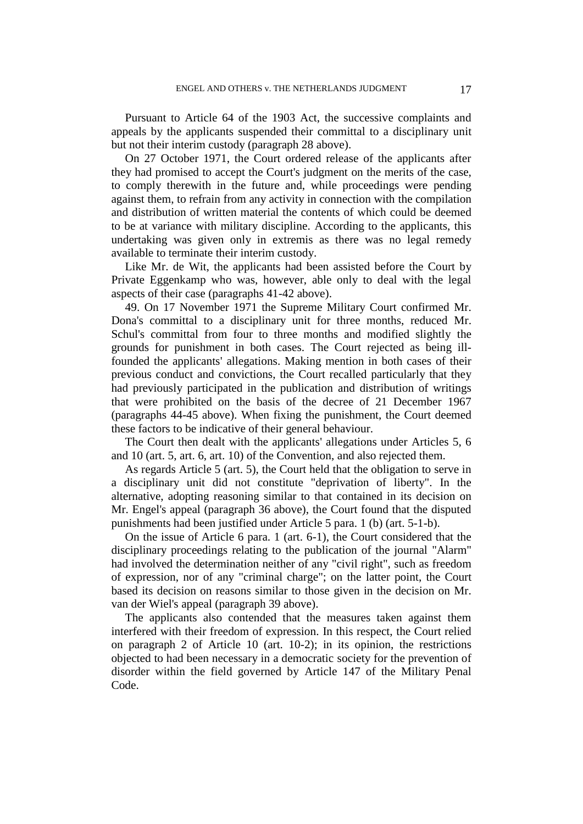Pursuant to Article 64 of the 1903 Act, the successive complaints and appeals by the applicants suspended their committal to a disciplinary unit but not their interim custody (paragraph 28 above).

On 27 October 1971, the Court ordered release of the applicants after they had promised to accept the Court's judgment on the merits of the case, to comply therewith in the future and, while proceedings were pending against them, to refrain from any activity in connection with the compilation and distribution of written material the contents of which could be deemed to be at variance with military discipline. According to the applicants, this undertaking was given only in extremis as there was no legal remedy available to terminate their interim custody.

Like Mr. de Wit, the applicants had been assisted before the Court by Private Eggenkamp who was, however, able only to deal with the legal aspects of their case (paragraphs 41-42 above).

49. On 17 November 1971 the Supreme Military Court confirmed Mr. Dona's committal to a disciplinary unit for three months, reduced Mr. Schul's committal from four to three months and modified slightly the grounds for punishment in both cases. The Court rejected as being illfounded the applicants' allegations. Making mention in both cases of their previous conduct and convictions, the Court recalled particularly that they had previously participated in the publication and distribution of writings that were prohibited on the basis of the decree of 21 December 1967 (paragraphs 44-45 above). When fixing the punishment, the Court deemed these factors to be indicative of their general behaviour.

The Court then dealt with the applicants' allegations under Articles 5, 6 and 10 (art. 5, art. 6, art. 10) of the Convention, and also rejected them.

As regards Article 5 (art. 5), the Court held that the obligation to serve in a disciplinary unit did not constitute "deprivation of liberty". In the alternative, adopting reasoning similar to that contained in its decision on Mr. Engel's appeal (paragraph 36 above), the Court found that the disputed punishments had been justified under Article 5 para. 1 (b) (art. 5-1-b).

On the issue of Article 6 para. 1 (art. 6-1), the Court considered that the disciplinary proceedings relating to the publication of the journal "Alarm" had involved the determination neither of any "civil right", such as freedom of expression, nor of any "criminal charge"; on the latter point, the Court based its decision on reasons similar to those given in the decision on Mr. van der Wiel's appeal (paragraph 39 above).

The applicants also contended that the measures taken against them interfered with their freedom of expression. In this respect, the Court relied on paragraph 2 of Article 10 (art. 10-2); in its opinion, the restrictions objected to had been necessary in a democratic society for the prevention of disorder within the field governed by Article 147 of the Military Penal Code.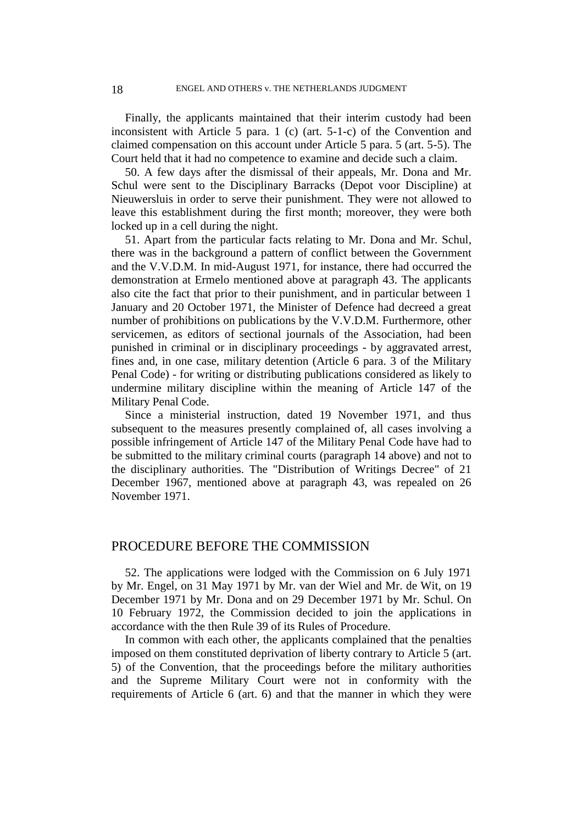Finally, the applicants maintained that their interim custody had been inconsistent with Article 5 para. 1 (c) (art. 5-1-c) of the Convention and claimed compensation on this account under Article 5 para. 5 (art. 5-5). The Court held that it had no competence to examine and decide such a claim.

50. A few days after the dismissal of their appeals, Mr. Dona and Mr. Schul were sent to the Disciplinary Barracks (Depot voor Discipline) at Nieuwersluis in order to serve their punishment. They were not allowed to leave this establishment during the first month; moreover, they were both locked up in a cell during the night.

51. Apart from the particular facts relating to Mr. Dona and Mr. Schul, there was in the background a pattern of conflict between the Government and the V.V.D.M. In mid-August 1971, for instance, there had occurred the demonstration at Ermelo mentioned above at paragraph 43. The applicants also cite the fact that prior to their punishment, and in particular between 1 January and 20 October 1971, the Minister of Defence had decreed a great number of prohibitions on publications by the V.V.D.M. Furthermore, other servicemen, as editors of sectional journals of the Association, had been punished in criminal or in disciplinary proceedings - by aggravated arrest, fines and, in one case, military detention (Article 6 para. 3 of the Military Penal Code) - for writing or distributing publications considered as likely to undermine military discipline within the meaning of Article 147 of the Military Penal Code.

Since a ministerial instruction, dated 19 November 1971, and thus subsequent to the measures presently complained of, all cases involving a possible infringement of Article 147 of the Military Penal Code have had to be submitted to the military criminal courts (paragraph 14 above) and not to the disciplinary authorities. The "Distribution of Writings Decree" of 21 December 1967, mentioned above at paragraph 43, was repealed on 26 November 1971.

## PROCEDURE BEFORE THE COMMISSION

52. The applications were lodged with the Commission on 6 July 1971 by Mr. Engel, on 31 May 1971 by Mr. van der Wiel and Mr. de Wit, on 19 December 1971 by Mr. Dona and on 29 December 1971 by Mr. Schul. On 10 February 1972, the Commission decided to join the applications in accordance with the then Rule 39 of its Rules of Procedure.

In common with each other, the applicants complained that the penalties imposed on them constituted deprivation of liberty contrary to Article 5 (art. 5) of the Convention, that the proceedings before the military authorities and the Supreme Military Court were not in conformity with the requirements of Article 6 (art. 6) and that the manner in which they were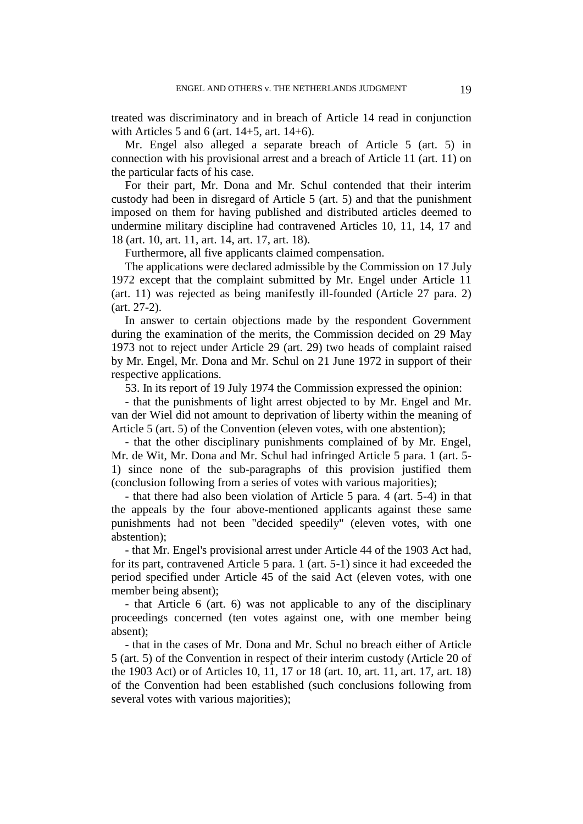treated was discriminatory and in breach of Article 14 read in conjunction with Articles 5 and 6 (art. 14+5, art. 14+6).

Mr. Engel also alleged a separate breach of Article 5 (art. 5) in connection with his provisional arrest and a breach of Article 11 (art. 11) on the particular facts of his case.

For their part, Mr. Dona and Mr. Schul contended that their interim custody had been in disregard of Article 5 (art. 5) and that the punishment imposed on them for having published and distributed articles deemed to undermine military discipline had contravened Articles 10, 11, 14, 17 and 18 (art. 10, art. 11, art. 14, art. 17, art. 18).

Furthermore, all five applicants claimed compensation.

The applications were declared admissible by the Commission on 17 July 1972 except that the complaint submitted by Mr. Engel under Article 11 (art. 11) was rejected as being manifestly ill-founded (Article 27 para. 2) (art. 27-2).

In answer to certain objections made by the respondent Government during the examination of the merits, the Commission decided on 29 May 1973 not to reject under Article 29 (art. 29) two heads of complaint raised by Mr. Engel, Mr. Dona and Mr. Schul on 21 June 1972 in support of their respective applications.

53. In its report of 19 July 1974 the Commission expressed the opinion:

- that the punishments of light arrest objected to by Mr. Engel and Mr. van der Wiel did not amount to deprivation of liberty within the meaning of Article 5 (art. 5) of the Convention (eleven votes, with one abstention);

- that the other disciplinary punishments complained of by Mr. Engel, Mr. de Wit, Mr. Dona and Mr. Schul had infringed Article 5 para. 1 (art. 5- 1) since none of the sub-paragraphs of this provision justified them (conclusion following from a series of votes with various majorities);

- that there had also been violation of Article 5 para. 4 (art. 5-4) in that the appeals by the four above-mentioned applicants against these same punishments had not been "decided speedily" (eleven votes, with one abstention);

- that Mr. Engel's provisional arrest under Article 44 of the 1903 Act had, for its part, contravened Article 5 para. 1 (art. 5-1) since it had exceeded the period specified under Article 45 of the said Act (eleven votes, with one member being absent);

- that Article 6 (art. 6) was not applicable to any of the disciplinary proceedings concerned (ten votes against one, with one member being absent);

- that in the cases of Mr. Dona and Mr. Schul no breach either of Article 5 (art. 5) of the Convention in respect of their interim custody (Article 20 of the 1903 Act) or of Articles 10, 11, 17 or 18 (art. 10, art. 11, art. 17, art. 18) of the Convention had been established (such conclusions following from several votes with various majorities);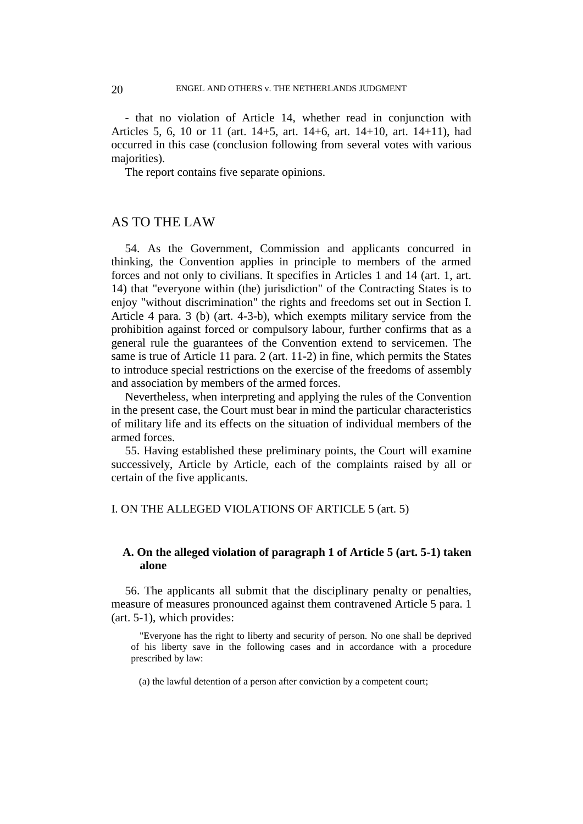- that no violation of Article 14, whether read in conjunction with Articles 5, 6, 10 or 11 (art. 14+5, art. 14+6, art. 14+10, art. 14+11), had occurred in this case (conclusion following from several votes with various majorities).

The report contains five separate opinions.

## AS TO THE LAW

54. As the Government, Commission and applicants concurred in thinking, the Convention applies in principle to members of the armed forces and not only to civilians. It specifies in Articles 1 and 14 (art. 1, art. 14) that "everyone within (the) jurisdiction" of the Contracting States is to enjoy "without discrimination" the rights and freedoms set out in Section I. Article 4 para. 3 (b) (art. 4-3-b), which exempts military service from the prohibition against forced or compulsory labour, further confirms that as a general rule the guarantees of the Convention extend to servicemen. The same is true of Article 11 para. 2 (art. 11-2) in fine, which permits the States to introduce special restrictions on the exercise of the freedoms of assembly and association by members of the armed forces.

Nevertheless, when interpreting and applying the rules of the Convention in the present case, the Court must bear in mind the particular characteristics of military life and its effects on the situation of individual members of the armed forces.

55. Having established these preliminary points, the Court will examine successively, Article by Article, each of the complaints raised by all or certain of the five applicants.

I. ON THE ALLEGED VIOLATIONS OF ARTICLE 5 (art. 5)

## **A. On the alleged violation of paragraph 1 of Article 5 (art. 5-1) taken alone**

56. The applicants all submit that the disciplinary penalty or penalties, measure of measures pronounced against them contravened Article 5 para. 1 (art. 5-1), which provides:

"Everyone has the right to liberty and security of person. No one shall be deprived of his liberty save in the following cases and in accordance with a procedure prescribed by law:

(a) the lawful detention of a person after conviction by a competent court;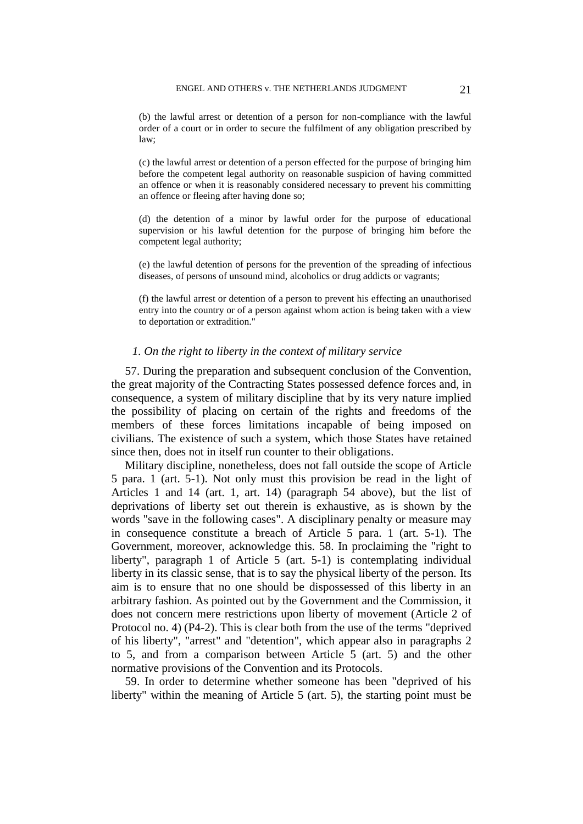(b) the lawful arrest or detention of a person for non-compliance with the lawful order of a court or in order to secure the fulfilment of any obligation prescribed by  $law<sup>2</sup>$ 

(c) the lawful arrest or detention of a person effected for the purpose of bringing him before the competent legal authority on reasonable suspicion of having committed an offence or when it is reasonably considered necessary to prevent his committing an offence or fleeing after having done so;

(d) the detention of a minor by lawful order for the purpose of educational supervision or his lawful detention for the purpose of bringing him before the competent legal authority;

(e) the lawful detention of persons for the prevention of the spreading of infectious diseases, of persons of unsound mind, alcoholics or drug addicts or vagrants;

(f) the lawful arrest or detention of a person to prevent his effecting an unauthorised entry into the country or of a person against whom action is being taken with a view to deportation or extradition."

### *1. On the right to liberty in the context of military service*

57. During the preparation and subsequent conclusion of the Convention, the great majority of the Contracting States possessed defence forces and, in consequence, a system of military discipline that by its very nature implied the possibility of placing on certain of the rights and freedoms of the members of these forces limitations incapable of being imposed on civilians. The existence of such a system, which those States have retained since then, does not in itself run counter to their obligations.

Military discipline, nonetheless, does not fall outside the scope of Article 5 para. 1 (art. 5-1). Not only must this provision be read in the light of Articles 1 and 14 (art. 1, art. 14) (paragraph 54 above), but the list of deprivations of liberty set out therein is exhaustive, as is shown by the words "save in the following cases". A disciplinary penalty or measure may in consequence constitute a breach of Article 5 para. 1 (art. 5-1). The Government, moreover, acknowledge this. 58. In proclaiming the "right to liberty", paragraph 1 of Article 5 (art. 5-1) is contemplating individual liberty in its classic sense, that is to say the physical liberty of the person. Its aim is to ensure that no one should be dispossessed of this liberty in an arbitrary fashion. As pointed out by the Government and the Commission, it does not concern mere restrictions upon liberty of movement (Article 2 of Protocol no. 4) (P4-2). This is clear both from the use of the terms "deprived of his liberty", "arrest" and "detention", which appear also in paragraphs 2 to 5, and from a comparison between Article 5 (art. 5) and the other normative provisions of the Convention and its Protocols.

59. In order to determine whether someone has been "deprived of his liberty" within the meaning of Article 5 (art. 5), the starting point must be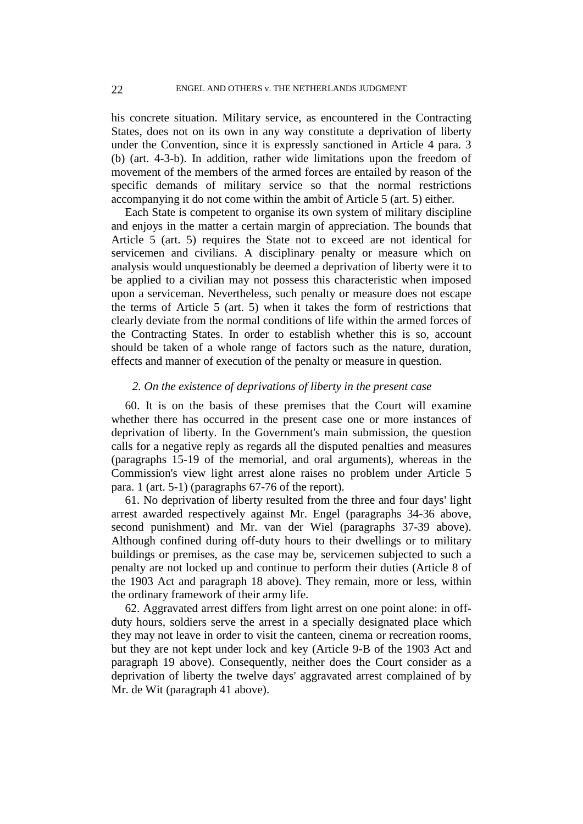his concrete situation. Military service, as encountered in the Contracting States, does not on its own in any way constitute a deprivation of liberty under the Convention, since it is expressly sanctioned in Article 4 para. 3 (b) (art. 4-3-b). In addition, rather wide limitations upon the freedom of movement of the members of the armed forces are entailed by reason of the specific demands of military service so that the normal restrictions accompanying it do not come within the ambit of Article 5 (art. 5) either.

Each State is competent to organise its own system of military discipline and enjoys in the matter a certain margin of appreciation. The bounds that Article 5 (art. 5) requires the State not to exceed are not identical for servicemen and civilians. A disciplinary penalty or measure which on analysis would unquestionably be deemed a deprivation of liberty were it to be applied to a civilian may not possess this characteristic when imposed upon a serviceman. Nevertheless, such penalty or measure does not escape the terms of Article 5 (art. 5) when it takes the form of restrictions that clearly deviate from the normal conditions of life within the armed forces of the Contracting States. In order to establish whether this is so, account should be taken of a whole range of factors such as the nature, duration, effects and manner of execution of the penalty or measure in question.

### *2. On the existence of deprivations of liberty in the present case*

60. It is on the basis of these premises that the Court will examine whether there has occurred in the present case one or more instances of deprivation of liberty. In the Government's main submission, the question calls for a negative reply as regards all the disputed penalties and measures (paragraphs 15-19 of the memorial, and oral arguments), whereas in the Commission's view light arrest alone raises no problem under Article 5 para. 1 (art. 5-1) (paragraphs 67-76 of the report).

61. No deprivation of liberty resulted from the three and four days' light arrest awarded respectively against Mr. Engel (paragraphs 34-36 above, second punishment) and Mr. van der Wiel (paragraphs 37-39 above). Although confined during off-duty hours to their dwellings or to military buildings or premises, as the case may be, servicemen subjected to such a penalty are not locked up and continue to perform their duties (Article 8 of the 1903 Act and paragraph 18 above). They remain, more or less, within the ordinary framework of their army life.

62. Aggravated arrest differs from light arrest on one point alone: in offduty hours, soldiers serve the arrest in a specially designated place which they may not leave in order to visit the canteen, cinema or recreation rooms, but they are not kept under lock and key (Article 9-B of the 1903 Act and paragraph 19 above). Consequently, neither does the Court consider as a deprivation of liberty the twelve days' aggravated arrest complained of by Mr. de Wit (paragraph 41 above).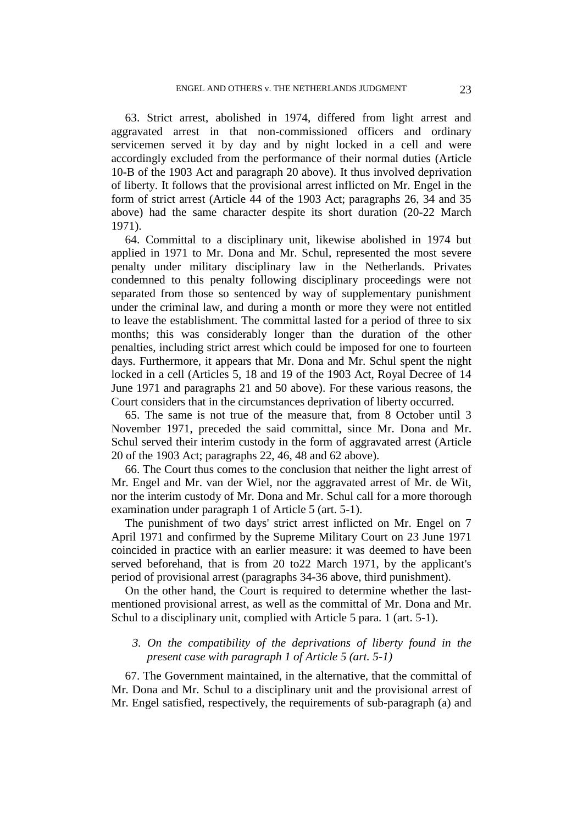63. Strict arrest, abolished in 1974, differed from light arrest and aggravated arrest in that non-commissioned officers and ordinary servicemen served it by day and by night locked in a cell and were accordingly excluded from the performance of their normal duties (Article 10-B of the 1903 Act and paragraph 20 above). It thus involved deprivation of liberty. It follows that the provisional arrest inflicted on Mr. Engel in the form of strict arrest (Article 44 of the 1903 Act; paragraphs 26, 34 and 35 above) had the same character despite its short duration (20-22 March 1971).

64. Committal to a disciplinary unit, likewise abolished in 1974 but applied in 1971 to Mr. Dona and Mr. Schul, represented the most severe penalty under military disciplinary law in the Netherlands. Privates condemned to this penalty following disciplinary proceedings were not separated from those so sentenced by way of supplementary punishment under the criminal law, and during a month or more they were not entitled to leave the establishment. The committal lasted for a period of three to six months; this was considerably longer than the duration of the other penalties, including strict arrest which could be imposed for one to fourteen days. Furthermore, it appears that Mr. Dona and Mr. Schul spent the night locked in a cell (Articles 5, 18 and 19 of the 1903 Act, Royal Decree of 14 June 1971 and paragraphs 21 and 50 above). For these various reasons, the Court considers that in the circumstances deprivation of liberty occurred.

65. The same is not true of the measure that, from 8 October until 3 November 1971, preceded the said committal, since Mr. Dona and Mr. Schul served their interim custody in the form of aggravated arrest (Article 20 of the 1903 Act; paragraphs 22, 46, 48 and 62 above).

66. The Court thus comes to the conclusion that neither the light arrest of Mr. Engel and Mr. van der Wiel, nor the aggravated arrest of Mr. de Wit, nor the interim custody of Mr. Dona and Mr. Schul call for a more thorough examination under paragraph 1 of Article 5 (art. 5-1).

The punishment of two days' strict arrest inflicted on Mr. Engel on 7 April 1971 and confirmed by the Supreme Military Court on 23 June 1971 coincided in practice with an earlier measure: it was deemed to have been served beforehand, that is from 20 to22 March 1971, by the applicant's period of provisional arrest (paragraphs 34-36 above, third punishment).

On the other hand, the Court is required to determine whether the lastmentioned provisional arrest, as well as the committal of Mr. Dona and Mr. Schul to a disciplinary unit, complied with Article 5 para. 1 (art. 5-1).

## *3. On the compatibility of the deprivations of liberty found in the present case with paragraph 1 of Article 5 (art. 5-1)*

67. The Government maintained, in the alternative, that the committal of Mr. Dona and Mr. Schul to a disciplinary unit and the provisional arrest of Mr. Engel satisfied, respectively, the requirements of sub-paragraph (a) and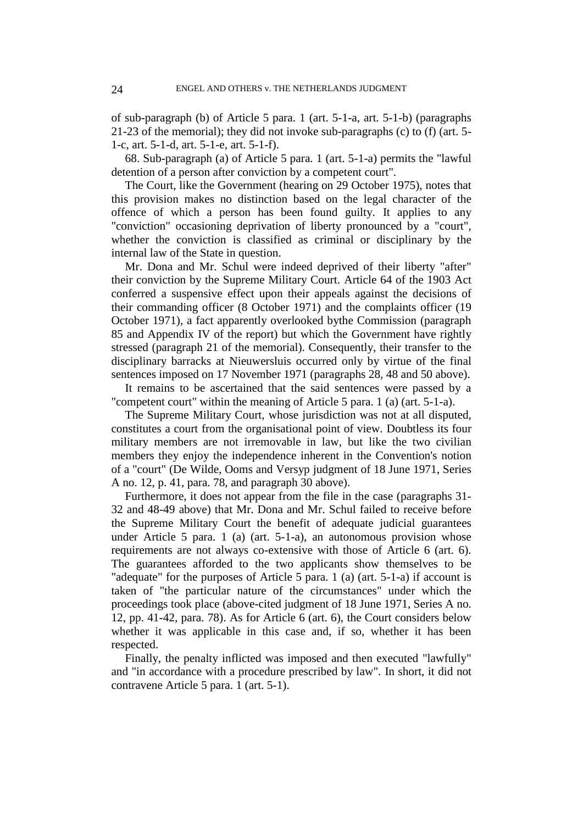of sub-paragraph (b) of Article 5 para. 1 (art. 5-1-a, art. 5-1-b) (paragraphs 21-23 of the memorial); they did not invoke sub-paragraphs (c) to (f) (art. 5- 1-c, art. 5-1-d, art. 5-1-e, art. 5-1-f).

68. Sub-paragraph (a) of Article 5 para. 1 (art. 5-1-a) permits the "lawful detention of a person after conviction by a competent court".

The Court, like the Government (hearing on 29 October 1975), notes that this provision makes no distinction based on the legal character of the offence of which a person has been found guilty. It applies to any "conviction" occasioning deprivation of liberty pronounced by a "court", whether the conviction is classified as criminal or disciplinary by the internal law of the State in question.

Mr. Dona and Mr. Schul were indeed deprived of their liberty "after" their conviction by the Supreme Military Court. Article 64 of the 1903 Act conferred a suspensive effect upon their appeals against the decisions of their commanding officer (8 October 1971) and the complaints officer (19 October 1971), a fact apparently overlooked bythe Commission (paragraph 85 and Appendix IV of the report) but which the Government have rightly stressed (paragraph 21 of the memorial). Consequently, their transfer to the disciplinary barracks at Nieuwersluis occurred only by virtue of the final sentences imposed on 17 November 1971 (paragraphs 28, 48 and 50 above).

It remains to be ascertained that the said sentences were passed by a "competent court" within the meaning of Article 5 para. 1 (a) (art. 5-1-a).

The Supreme Military Court, whose jurisdiction was not at all disputed, constitutes a court from the organisational point of view. Doubtless its four military members are not irremovable in law, but like the two civilian members they enjoy the independence inherent in the Convention's notion of a "court" (De Wilde, Ooms and Versyp judgment of 18 June 1971, Series A no. 12, p. 41, para. 78, and paragraph 30 above).

Furthermore, it does not appear from the file in the case (paragraphs 31- 32 and 48-49 above) that Mr. Dona and Mr. Schul failed to receive before the Supreme Military Court the benefit of adequate judicial guarantees under Article 5 para. 1 (a) (art. 5-1-a), an autonomous provision whose requirements are not always co-extensive with those of Article 6 (art. 6). The guarantees afforded to the two applicants show themselves to be "adequate" for the purposes of Article 5 para. 1 (a) (art. 5-1-a) if account is taken of "the particular nature of the circumstances" under which the proceedings took place (above-cited judgment of 18 June 1971, Series A no. 12, pp. 41-42, para. 78). As for Article 6 (art. 6), the Court considers below whether it was applicable in this case and, if so, whether it has been respected.

Finally, the penalty inflicted was imposed and then executed "lawfully" and "in accordance with a procedure prescribed by law". In short, it did not contravene Article 5 para. 1 (art. 5-1).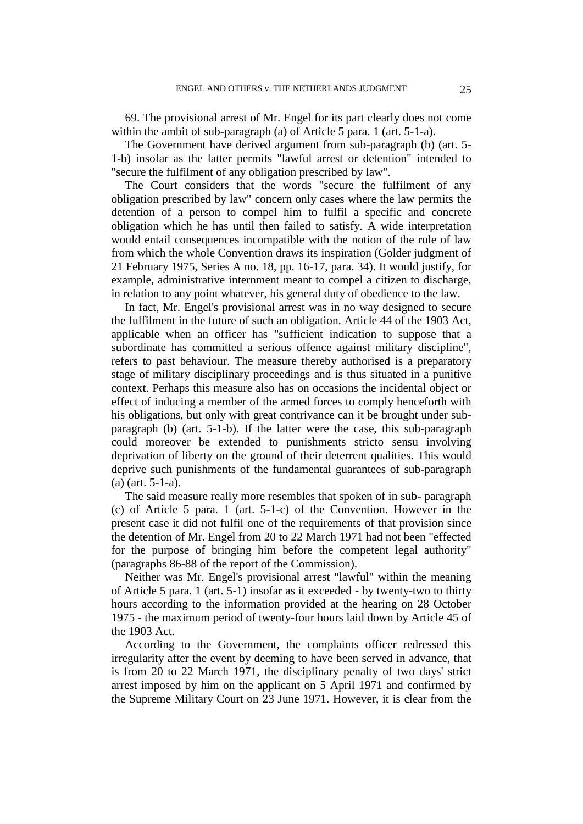69. The provisional arrest of Mr. Engel for its part clearly does not come within the ambit of sub-paragraph (a) of Article 5 para. 1 (art. 5-1-a).

The Government have derived argument from sub-paragraph (b) (art. 5- 1-b) insofar as the latter permits "lawful arrest or detention" intended to "secure the fulfilment of any obligation prescribed by law".

The Court considers that the words "secure the fulfilment of any obligation prescribed by law" concern only cases where the law permits the detention of a person to compel him to fulfil a specific and concrete obligation which he has until then failed to satisfy. A wide interpretation would entail consequences incompatible with the notion of the rule of law from which the whole Convention draws its inspiration (Golder judgment of 21 February 1975, Series A no. 18, pp. 16-17, para. 34). It would justify, for example, administrative internment meant to compel a citizen to discharge, in relation to any point whatever, his general duty of obedience to the law.

In fact, Mr. Engel's provisional arrest was in no way designed to secure the fulfilment in the future of such an obligation. Article 44 of the 1903 Act, applicable when an officer has "sufficient indication to suppose that a subordinate has committed a serious offence against military discipline", refers to past behaviour. The measure thereby authorised is a preparatory stage of military disciplinary proceedings and is thus situated in a punitive context. Perhaps this measure also has on occasions the incidental object or effect of inducing a member of the armed forces to comply henceforth with his obligations, but only with great contrivance can it be brought under subparagraph (b) (art. 5-1-b). If the latter were the case, this sub-paragraph could moreover be extended to punishments stricto sensu involving deprivation of liberty on the ground of their deterrent qualities. This would deprive such punishments of the fundamental guarantees of sub-paragraph (a) (art. 5-1-a).

The said measure really more resembles that spoken of in sub- paragraph (c) of Article 5 para. 1 (art. 5-1-c) of the Convention. However in the present case it did not fulfil one of the requirements of that provision since the detention of Mr. Engel from 20 to 22 March 1971 had not been "effected for the purpose of bringing him before the competent legal authority" (paragraphs 86-88 of the report of the Commission).

Neither was Mr. Engel's provisional arrest "lawful" within the meaning of Article 5 para. 1 (art. 5-1) insofar as it exceeded - by twenty-two to thirty hours according to the information provided at the hearing on 28 October 1975 - the maximum period of twenty-four hours laid down by Article 45 of the 1903 Act.

According to the Government, the complaints officer redressed this irregularity after the event by deeming to have been served in advance, that is from 20 to 22 March 1971, the disciplinary penalty of two days' strict arrest imposed by him on the applicant on 5 April 1971 and confirmed by the Supreme Military Court on 23 June 1971. However, it is clear from the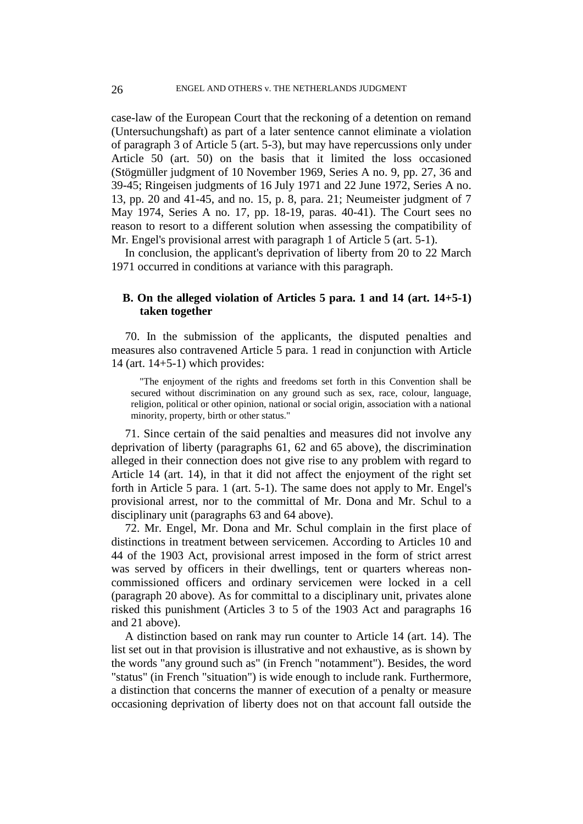case-law of the European Court that the reckoning of a detention on remand (Untersuchungshaft) as part of a later sentence cannot eliminate a violation of paragraph 3 of Article 5 (art. 5-3), but may have repercussions only under Article 50 (art. 50) on the basis that it limited the loss occasioned (Stögmüller judgment of 10 November 1969, Series A no. 9, pp. 27, 36 and 39-45; Ringeisen judgments of 16 July 1971 and 22 June 1972, Series A no. 13, pp. 20 and 41-45, and no. 15, p. 8, para. 21; Neumeister judgment of 7 May 1974, Series A no. 17, pp. 18-19, paras. 40-41). The Court sees no reason to resort to a different solution when assessing the compatibility of Mr. Engel's provisional arrest with paragraph 1 of Article 5 (art. 5-1).

In conclusion, the applicant's deprivation of liberty from 20 to 22 March 1971 occurred in conditions at variance with this paragraph.

## **B. On the alleged violation of Articles 5 para. 1 and 14 (art. 14+5-1) taken together**

70. In the submission of the applicants, the disputed penalties and measures also contravened Article 5 para. 1 read in conjunction with Article 14 (art. 14+5-1) which provides:

"The enjoyment of the rights and freedoms set forth in this Convention shall be secured without discrimination on any ground such as sex, race, colour, language, religion, political or other opinion, national or social origin, association with a national minority, property, birth or other status."

71. Since certain of the said penalties and measures did not involve any deprivation of liberty (paragraphs 61, 62 and 65 above), the discrimination alleged in their connection does not give rise to any problem with regard to Article 14 (art. 14), in that it did not affect the enjoyment of the right set forth in Article 5 para. 1 (art. 5-1). The same does not apply to Mr. Engel's provisional arrest, nor to the committal of Mr. Dona and Mr. Schul to a disciplinary unit (paragraphs 63 and 64 above).

72. Mr. Engel, Mr. Dona and Mr. Schul complain in the first place of distinctions in treatment between servicemen. According to Articles 10 and 44 of the 1903 Act, provisional arrest imposed in the form of strict arrest was served by officers in their dwellings, tent or quarters whereas noncommissioned officers and ordinary servicemen were locked in a cell (paragraph 20 above). As for committal to a disciplinary unit, privates alone risked this punishment (Articles 3 to 5 of the 1903 Act and paragraphs 16 and 21 above).

A distinction based on rank may run counter to Article 14 (art. 14). The list set out in that provision is illustrative and not exhaustive, as is shown by the words "any ground such as" (in French "notamment"). Besides, the word "status" (in French "situation") is wide enough to include rank. Furthermore, a distinction that concerns the manner of execution of a penalty or measure occasioning deprivation of liberty does not on that account fall outside the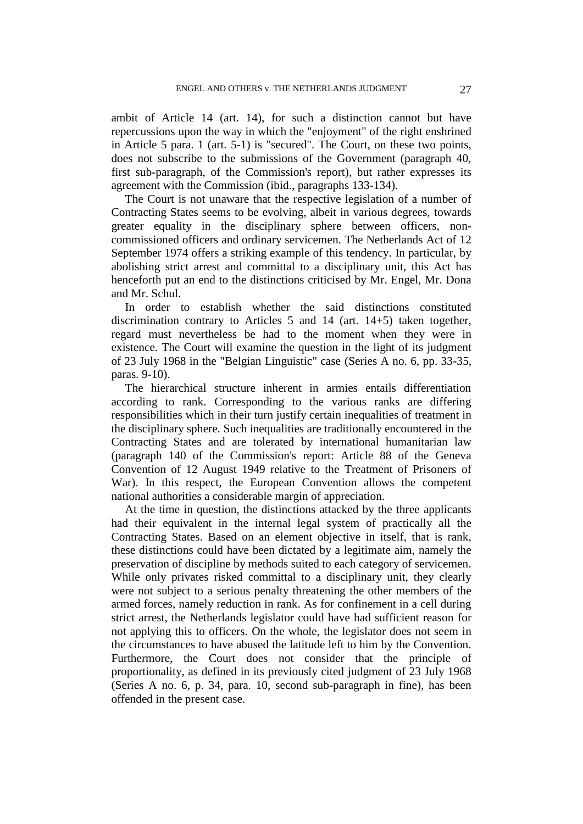ambit of Article 14 (art. 14), for such a distinction cannot but have repercussions upon the way in which the "enjoyment" of the right enshrined in Article 5 para. 1 (art. 5-1) is "secured". The Court, on these two points, does not subscribe to the submissions of the Government (paragraph 40, first sub-paragraph, of the Commission's report), but rather expresses its agreement with the Commission (ibid., paragraphs 133-134).

The Court is not unaware that the respective legislation of a number of Contracting States seems to be evolving, albeit in various degrees, towards greater equality in the disciplinary sphere between officers, noncommissioned officers and ordinary servicemen. The Netherlands Act of 12 September 1974 offers a striking example of this tendency. In particular, by abolishing strict arrest and committal to a disciplinary unit, this Act has henceforth put an end to the distinctions criticised by Mr. Engel, Mr. Dona and Mr. Schul.

In order to establish whether the said distinctions constituted discrimination contrary to Articles 5 and 14 (art. 14+5) taken together, regard must nevertheless be had to the moment when they were in existence. The Court will examine the question in the light of its judgment of 23 July 1968 in the "Belgian Linguistic" case (Series A no. 6, pp. 33-35, paras. 9-10).

The hierarchical structure inherent in armies entails differentiation according to rank. Corresponding to the various ranks are differing responsibilities which in their turn justify certain inequalities of treatment in the disciplinary sphere. Such inequalities are traditionally encountered in the Contracting States and are tolerated by international humanitarian law (paragraph 140 of the Commission's report: Article 88 of the Geneva Convention of 12 August 1949 relative to the Treatment of Prisoners of War). In this respect, the European Convention allows the competent national authorities a considerable margin of appreciation.

At the time in question, the distinctions attacked by the three applicants had their equivalent in the internal legal system of practically all the Contracting States. Based on an element objective in itself, that is rank, these distinctions could have been dictated by a legitimate aim, namely the preservation of discipline by methods suited to each category of servicemen. While only privates risked committal to a disciplinary unit, they clearly were not subject to a serious penalty threatening the other members of the armed forces, namely reduction in rank. As for confinement in a cell during strict arrest, the Netherlands legislator could have had sufficient reason for not applying this to officers. On the whole, the legislator does not seem in the circumstances to have abused the latitude left to him by the Convention. Furthermore, the Court does not consider that the principle of proportionality, as defined in its previously cited judgment of 23 July 1968 (Series A no. 6, p. 34, para. 10, second sub-paragraph in fine), has been offended in the present case.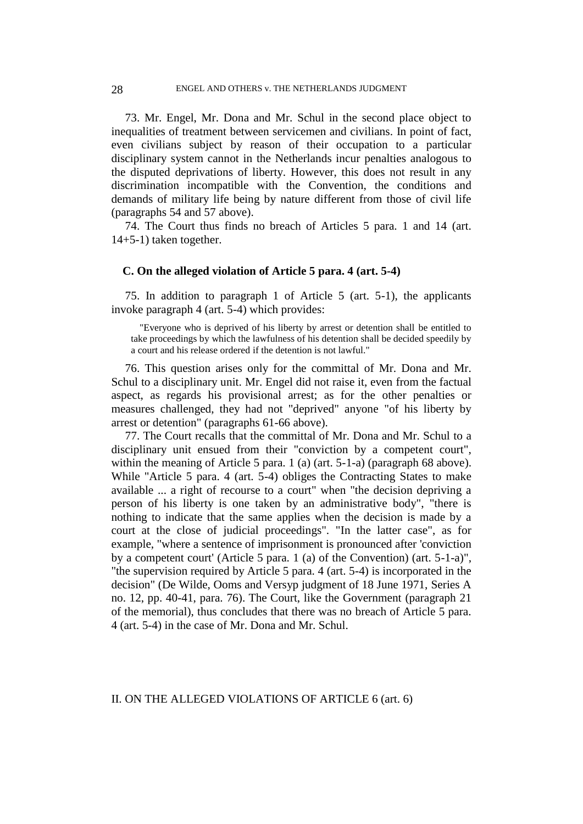73. Mr. Engel, Mr. Dona and Mr. Schul in the second place object to inequalities of treatment between servicemen and civilians. In point of fact, even civilians subject by reason of their occupation to a particular disciplinary system cannot in the Netherlands incur penalties analogous to the disputed deprivations of liberty. However, this does not result in any discrimination incompatible with the Convention, the conditions and demands of military life being by nature different from those of civil life (paragraphs 54 and 57 above).

74. The Court thus finds no breach of Articles 5 para. 1 and 14 (art. 14+5-1) taken together.

#### **C. On the alleged violation of Article 5 para. 4 (art. 5-4)**

75. In addition to paragraph 1 of Article 5 (art. 5-1), the applicants invoke paragraph 4 (art. 5-4) which provides:

"Everyone who is deprived of his liberty by arrest or detention shall be entitled to take proceedings by which the lawfulness of his detention shall be decided speedily by a court and his release ordered if the detention is not lawful."

76. This question arises only for the committal of Mr. Dona and Mr. Schul to a disciplinary unit. Mr. Engel did not raise it, even from the factual aspect, as regards his provisional arrest; as for the other penalties or measures challenged, they had not "deprived" anyone "of his liberty by arrest or detention" (paragraphs 61-66 above).

77. The Court recalls that the committal of Mr. Dona and Mr. Schul to a disciplinary unit ensued from their "conviction by a competent court", within the meaning of Article 5 para. 1 (a) (art. 5-1-a) (paragraph 68 above). While "Article 5 para. 4 (art. 5-4) obliges the Contracting States to make available ... a right of recourse to a court" when "the decision depriving a person of his liberty is one taken by an administrative body", "there is nothing to indicate that the same applies when the decision is made by a court at the close of judicial proceedings". "In the latter case", as for example, "where a sentence of imprisonment is pronounced after 'conviction by a competent court' (Article 5 para. 1 (a) of the Convention) (art. 5-1-a)", "the supervision required by Article 5 para. 4 (art. 5-4) is incorporated in the decision" (De Wilde, Ooms and Versyp judgment of 18 June 1971, Series A no. 12, pp. 40-41, para. 76). The Court, like the Government (paragraph 21 of the memorial), thus concludes that there was no breach of Article 5 para. 4 (art. 5-4) in the case of Mr. Dona and Mr. Schul.

II. ON THE ALLEGED VIOLATIONS OF ARTICLE 6 (art. 6)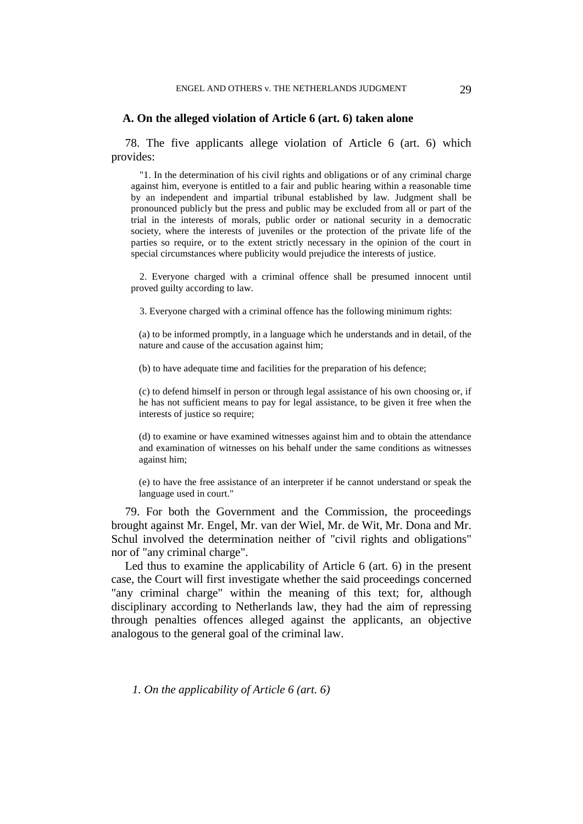#### **A. On the alleged violation of Article 6 (art. 6) taken alone**

78. The five applicants allege violation of Article 6 (art. 6) which provides:

"1. In the determination of his civil rights and obligations or of any criminal charge against him, everyone is entitled to a fair and public hearing within a reasonable time by an independent and impartial tribunal established by law. Judgment shall be pronounced publicly but the press and public may be excluded from all or part of the trial in the interests of morals, public order or national security in a democratic society, where the interests of juveniles or the protection of the private life of the parties so require, or to the extent strictly necessary in the opinion of the court in special circumstances where publicity would prejudice the interests of justice.

2. Everyone charged with a criminal offence shall be presumed innocent until proved guilty according to law.

3. Everyone charged with a criminal offence has the following minimum rights:

(a) to be informed promptly, in a language which he understands and in detail, of the nature and cause of the accusation against him;

(b) to have adequate time and facilities for the preparation of his defence;

(c) to defend himself in person or through legal assistance of his own choosing or, if he has not sufficient means to pay for legal assistance, to be given it free when the interests of justice so require;

(d) to examine or have examined witnesses against him and to obtain the attendance and examination of witnesses on his behalf under the same conditions as witnesses against him;

(e) to have the free assistance of an interpreter if he cannot understand or speak the language used in court."

79. For both the Government and the Commission, the proceedings brought against Mr. Engel, Mr. van der Wiel, Mr. de Wit, Mr. Dona and Mr. Schul involved the determination neither of "civil rights and obligations" nor of "any criminal charge".

Led thus to examine the applicability of Article 6 (art. 6) in the present case, the Court will first investigate whether the said proceedings concerned "any criminal charge" within the meaning of this text; for, although disciplinary according to Netherlands law, they had the aim of repressing through penalties offences alleged against the applicants, an objective analogous to the general goal of the criminal law.

*1. On the applicability of Article 6 (art. 6)*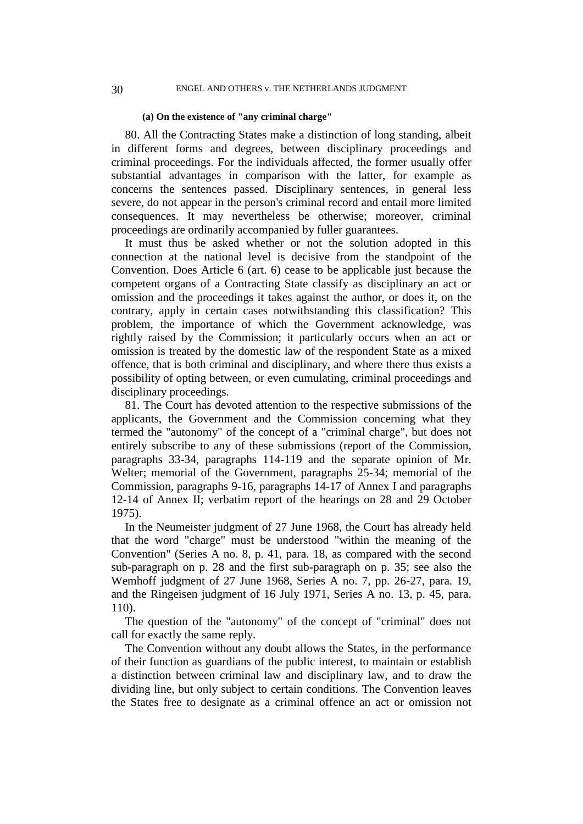#### **(a) On the existence of "any criminal charge"**

80. All the Contracting States make a distinction of long standing, albeit in different forms and degrees, between disciplinary proceedings and criminal proceedings. For the individuals affected, the former usually offer substantial advantages in comparison with the latter, for example as concerns the sentences passed. Disciplinary sentences, in general less severe, do not appear in the person's criminal record and entail more limited consequences. It may nevertheless be otherwise; moreover, criminal proceedings are ordinarily accompanied by fuller guarantees.

It must thus be asked whether or not the solution adopted in this connection at the national level is decisive from the standpoint of the Convention. Does Article 6 (art. 6) cease to be applicable just because the competent organs of a Contracting State classify as disciplinary an act or omission and the proceedings it takes against the author, or does it, on the contrary, apply in certain cases notwithstanding this classification? This problem, the importance of which the Government acknowledge, was rightly raised by the Commission; it particularly occurs when an act or omission is treated by the domestic law of the respondent State as a mixed offence, that is both criminal and disciplinary, and where there thus exists a possibility of opting between, or even cumulating, criminal proceedings and disciplinary proceedings.

81. The Court has devoted attention to the respective submissions of the applicants, the Government and the Commission concerning what they termed the "autonomy" of the concept of a "criminal charge", but does not entirely subscribe to any of these submissions (report of the Commission, paragraphs 33-34, paragraphs 114-119 and the separate opinion of Mr. Welter; memorial of the Government, paragraphs 25-34; memorial of the Commission, paragraphs 9-16, paragraphs 14-17 of Annex I and paragraphs 12-14 of Annex II; verbatim report of the hearings on 28 and 29 October 1975).

In the Neumeister judgment of 27 June 1968, the Court has already held that the word "charge" must be understood "within the meaning of the Convention" (Series A no. 8, p. 41, para. 18, as compared with the second sub-paragraph on p. 28 and the first sub-paragraph on p. 35; see also the Wemhoff judgment of 27 June 1968, Series A no. 7, pp. 26-27, para. 19, and the Ringeisen judgment of 16 July 1971, Series A no. 13, p. 45, para. 110).

The question of the "autonomy" of the concept of "criminal" does not call for exactly the same reply.

The Convention without any doubt allows the States, in the performance of their function as guardians of the public interest, to maintain or establish a distinction between criminal law and disciplinary law, and to draw the dividing line, but only subject to certain conditions. The Convention leaves the States free to designate as a criminal offence an act or omission not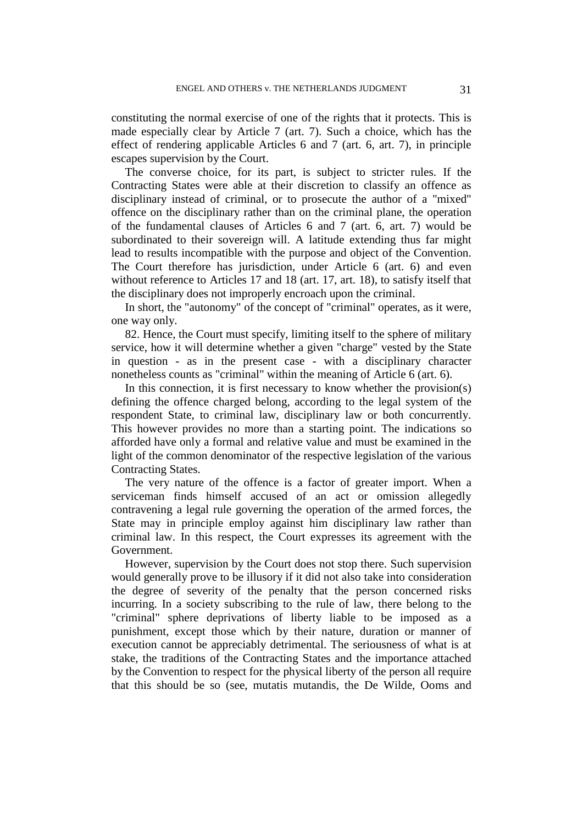constituting the normal exercise of one of the rights that it protects. This is made especially clear by Article 7 (art. 7). Such a choice, which has the effect of rendering applicable Articles 6 and 7 (art. 6, art. 7), in principle escapes supervision by the Court.

The converse choice, for its part, is subject to stricter rules. If the Contracting States were able at their discretion to classify an offence as disciplinary instead of criminal, or to prosecute the author of a "mixed" offence on the disciplinary rather than on the criminal plane, the operation of the fundamental clauses of Articles 6 and 7 (art. 6, art. 7) would be subordinated to their sovereign will. A latitude extending thus far might lead to results incompatible with the purpose and object of the Convention. The Court therefore has jurisdiction, under Article 6 (art. 6) and even without reference to Articles 17 and 18 (art. 17, art. 18), to satisfy itself that the disciplinary does not improperly encroach upon the criminal.

In short, the "autonomy" of the concept of "criminal" operates, as it were, one way only.

82. Hence, the Court must specify, limiting itself to the sphere of military service, how it will determine whether a given "charge" vested by the State in question - as in the present case - with a disciplinary character nonetheless counts as "criminal" within the meaning of Article 6 (art. 6).

In this connection, it is first necessary to know whether the provision(s) defining the offence charged belong, according to the legal system of the respondent State, to criminal law, disciplinary law or both concurrently. This however provides no more than a starting point. The indications so afforded have only a formal and relative value and must be examined in the light of the common denominator of the respective legislation of the various Contracting States.

The very nature of the offence is a factor of greater import. When a serviceman finds himself accused of an act or omission allegedly contravening a legal rule governing the operation of the armed forces, the State may in principle employ against him disciplinary law rather than criminal law. In this respect, the Court expresses its agreement with the Government.

However, supervision by the Court does not stop there. Such supervision would generally prove to be illusory if it did not also take into consideration the degree of severity of the penalty that the person concerned risks incurring. In a society subscribing to the rule of law, there belong to the "criminal" sphere deprivations of liberty liable to be imposed as a punishment, except those which by their nature, duration or manner of execution cannot be appreciably detrimental. The seriousness of what is at stake, the traditions of the Contracting States and the importance attached by the Convention to respect for the physical liberty of the person all require that this should be so (see, mutatis mutandis, the De Wilde, Ooms and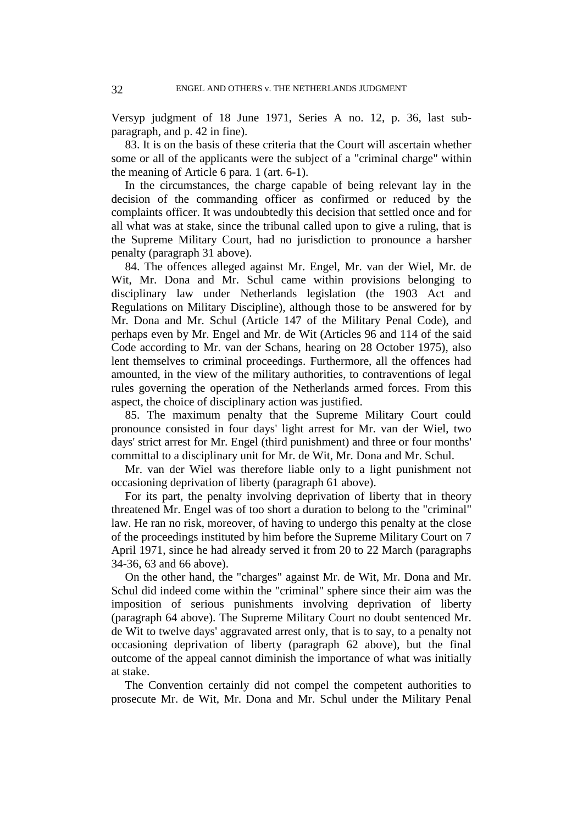Versyp judgment of 18 June 1971, Series A no. 12, p. 36, last subparagraph, and p. 42 in fine).

83. It is on the basis of these criteria that the Court will ascertain whether some or all of the applicants were the subject of a "criminal charge" within the meaning of Article 6 para. 1 (art. 6-1).

In the circumstances, the charge capable of being relevant lay in the decision of the commanding officer as confirmed or reduced by the complaints officer. It was undoubtedly this decision that settled once and for all what was at stake, since the tribunal called upon to give a ruling, that is the Supreme Military Court, had no jurisdiction to pronounce a harsher penalty (paragraph 31 above).

84. The offences alleged against Mr. Engel, Mr. van der Wiel, Mr. de Wit, Mr. Dona and Mr. Schul came within provisions belonging to disciplinary law under Netherlands legislation (the 1903 Act and Regulations on Military Discipline), although those to be answered for by Mr. Dona and Mr. Schul (Article 147 of the Military Penal Code), and perhaps even by Mr. Engel and Mr. de Wit (Articles 96 and 114 of the said Code according to Mr. van der Schans, hearing on 28 October 1975), also lent themselves to criminal proceedings. Furthermore, all the offences had amounted, in the view of the military authorities, to contraventions of legal rules governing the operation of the Netherlands armed forces. From this aspect, the choice of disciplinary action was justified.

85. The maximum penalty that the Supreme Military Court could pronounce consisted in four days' light arrest for Mr. van der Wiel, two days' strict arrest for Mr. Engel (third punishment) and three or four months' committal to a disciplinary unit for Mr. de Wit, Mr. Dona and Mr. Schul.

Mr. van der Wiel was therefore liable only to a light punishment not occasioning deprivation of liberty (paragraph 61 above).

For its part, the penalty involving deprivation of liberty that in theory threatened Mr. Engel was of too short a duration to belong to the "criminal" law. He ran no risk, moreover, of having to undergo this penalty at the close of the proceedings instituted by him before the Supreme Military Court on 7 April 1971, since he had already served it from 20 to 22 March (paragraphs 34-36, 63 and 66 above).

On the other hand, the "charges" against Mr. de Wit, Mr. Dona and Mr. Schul did indeed come within the "criminal" sphere since their aim was the imposition of serious punishments involving deprivation of liberty (paragraph 64 above). The Supreme Military Court no doubt sentenced Mr. de Wit to twelve days' aggravated arrest only, that is to say, to a penalty not occasioning deprivation of liberty (paragraph 62 above), but the final outcome of the appeal cannot diminish the importance of what was initially at stake.

The Convention certainly did not compel the competent authorities to prosecute Mr. de Wit, Mr. Dona and Mr. Schul under the Military Penal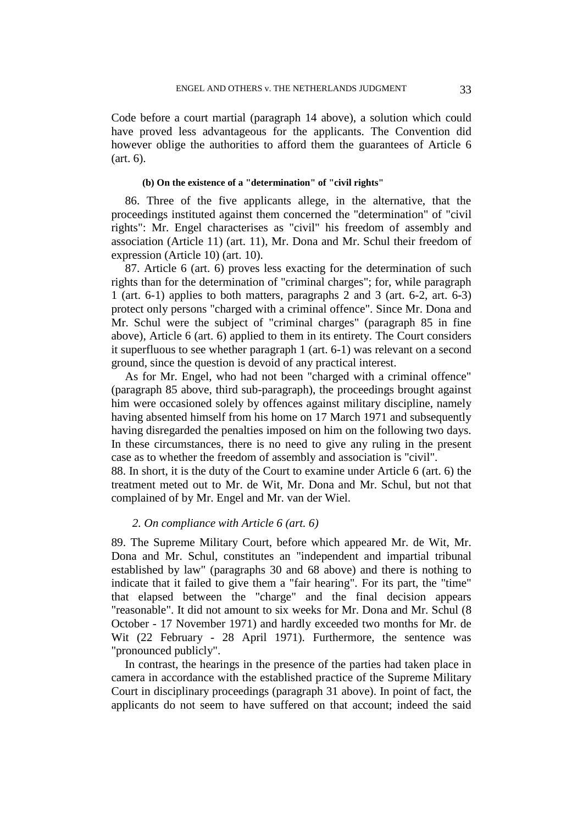Code before a court martial (paragraph 14 above), a solution which could have proved less advantageous for the applicants. The Convention did however oblige the authorities to afford them the guarantees of Article 6 (art. 6).

### **(b) On the existence of a "determination" of "civil rights"**

86. Three of the five applicants allege, in the alternative, that the proceedings instituted against them concerned the "determination" of "civil rights": Mr. Engel characterises as "civil" his freedom of assembly and association (Article 11) (art. 11), Mr. Dona and Mr. Schul their freedom of expression (Article 10) (art. 10).

87. Article 6 (art. 6) proves less exacting for the determination of such rights than for the determination of "criminal charges"; for, while paragraph 1 (art. 6-1) applies to both matters, paragraphs 2 and 3 (art. 6-2, art. 6-3) protect only persons "charged with a criminal offence". Since Mr. Dona and Mr. Schul were the subject of "criminal charges" (paragraph 85 in fine above), Article 6 (art. 6) applied to them in its entirety. The Court considers it superfluous to see whether paragraph 1 (art. 6-1) was relevant on a second ground, since the question is devoid of any practical interest.

As for Mr. Engel, who had not been "charged with a criminal offence" (paragraph 85 above, third sub-paragraph), the proceedings brought against him were occasioned solely by offences against military discipline, namely having absented himself from his home on 17 March 1971 and subsequently having disregarded the penalties imposed on him on the following two days. In these circumstances, there is no need to give any ruling in the present case as to whether the freedom of assembly and association is "civil".

88. In short, it is the duty of the Court to examine under Article 6 (art. 6) the treatment meted out to Mr. de Wit, Mr. Dona and Mr. Schul, but not that complained of by Mr. Engel and Mr. van der Wiel.

#### *2. On compliance with Article 6 (art. 6)*

89. The Supreme Military Court, before which appeared Mr. de Wit, Mr. Dona and Mr. Schul, constitutes an "independent and impartial tribunal established by law" (paragraphs 30 and 68 above) and there is nothing to indicate that it failed to give them a "fair hearing". For its part, the "time" that elapsed between the "charge" and the final decision appears "reasonable". It did not amount to six weeks for Mr. Dona and Mr. Schul (8 October - 17 November 1971) and hardly exceeded two months for Mr. de Wit (22 February - 28 April 1971). Furthermore, the sentence was "pronounced publicly".

In contrast, the hearings in the presence of the parties had taken place in camera in accordance with the established practice of the Supreme Military Court in disciplinary proceedings (paragraph 31 above). In point of fact, the applicants do not seem to have suffered on that account; indeed the said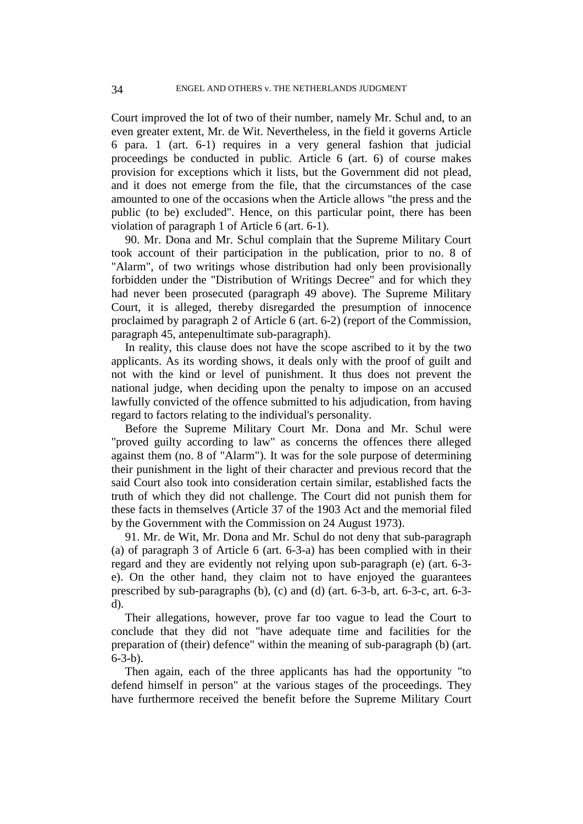Court improved the lot of two of their number, namely Mr. Schul and, to an even greater extent, Mr. de Wit. Nevertheless, in the field it governs Article 6 para. 1 (art. 6-1) requires in a very general fashion that judicial proceedings be conducted in public. Article 6 (art. 6) of course makes provision for exceptions which it lists, but the Government did not plead, and it does not emerge from the file, that the circumstances of the case amounted to one of the occasions when the Article allows "the press and the public (to be) excluded". Hence, on this particular point, there has been violation of paragraph 1 of Article 6 (art. 6-1).

90. Mr. Dona and Mr. Schul complain that the Supreme Military Court took account of their participation in the publication, prior to no. 8 of "Alarm", of two writings whose distribution had only been provisionally forbidden under the "Distribution of Writings Decree" and for which they had never been prosecuted (paragraph 49 above). The Supreme Military Court, it is alleged, thereby disregarded the presumption of innocence proclaimed by paragraph 2 of Article 6 (art. 6-2) (report of the Commission, paragraph 45, antepenultimate sub-paragraph).

In reality, this clause does not have the scope ascribed to it by the two applicants. As its wording shows, it deals only with the proof of guilt and not with the kind or level of punishment. It thus does not prevent the national judge, when deciding upon the penalty to impose on an accused lawfully convicted of the offence submitted to his adjudication, from having regard to factors relating to the individual's personality.

Before the Supreme Military Court Mr. Dona and Mr. Schul were "proved guilty according to law" as concerns the offences there alleged against them (no. 8 of "Alarm"). It was for the sole purpose of determining their punishment in the light of their character and previous record that the said Court also took into consideration certain similar, established facts the truth of which they did not challenge. The Court did not punish them for these facts in themselves (Article 37 of the 1903 Act and the memorial filed by the Government with the Commission on 24 August 1973).

91. Mr. de Wit, Mr. Dona and Mr. Schul do not deny that sub-paragraph (a) of paragraph 3 of Article 6 (art. 6-3-a) has been complied with in their regard and they are evidently not relying upon sub-paragraph (e) (art. 6-3 e). On the other hand, they claim not to have enjoyed the guarantees prescribed by sub-paragraphs (b), (c) and (d) (art. 6-3-b, art. 6-3-c, art. 6-3 d).

Their allegations, however, prove far too vague to lead the Court to conclude that they did not "have adequate time and facilities for the preparation of (their) defence" within the meaning of sub-paragraph (b) (art. 6-3-b).

Then again, each of the three applicants has had the opportunity "to defend himself in person" at the various stages of the proceedings. They have furthermore received the benefit before the Supreme Military Court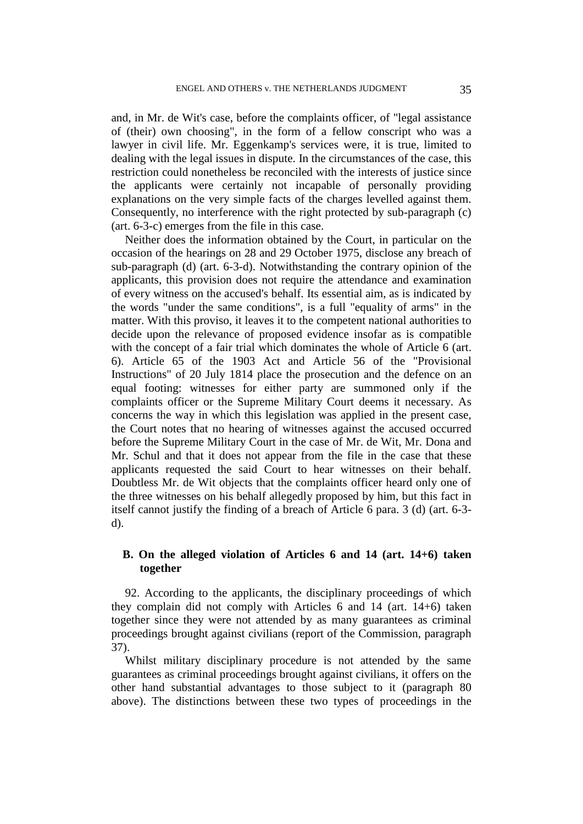and, in Mr. de Wit's case, before the complaints officer, of "legal assistance of (their) own choosing", in the form of a fellow conscript who was a lawyer in civil life. Mr. Eggenkamp's services were, it is true, limited to dealing with the legal issues in dispute. In the circumstances of the case, this restriction could nonetheless be reconciled with the interests of justice since the applicants were certainly not incapable of personally providing explanations on the very simple facts of the charges levelled against them. Consequently, no interference with the right protected by sub-paragraph (c) (art. 6-3-c) emerges from the file in this case.

Neither does the information obtained by the Court, in particular on the occasion of the hearings on 28 and 29 October 1975, disclose any breach of sub-paragraph (d) (art. 6-3-d). Notwithstanding the contrary opinion of the applicants, this provision does not require the attendance and examination of every witness on the accused's behalf. Its essential aim, as is indicated by the words "under the same conditions", is a full "equality of arms" in the matter. With this proviso, it leaves it to the competent national authorities to decide upon the relevance of proposed evidence insofar as is compatible with the concept of a fair trial which dominates the whole of Article 6 (art. 6). Article 65 of the 1903 Act and Article 56 of the "Provisional Instructions" of 20 July 1814 place the prosecution and the defence on an equal footing: witnesses for either party are summoned only if the complaints officer or the Supreme Military Court deems it necessary. As concerns the way in which this legislation was applied in the present case, the Court notes that no hearing of witnesses against the accused occurred before the Supreme Military Court in the case of Mr. de Wit, Mr. Dona and Mr. Schul and that it does not appear from the file in the case that these applicants requested the said Court to hear witnesses on their behalf. Doubtless Mr. de Wit objects that the complaints officer heard only one of the three witnesses on his behalf allegedly proposed by him, but this fact in itself cannot justify the finding of a breach of Article 6 para. 3 (d) (art. 6-3 d).

## **B. On the alleged violation of Articles 6 and 14 (art. 14+6) taken together**

92. According to the applicants, the disciplinary proceedings of which they complain did not comply with Articles 6 and 14 (art. 14+6) taken together since they were not attended by as many guarantees as criminal proceedings brought against civilians (report of the Commission, paragraph 37).

Whilst military disciplinary procedure is not attended by the same guarantees as criminal proceedings brought against civilians, it offers on the other hand substantial advantages to those subject to it (paragraph 80 above). The distinctions between these two types of proceedings in the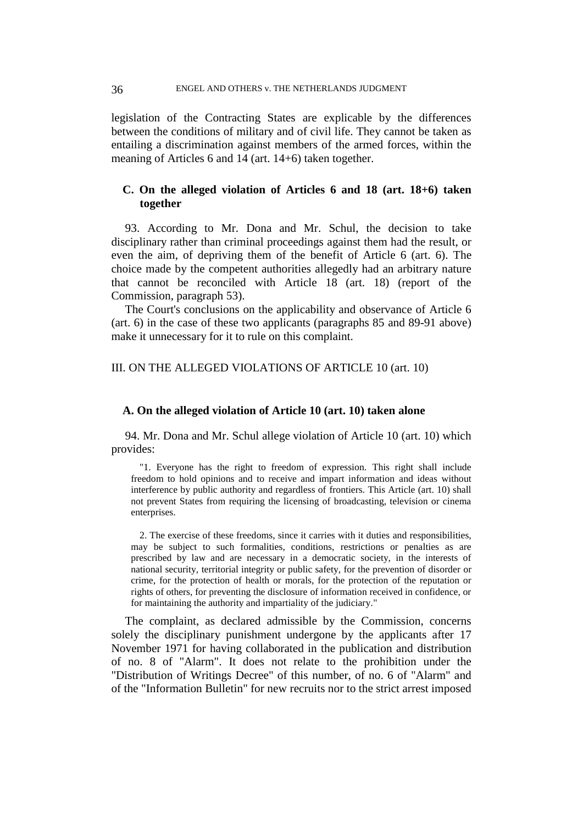legislation of the Contracting States are explicable by the differences between the conditions of military and of civil life. They cannot be taken as entailing a discrimination against members of the armed forces, within the meaning of Articles 6 and 14 (art. 14+6) taken together.

## **C. On the alleged violation of Articles 6 and 18 (art. 18+6) taken together**

93. According to Mr. Dona and Mr. Schul, the decision to take disciplinary rather than criminal proceedings against them had the result, or even the aim, of depriving them of the benefit of Article 6 (art. 6). The choice made by the competent authorities allegedly had an arbitrary nature that cannot be reconciled with Article 18 (art. 18) (report of the Commission, paragraph 53).

The Court's conclusions on the applicability and observance of Article 6 (art. 6) in the case of these two applicants (paragraphs 85 and 89-91 above) make it unnecessary for it to rule on this complaint.

#### III. ON THE ALLEGED VIOLATIONS OF ARTICLE 10 (art. 10)

#### **A. On the alleged violation of Article 10 (art. 10) taken alone**

94. Mr. Dona and Mr. Schul allege violation of Article 10 (art. 10) which provides:

"1. Everyone has the right to freedom of expression. This right shall include freedom to hold opinions and to receive and impart information and ideas without interference by public authority and regardless of frontiers. This Article (art. 10) shall not prevent States from requiring the licensing of broadcasting, television or cinema enterprises.

2. The exercise of these freedoms, since it carries with it duties and responsibilities, may be subject to such formalities, conditions, restrictions or penalties as are prescribed by law and are necessary in a democratic society, in the interests of national security, territorial integrity or public safety, for the prevention of disorder or crime, for the protection of health or morals, for the protection of the reputation or rights of others, for preventing the disclosure of information received in confidence, or for maintaining the authority and impartiality of the judiciary."

The complaint, as declared admissible by the Commission, concerns solely the disciplinary punishment undergone by the applicants after 17 November 1971 for having collaborated in the publication and distribution of no. 8 of "Alarm". It does not relate to the prohibition under the "Distribution of Writings Decree" of this number, of no. 6 of "Alarm" and of the "Information Bulletin" for new recruits nor to the strict arrest imposed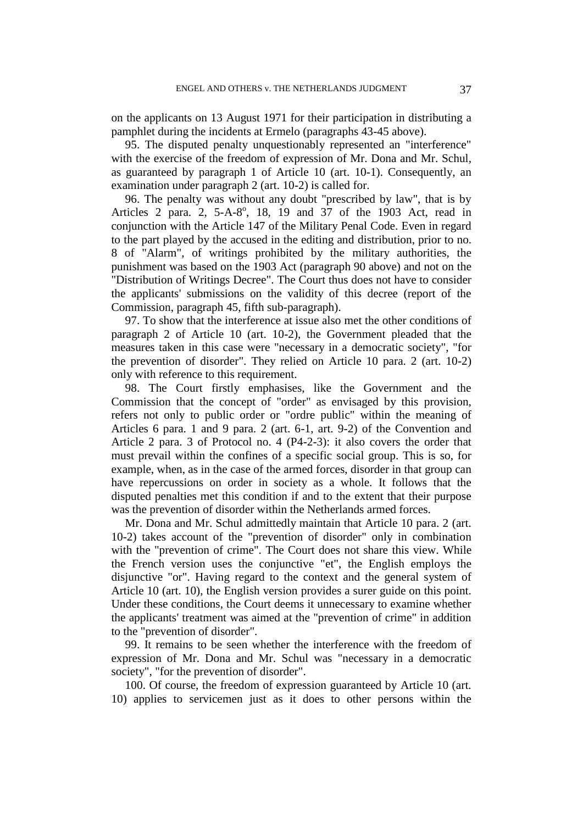on the applicants on 13 August 1971 for their participation in distributing a pamphlet during the incidents at Ermelo (paragraphs 43-45 above).

95. The disputed penalty unquestionably represented an "interference" with the exercise of the freedom of expression of Mr. Dona and Mr. Schul, as guaranteed by paragraph 1 of Article 10 (art. 10-1). Consequently, an examination under paragraph 2 (art. 10-2) is called for.

96. The penalty was without any doubt "prescribed by law", that is by Articles 2 para. 2, 5-A-8°, 18, 19 and 37 of the 1903 Act, read in conjunction with the Article 147 of the Military Penal Code. Even in regard to the part played by the accused in the editing and distribution, prior to no. 8 of "Alarm", of writings prohibited by the military authorities, the punishment was based on the 1903 Act (paragraph 90 above) and not on the "Distribution of Writings Decree". The Court thus does not have to consider the applicants' submissions on the validity of this decree (report of the Commission, paragraph 45, fifth sub-paragraph).

97. To show that the interference at issue also met the other conditions of paragraph 2 of Article 10 (art. 10-2), the Government pleaded that the measures taken in this case were "necessary in a democratic society", "for the prevention of disorder". They relied on Article 10 para. 2 (art. 10-2) only with reference to this requirement.

98. The Court firstly emphasises, like the Government and the Commission that the concept of "order" as envisaged by this provision, refers not only to public order or "ordre public" within the meaning of Articles 6 para. 1 and 9 para. 2 (art. 6-1, art. 9-2) of the Convention and Article 2 para. 3 of Protocol no. 4 (P4-2-3): it also covers the order that must prevail within the confines of a specific social group. This is so, for example, when, as in the case of the armed forces, disorder in that group can have repercussions on order in society as a whole. It follows that the disputed penalties met this condition if and to the extent that their purpose was the prevention of disorder within the Netherlands armed forces.

Mr. Dona and Mr. Schul admittedly maintain that Article 10 para. 2 (art. 10-2) takes account of the "prevention of disorder" only in combination with the "prevention of crime". The Court does not share this view. While the French version uses the conjunctive "et", the English employs the disjunctive "or". Having regard to the context and the general system of Article 10 (art. 10), the English version provides a surer guide on this point. Under these conditions, the Court deems it unnecessary to examine whether the applicants' treatment was aimed at the "prevention of crime" in addition to the "prevention of disorder".

99. It remains to be seen whether the interference with the freedom of expression of Mr. Dona and Mr. Schul was "necessary in a democratic society", "for the prevention of disorder".

100. Of course, the freedom of expression guaranteed by Article 10 (art. 10) applies to servicemen just as it does to other persons within the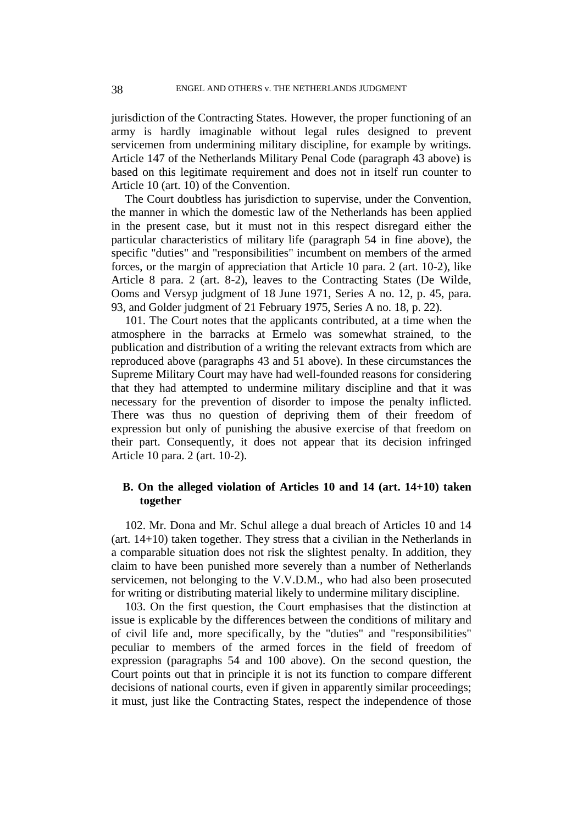jurisdiction of the Contracting States. However, the proper functioning of an army is hardly imaginable without legal rules designed to prevent servicemen from undermining military discipline, for example by writings. Article 147 of the Netherlands Military Penal Code (paragraph 43 above) is based on this legitimate requirement and does not in itself run counter to Article 10 (art. 10) of the Convention.

The Court doubtless has jurisdiction to supervise, under the Convention, the manner in which the domestic law of the Netherlands has been applied in the present case, but it must not in this respect disregard either the particular characteristics of military life (paragraph 54 in fine above), the specific "duties" and "responsibilities" incumbent on members of the armed forces, or the margin of appreciation that Article 10 para. 2 (art. 10-2), like Article 8 para. 2 (art. 8-2), leaves to the Contracting States (De Wilde, Ooms and Versyp judgment of 18 June 1971, Series A no. 12, p. 45, para. 93, and Golder judgment of 21 February 1975, Series A no. 18, p. 22).

101. The Court notes that the applicants contributed, at a time when the atmosphere in the barracks at Ermelo was somewhat strained, to the publication and distribution of a writing the relevant extracts from which are reproduced above (paragraphs 43 and 51 above). In these circumstances the Supreme Military Court may have had well-founded reasons for considering that they had attempted to undermine military discipline and that it was necessary for the prevention of disorder to impose the penalty inflicted. There was thus no question of depriving them of their freedom of expression but only of punishing the abusive exercise of that freedom on their part. Consequently, it does not appear that its decision infringed Article 10 para. 2 (art. 10-2).

## **B. On the alleged violation of Articles 10 and 14 (art. 14+10) taken together**

102. Mr. Dona and Mr. Schul allege a dual breach of Articles 10 and 14 (art. 14+10) taken together. They stress that a civilian in the Netherlands in a comparable situation does not risk the slightest penalty. In addition, they claim to have been punished more severely than a number of Netherlands servicemen, not belonging to the V.V.D.M., who had also been prosecuted for writing or distributing material likely to undermine military discipline.

103. On the first question, the Court emphasises that the distinction at issue is explicable by the differences between the conditions of military and of civil life and, more specifically, by the "duties" and "responsibilities" peculiar to members of the armed forces in the field of freedom of expression (paragraphs 54 and 100 above). On the second question, the Court points out that in principle it is not its function to compare different decisions of national courts, even if given in apparently similar proceedings; it must, just like the Contracting States, respect the independence of those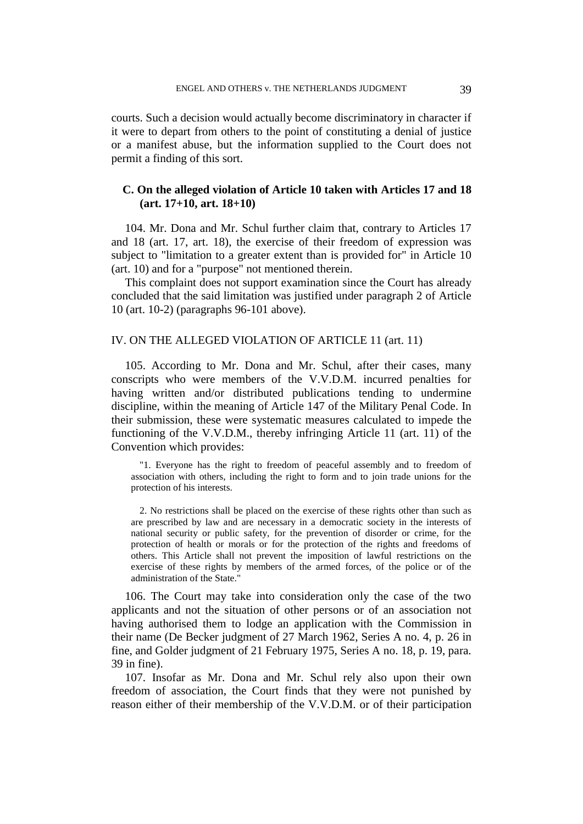courts. Such a decision would actually become discriminatory in character if it were to depart from others to the point of constituting a denial of justice or a manifest abuse, but the information supplied to the Court does not permit a finding of this sort.

### **C. On the alleged violation of Article 10 taken with Articles 17 and 18 (art. 17+10, art. 18+10)**

104. Mr. Dona and Mr. Schul further claim that, contrary to Articles 17 and 18 (art. 17, art. 18), the exercise of their freedom of expression was subject to "limitation to a greater extent than is provided for" in Article 10 (art. 10) and for a "purpose" not mentioned therein.

This complaint does not support examination since the Court has already concluded that the said limitation was justified under paragraph 2 of Article 10 (art. 10-2) (paragraphs 96-101 above).

### IV. ON THE ALLEGED VIOLATION OF ARTICLE 11 (art. 11)

105. According to Mr. Dona and Mr. Schul, after their cases, many conscripts who were members of the V.V.D.M. incurred penalties for having written and/or distributed publications tending to undermine discipline, within the meaning of Article 147 of the Military Penal Code. In their submission, these were systematic measures calculated to impede the functioning of the V.V.D.M., thereby infringing Article 11 (art. 11) of the Convention which provides:

"1. Everyone has the right to freedom of peaceful assembly and to freedom of association with others, including the right to form and to join trade unions for the protection of his interests.

2. No restrictions shall be placed on the exercise of these rights other than such as are prescribed by law and are necessary in a democratic society in the interests of national security or public safety, for the prevention of disorder or crime, for the protection of health or morals or for the protection of the rights and freedoms of others. This Article shall not prevent the imposition of lawful restrictions on the exercise of these rights by members of the armed forces, of the police or of the administration of the State."

106. The Court may take into consideration only the case of the two applicants and not the situation of other persons or of an association not having authorised them to lodge an application with the Commission in their name (De Becker judgment of 27 March 1962, Series A no. 4, p. 26 in fine, and Golder judgment of 21 February 1975, Series A no. 18, p. 19, para. 39 in fine).

107. Insofar as Mr. Dona and Mr. Schul rely also upon their own freedom of association, the Court finds that they were not punished by reason either of their membership of the V.V.D.M. or of their participation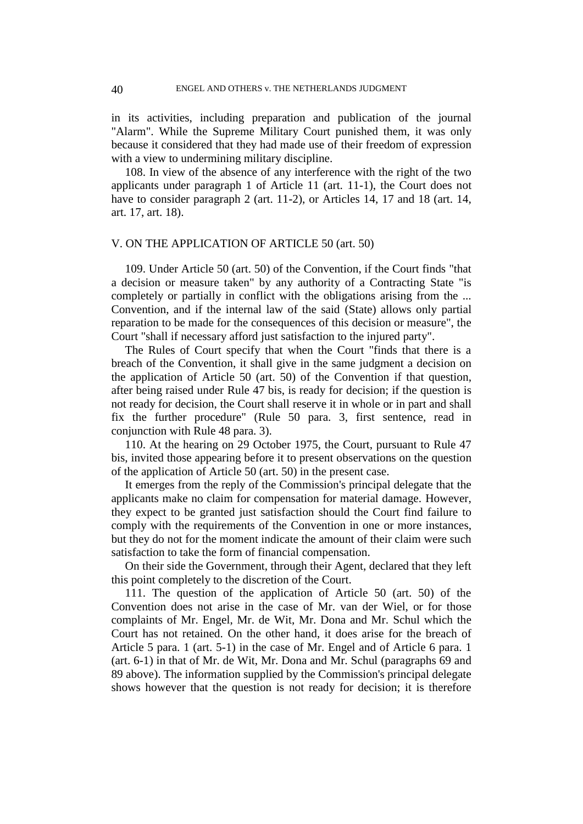in its activities, including preparation and publication of the journal "Alarm". While the Supreme Military Court punished them, it was only because it considered that they had made use of their freedom of expression with a view to undermining military discipline.

108. In view of the absence of any interference with the right of the two applicants under paragraph 1 of Article 11 (art. 11-1), the Court does not have to consider paragraph 2 (art. 11-2), or Articles 14, 17 and 18 (art. 14, art. 17, art. 18).

#### V. ON THE APPLICATION OF ARTICLE 50 (art. 50)

109. Under Article 50 (art. 50) of the Convention, if the Court finds "that a decision or measure taken" by any authority of a Contracting State "is completely or partially in conflict with the obligations arising from the ... Convention, and if the internal law of the said (State) allows only partial reparation to be made for the consequences of this decision or measure", the Court "shall if necessary afford just satisfaction to the injured party".

The Rules of Court specify that when the Court "finds that there is a breach of the Convention, it shall give in the same judgment a decision on the application of Article 50 (art. 50) of the Convention if that question, after being raised under Rule 47 bis, is ready for decision; if the question is not ready for decision, the Court shall reserve it in whole or in part and shall fix the further procedure" (Rule 50 para. 3, first sentence, read in conjunction with Rule 48 para. 3).

110. At the hearing on 29 October 1975, the Court, pursuant to Rule 47 bis, invited those appearing before it to present observations on the question of the application of Article 50 (art. 50) in the present case.

It emerges from the reply of the Commission's principal delegate that the applicants make no claim for compensation for material damage. However, they expect to be granted just satisfaction should the Court find failure to comply with the requirements of the Convention in one or more instances, but they do not for the moment indicate the amount of their claim were such satisfaction to take the form of financial compensation.

On their side the Government, through their Agent, declared that they left this point completely to the discretion of the Court.

111. The question of the application of Article 50 (art. 50) of the Convention does not arise in the case of Mr. van der Wiel, or for those complaints of Mr. Engel, Mr. de Wit, Mr. Dona and Mr. Schul which the Court has not retained. On the other hand, it does arise for the breach of Article 5 para. 1 (art. 5-1) in the case of Mr. Engel and of Article 6 para. 1 (art. 6-1) in that of Mr. de Wit, Mr. Dona and Mr. Schul (paragraphs 69 and 89 above). The information supplied by the Commission's principal delegate shows however that the question is not ready for decision; it is therefore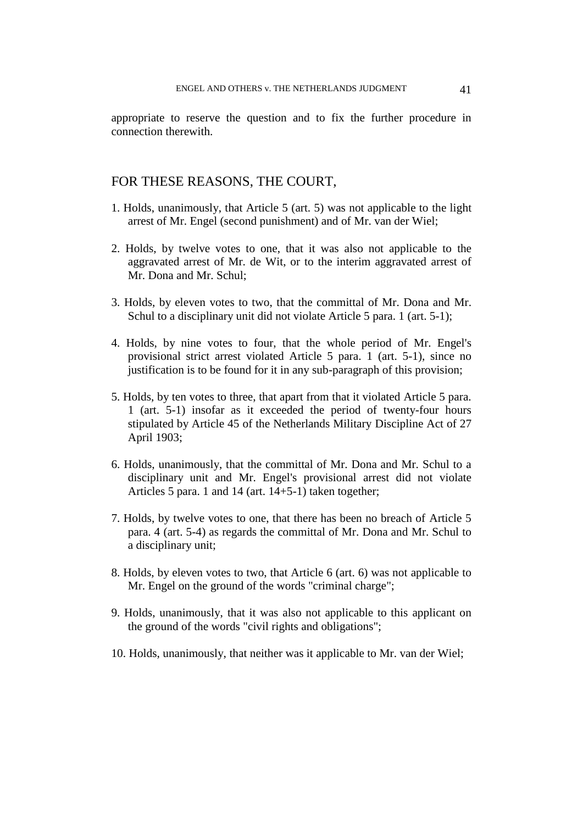appropriate to reserve the question and to fix the further procedure in connection therewith.

## FOR THESE REASONS, THE COURT,

- 1. Holds, unanimously, that Article 5 (art. 5) was not applicable to the light arrest of Mr. Engel (second punishment) and of Mr. van der Wiel;
- 2. Holds, by twelve votes to one, that it was also not applicable to the aggravated arrest of Mr. de Wit, or to the interim aggravated arrest of Mr. Dona and Mr. Schul;
- 3. Holds, by eleven votes to two, that the committal of Mr. Dona and Mr. Schul to a disciplinary unit did not violate Article 5 para. 1 (art. 5-1);
- 4. Holds, by nine votes to four, that the whole period of Mr. Engel's provisional strict arrest violated Article 5 para. 1 (art. 5-1), since no justification is to be found for it in any sub-paragraph of this provision;
- 5. Holds, by ten votes to three, that apart from that it violated Article 5 para. 1 (art. 5-1) insofar as it exceeded the period of twenty-four hours stipulated by Article 45 of the Netherlands Military Discipline Act of 27 April 1903;
- 6. Holds, unanimously, that the committal of Mr. Dona and Mr. Schul to a disciplinary unit and Mr. Engel's provisional arrest did not violate Articles 5 para. 1 and 14 (art. 14+5-1) taken together;
- 7. Holds, by twelve votes to one, that there has been no breach of Article 5 para. 4 (art. 5-4) as regards the committal of Mr. Dona and Mr. Schul to a disciplinary unit;
- 8. Holds, by eleven votes to two, that Article 6 (art. 6) was not applicable to Mr. Engel on the ground of the words "criminal charge";
- 9. Holds, unanimously, that it was also not applicable to this applicant on the ground of the words "civil rights and obligations";
- 10. Holds, unanimously, that neither was it applicable to Mr. van der Wiel;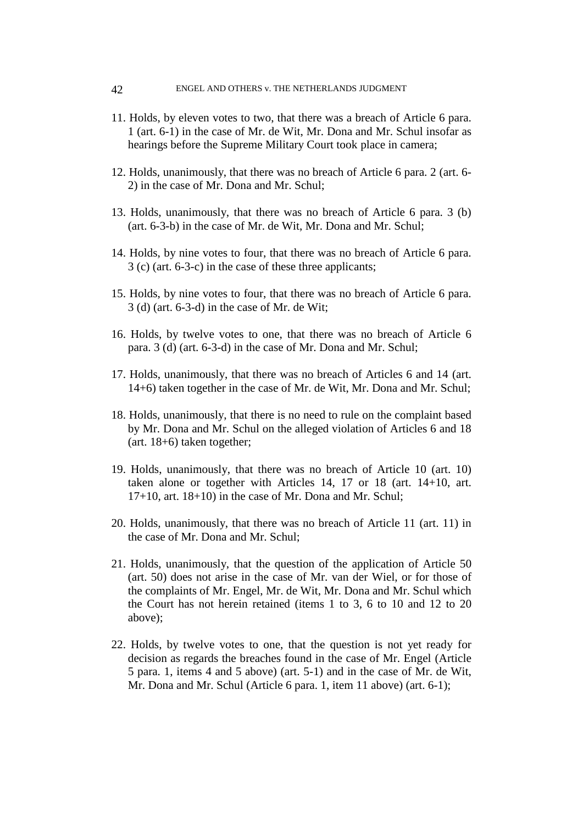- 11. Holds, by eleven votes to two, that there was a breach of Article 6 para. 1 (art. 6-1) in the case of Mr. de Wit, Mr. Dona and Mr. Schul insofar as hearings before the Supreme Military Court took place in camera;
- 12. Holds, unanimously, that there was no breach of Article 6 para. 2 (art. 6- 2) in the case of Mr. Dona and Mr. Schul;
- 13. Holds, unanimously, that there was no breach of Article 6 para. 3 (b) (art. 6-3-b) in the case of Mr. de Wit, Mr. Dona and Mr. Schul;
- 14. Holds, by nine votes to four, that there was no breach of Article 6 para. 3 (c) (art. 6-3-c) in the case of these three applicants;
- 15. Holds, by nine votes to four, that there was no breach of Article 6 para. 3 (d) (art. 6-3-d) in the case of Mr. de Wit;
- 16. Holds, by twelve votes to one, that there was no breach of Article 6 para. 3 (d) (art. 6-3-d) in the case of Mr. Dona and Mr. Schul;
- 17. Holds, unanimously, that there was no breach of Articles 6 and 14 (art. 14+6) taken together in the case of Mr. de Wit, Mr. Dona and Mr. Schul;
- 18. Holds, unanimously, that there is no need to rule on the complaint based by Mr. Dona and Mr. Schul on the alleged violation of Articles 6 and 18 (art. 18+6) taken together;
- 19. Holds, unanimously, that there was no breach of Article 10 (art. 10) taken alone or together with Articles 14, 17 or 18 (art. 14+10, art. 17+10, art. 18+10) in the case of Mr. Dona and Mr. Schul;
- 20. Holds, unanimously, that there was no breach of Article 11 (art. 11) in the case of Mr. Dona and Mr. Schul;
- 21. Holds, unanimously, that the question of the application of Article 50 (art. 50) does not arise in the case of Mr. van der Wiel, or for those of the complaints of Mr. Engel, Mr. de Wit, Mr. Dona and Mr. Schul which the Court has not herein retained (items 1 to 3, 6 to 10 and 12 to 20 above);
- 22. Holds, by twelve votes to one, that the question is not yet ready for decision as regards the breaches found in the case of Mr. Engel (Article 5 para. 1, items 4 and 5 above) (art. 5-1) and in the case of Mr. de Wit, Mr. Dona and Mr. Schul (Article 6 para. 1, item 11 above) (art. 6-1);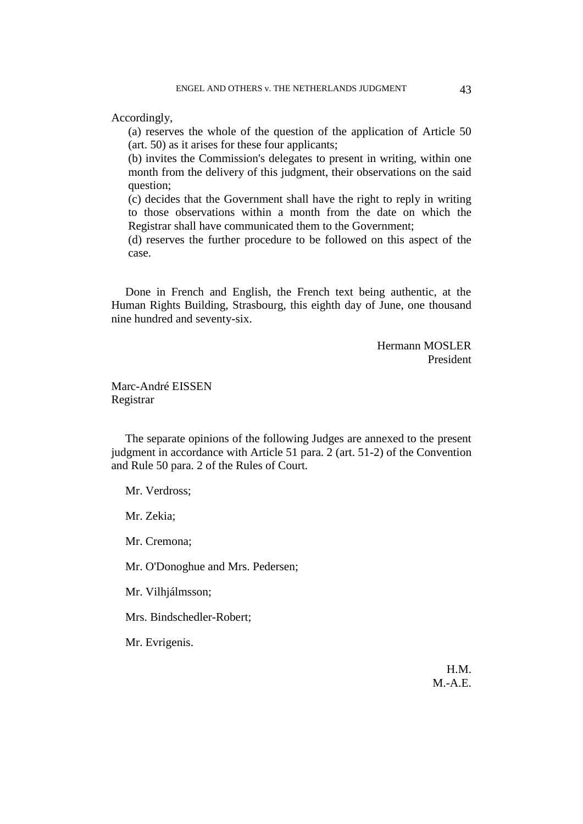Accordingly,

(a) reserves the whole of the question of the application of Article 50 (art. 50) as it arises for these four applicants;

(b) invites the Commission's delegates to present in writing, within one month from the delivery of this judgment, their observations on the said question;

(c) decides that the Government shall have the right to reply in writing to those observations within a month from the date on which the Registrar shall have communicated them to the Government;

(d) reserves the further procedure to be followed on this aspect of the case.

Done in French and English, the French text being authentic, at the Human Rights Building, Strasbourg, this eighth day of June, one thousand nine hundred and seventy-six.

> Hermann MOSLER President

Marc-André EISSEN Registrar

The separate opinions of the following Judges are annexed to the present judgment in accordance with Article 51 para. 2 (art. 51-2) of the Convention and Rule 50 para. 2 of the Rules of Court.

Mr. Verdross;

Mr. Zekia;

Mr. Cremona;

Mr. O'Donoghue and Mrs. Pedersen;

Mr. Vilhjálmsson;

Mrs. Bindschedler-Robert;

Mr. Evrigenis.

H.M.  $M - A. E.$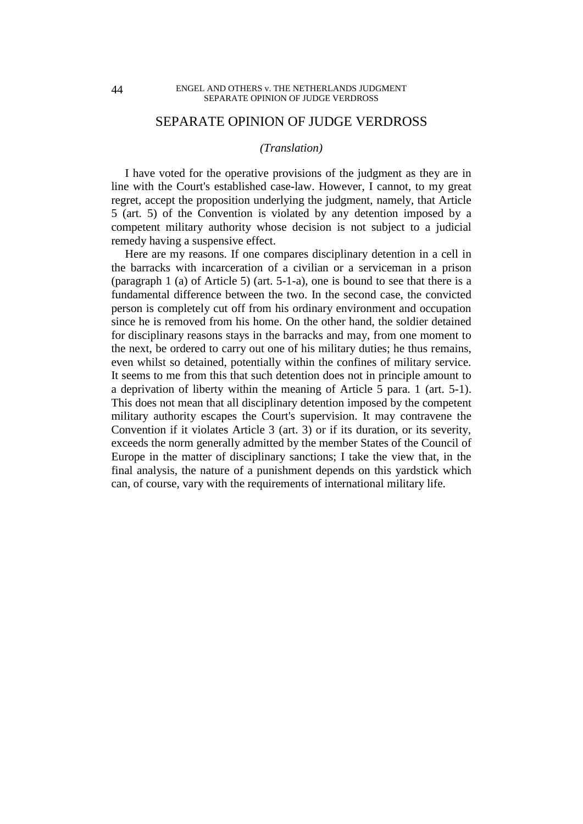## SEPARATE OPINION OF JUDGE VERDROSS

### *(Translation)*

I have voted for the operative provisions of the judgment as they are in line with the Court's established case-law. However, I cannot, to my great regret, accept the proposition underlying the judgment, namely, that Article 5 (art. 5) of the Convention is violated by any detention imposed by a competent military authority whose decision is not subject to a judicial remedy having a suspensive effect.

Here are my reasons. If one compares disciplinary detention in a cell in the barracks with incarceration of a civilian or a serviceman in a prison (paragraph 1 (a) of Article 5) (art. 5-1-a), one is bound to see that there is a fundamental difference between the two. In the second case, the convicted person is completely cut off from his ordinary environment and occupation since he is removed from his home. On the other hand, the soldier detained for disciplinary reasons stays in the barracks and may, from one moment to the next, be ordered to carry out one of his military duties; he thus remains, even whilst so detained, potentially within the confines of military service. It seems to me from this that such detention does not in principle amount to a deprivation of liberty within the meaning of Article 5 para. 1 (art. 5-1). This does not mean that all disciplinary detention imposed by the competent military authority escapes the Court's supervision. It may contravene the Convention if it violates Article 3 (art. 3) or if its duration, or its severity, exceeds the norm generally admitted by the member States of the Council of Europe in the matter of disciplinary sanctions; I take the view that, in the final analysis, the nature of a punishment depends on this yardstick which can, of course, vary with the requirements of international military life.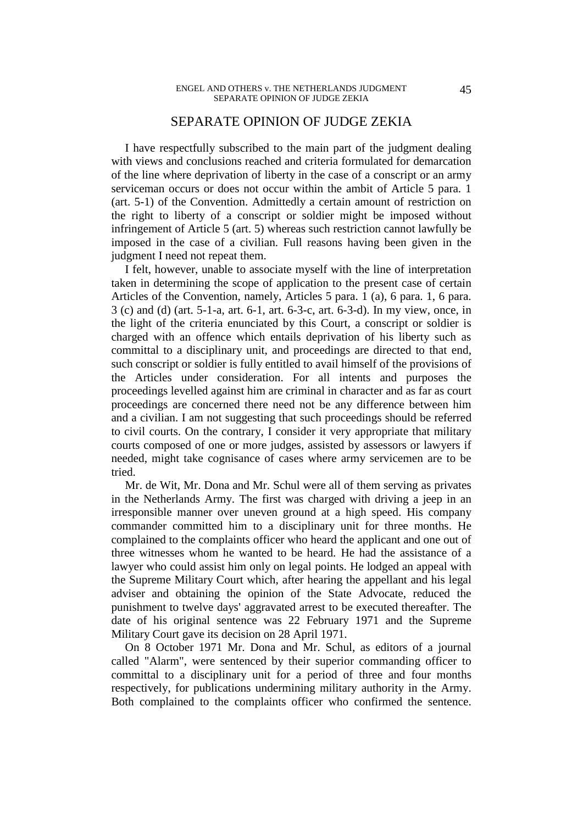## SEPARATE OPINION OF JUDGE ZEKIA

I have respectfully subscribed to the main part of the judgment dealing with views and conclusions reached and criteria formulated for demarcation of the line where deprivation of liberty in the case of a conscript or an army serviceman occurs or does not occur within the ambit of Article 5 para. 1 (art. 5-1) of the Convention. Admittedly a certain amount of restriction on the right to liberty of a conscript or soldier might be imposed without infringement of Article 5 (art. 5) whereas such restriction cannot lawfully be imposed in the case of a civilian. Full reasons having been given in the judgment I need not repeat them.

I felt, however, unable to associate myself with the line of interpretation taken in determining the scope of application to the present case of certain Articles of the Convention, namely, Articles 5 para. 1 (a), 6 para. 1, 6 para. 3 (c) and (d) (art. 5-1-a, art. 6-1, art. 6-3-c, art. 6-3-d). In my view, once, in the light of the criteria enunciated by this Court, a conscript or soldier is charged with an offence which entails deprivation of his liberty such as committal to a disciplinary unit, and proceedings are directed to that end, such conscript or soldier is fully entitled to avail himself of the provisions of the Articles under consideration. For all intents and purposes the proceedings levelled against him are criminal in character and as far as court proceedings are concerned there need not be any difference between him and a civilian. I am not suggesting that such proceedings should be referred to civil courts. On the contrary, I consider it very appropriate that military courts composed of one or more judges, assisted by assessors or lawyers if needed, might take cognisance of cases where army servicemen are to be tried.

Mr. de Wit, Mr. Dona and Mr. Schul were all of them serving as privates in the Netherlands Army. The first was charged with driving a jeep in an irresponsible manner over uneven ground at a high speed. His company commander committed him to a disciplinary unit for three months. He complained to the complaints officer who heard the applicant and one out of three witnesses whom he wanted to be heard. He had the assistance of a lawyer who could assist him only on legal points. He lodged an appeal with the Supreme Military Court which, after hearing the appellant and his legal adviser and obtaining the opinion of the State Advocate, reduced the punishment to twelve days' aggravated arrest to be executed thereafter. The date of his original sentence was 22 February 1971 and the Supreme Military Court gave its decision on 28 April 1971.

On 8 October 1971 Mr. Dona and Mr. Schul, as editors of a journal called "Alarm", were sentenced by their superior commanding officer to committal to a disciplinary unit for a period of three and four months respectively, for publications undermining military authority in the Army. Both complained to the complaints officer who confirmed the sentence.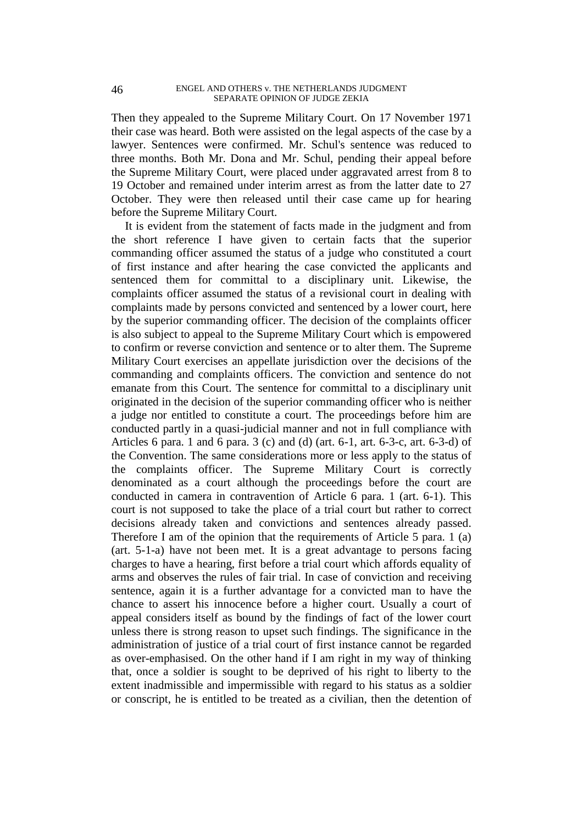Then they appealed to the Supreme Military Court. On 17 November 1971 their case was heard. Both were assisted on the legal aspects of the case by a lawyer. Sentences were confirmed. Mr. Schul's sentence was reduced to three months. Both Mr. Dona and Mr. Schul, pending their appeal before the Supreme Military Court, were placed under aggravated arrest from 8 to 19 October and remained under interim arrest as from the latter date to 27 October. They were then released until their case came up for hearing before the Supreme Military Court.

It is evident from the statement of facts made in the judgment and from the short reference I have given to certain facts that the superior commanding officer assumed the status of a judge who constituted a court of first instance and after hearing the case convicted the applicants and sentenced them for committal to a disciplinary unit. Likewise, the complaints officer assumed the status of a revisional court in dealing with complaints made by persons convicted and sentenced by a lower court, here by the superior commanding officer. The decision of the complaints officer is also subject to appeal to the Supreme Military Court which is empowered to confirm or reverse conviction and sentence or to alter them. The Supreme Military Court exercises an appellate jurisdiction over the decisions of the commanding and complaints officers. The conviction and sentence do not emanate from this Court. The sentence for committal to a disciplinary unit originated in the decision of the superior commanding officer who is neither a judge nor entitled to constitute a court. The proceedings before him are conducted partly in a quasi-judicial manner and not in full compliance with Articles 6 para. 1 and 6 para. 3 (c) and (d) (art. 6-1, art. 6-3-c, art. 6-3-d) of the Convention. The same considerations more or less apply to the status of the complaints officer. The Supreme Military Court is correctly denominated as a court although the proceedings before the court are conducted in camera in contravention of Article 6 para. 1 (art. 6-1). This court is not supposed to take the place of a trial court but rather to correct decisions already taken and convictions and sentences already passed. Therefore I am of the opinion that the requirements of Article 5 para. 1 (a) (art. 5-1-a) have not been met. It is a great advantage to persons facing charges to have a hearing, first before a trial court which affords equality of arms and observes the rules of fair trial. In case of conviction and receiving sentence, again it is a further advantage for a convicted man to have the chance to assert his innocence before a higher court. Usually a court of appeal considers itself as bound by the findings of fact of the lower court unless there is strong reason to upset such findings. The significance in the administration of justice of a trial court of first instance cannot be regarded as over-emphasised. On the other hand if I am right in my way of thinking that, once a soldier is sought to be deprived of his right to liberty to the extent inadmissible and impermissible with regard to his status as a soldier or conscript, he is entitled to be treated as a civilian, then the detention of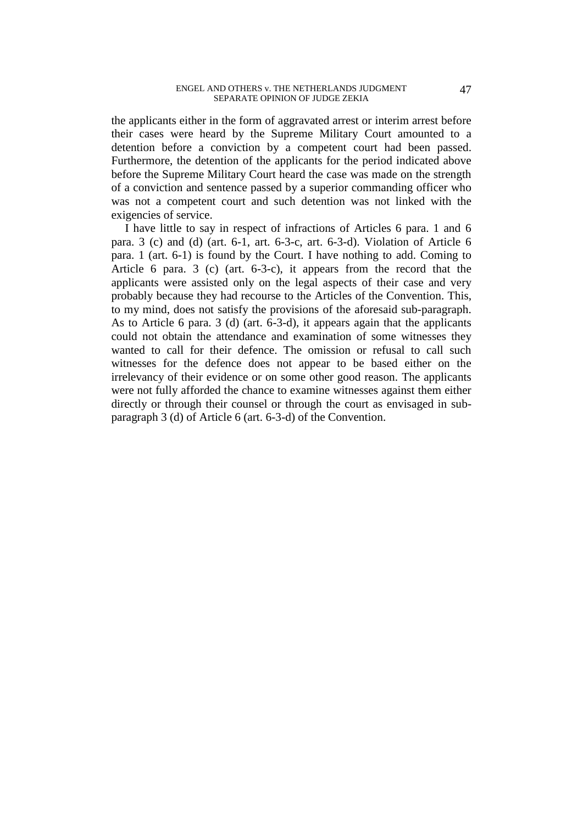the applicants either in the form of aggravated arrest or interim arrest before their cases were heard by the Supreme Military Court amounted to a detention before a conviction by a competent court had been passed. Furthermore, the detention of the applicants for the period indicated above before the Supreme Military Court heard the case was made on the strength of a conviction and sentence passed by a superior commanding officer who was not a competent court and such detention was not linked with the exigencies of service.

I have little to say in respect of infractions of Articles 6 para. 1 and 6 para. 3 (c) and (d) (art. 6-1, art. 6-3-c, art. 6-3-d). Violation of Article 6 para. 1 (art. 6-1) is found by the Court. I have nothing to add. Coming to Article 6 para. 3 (c) (art. 6-3-c), it appears from the record that the applicants were assisted only on the legal aspects of their case and very probably because they had recourse to the Articles of the Convention. This, to my mind, does not satisfy the provisions of the aforesaid sub-paragraph. As to Article 6 para. 3 (d) (art. 6-3-d), it appears again that the applicants could not obtain the attendance and examination of some witnesses they wanted to call for their defence. The omission or refusal to call such witnesses for the defence does not appear to be based either on the irrelevancy of their evidence or on some other good reason. The applicants were not fully afforded the chance to examine witnesses against them either directly or through their counsel or through the court as envisaged in subparagraph 3 (d) of Article 6 (art. 6-3-d) of the Convention.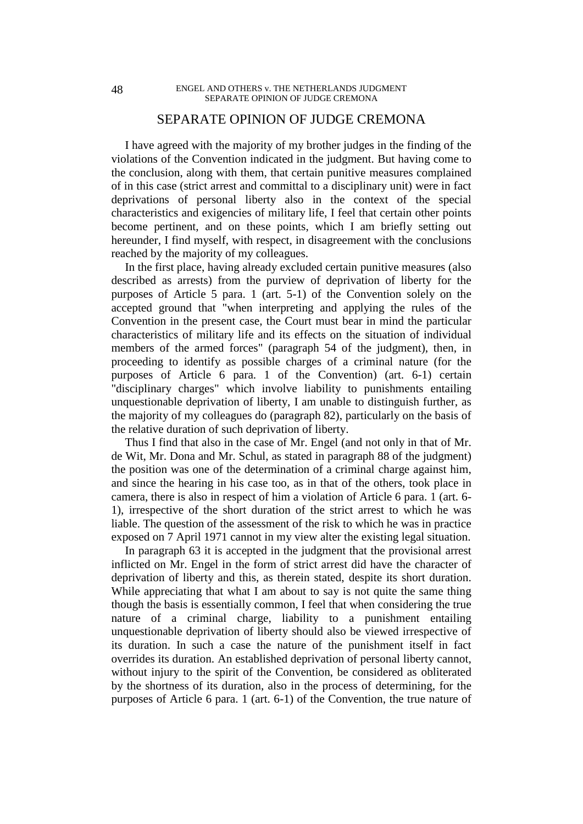## SEPARATE OPINION OF JUDGE CREMONA

I have agreed with the majority of my brother judges in the finding of the violations of the Convention indicated in the judgment. But having come to the conclusion, along with them, that certain punitive measures complained of in this case (strict arrest and committal to a disciplinary unit) were in fact deprivations of personal liberty also in the context of the special characteristics and exigencies of military life, I feel that certain other points become pertinent, and on these points, which I am briefly setting out hereunder, I find myself, with respect, in disagreement with the conclusions reached by the majority of my colleagues.

In the first place, having already excluded certain punitive measures (also described as arrests) from the purview of deprivation of liberty for the purposes of Article 5 para. 1 (art. 5-1) of the Convention solely on the accepted ground that "when interpreting and applying the rules of the Convention in the present case, the Court must bear in mind the particular characteristics of military life and its effects on the situation of individual members of the armed forces" (paragraph 54 of the judgment), then, in proceeding to identify as possible charges of a criminal nature (for the purposes of Article 6 para. 1 of the Convention) (art. 6-1) certain "disciplinary charges" which involve liability to punishments entailing unquestionable deprivation of liberty, I am unable to distinguish further, as the majority of my colleagues do (paragraph 82), particularly on the basis of the relative duration of such deprivation of liberty.

Thus I find that also in the case of Mr. Engel (and not only in that of Mr. de Wit, Mr. Dona and Mr. Schul, as stated in paragraph 88 of the judgment) the position was one of the determination of a criminal charge against him, and since the hearing in his case too, as in that of the others, took place in camera, there is also in respect of him a violation of Article 6 para. 1 (art. 6- 1), irrespective of the short duration of the strict arrest to which he was liable. The question of the assessment of the risk to which he was in practice exposed on 7 April 1971 cannot in my view alter the existing legal situation.

In paragraph 63 it is accepted in the judgment that the provisional arrest inflicted on Mr. Engel in the form of strict arrest did have the character of deprivation of liberty and this, as therein stated, despite its short duration. While appreciating that what I am about to say is not quite the same thing though the basis is essentially common, I feel that when considering the true nature of a criminal charge, liability to a punishment entailing unquestionable deprivation of liberty should also be viewed irrespective of its duration. In such a case the nature of the punishment itself in fact overrides its duration. An established deprivation of personal liberty cannot, without injury to the spirit of the Convention, be considered as obliterated by the shortness of its duration, also in the process of determining, for the purposes of Article 6 para. 1 (art. 6-1) of the Convention, the true nature of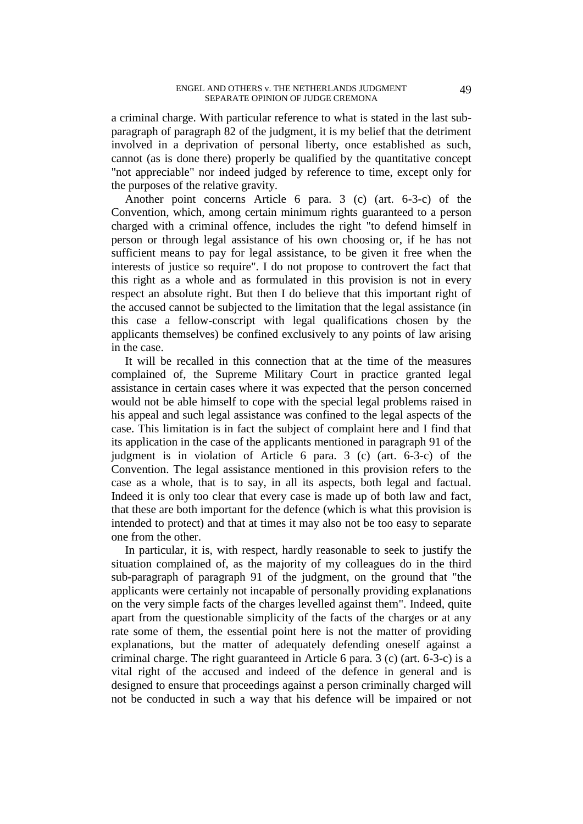a criminal charge. With particular reference to what is stated in the last subparagraph of paragraph 82 of the judgment, it is my belief that the detriment involved in a deprivation of personal liberty, once established as such, cannot (as is done there) properly be qualified by the quantitative concept "not appreciable" nor indeed judged by reference to time, except only for the purposes of the relative gravity.

Another point concerns Article 6 para. 3 (c) (art. 6-3-c) of the Convention, which, among certain minimum rights guaranteed to a person charged with a criminal offence, includes the right "to defend himself in person or through legal assistance of his own choosing or, if he has not sufficient means to pay for legal assistance, to be given it free when the interests of justice so require". I do not propose to controvert the fact that this right as a whole and as formulated in this provision is not in every respect an absolute right. But then I do believe that this important right of the accused cannot be subjected to the limitation that the legal assistance (in this case a fellow-conscript with legal qualifications chosen by the applicants themselves) be confined exclusively to any points of law arising in the case.

It will be recalled in this connection that at the time of the measures complained of, the Supreme Military Court in practice granted legal assistance in certain cases where it was expected that the person concerned would not be able himself to cope with the special legal problems raised in his appeal and such legal assistance was confined to the legal aspects of the case. This limitation is in fact the subject of complaint here and I find that its application in the case of the applicants mentioned in paragraph 91 of the judgment is in violation of Article 6 para. 3 (c) (art. 6-3-c) of the Convention. The legal assistance mentioned in this provision refers to the case as a whole, that is to say, in all its aspects, both legal and factual. Indeed it is only too clear that every case is made up of both law and fact, that these are both important for the defence (which is what this provision is intended to protect) and that at times it may also not be too easy to separate one from the other.

In particular, it is, with respect, hardly reasonable to seek to justify the situation complained of, as the majority of my colleagues do in the third sub-paragraph of paragraph 91 of the judgment, on the ground that "the applicants were certainly not incapable of personally providing explanations on the very simple facts of the charges levelled against them". Indeed, quite apart from the questionable simplicity of the facts of the charges or at any rate some of them, the essential point here is not the matter of providing explanations, but the matter of adequately defending oneself against a criminal charge. The right guaranteed in Article 6 para. 3 (c) (art. 6-3-c) is a vital right of the accused and indeed of the defence in general and is designed to ensure that proceedings against a person criminally charged will not be conducted in such a way that his defence will be impaired or not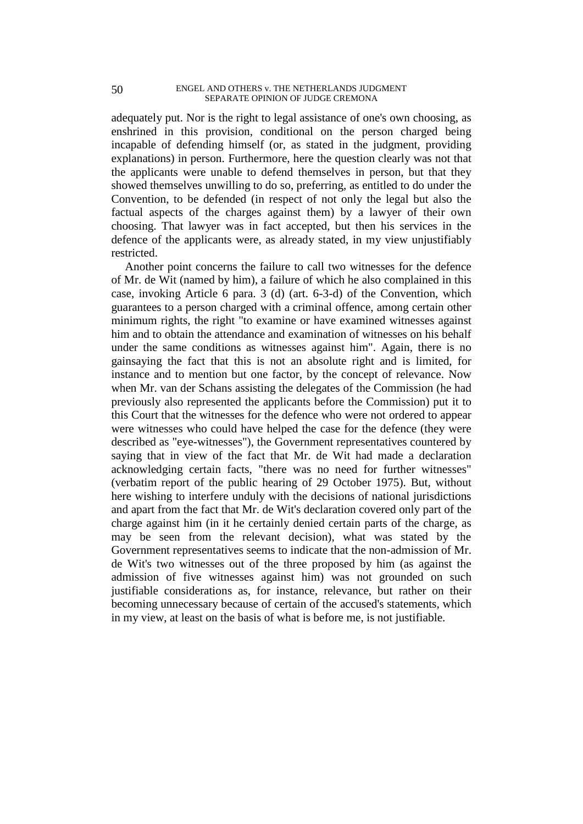adequately put. Nor is the right to legal assistance of one's own choosing, as enshrined in this provision, conditional on the person charged being incapable of defending himself (or, as stated in the judgment, providing explanations) in person. Furthermore, here the question clearly was not that the applicants were unable to defend themselves in person, but that they showed themselves unwilling to do so, preferring, as entitled to do under the Convention, to be defended (in respect of not only the legal but also the factual aspects of the charges against them) by a lawyer of their own choosing. That lawyer was in fact accepted, but then his services in the defence of the applicants were, as already stated, in my view unjustifiably restricted.

Another point concerns the failure to call two witnesses for the defence of Mr. de Wit (named by him), a failure of which he also complained in this case, invoking Article 6 para. 3 (d) (art. 6-3-d) of the Convention, which guarantees to a person charged with a criminal offence, among certain other minimum rights, the right "to examine or have examined witnesses against him and to obtain the attendance and examination of witnesses on his behalf under the same conditions as witnesses against him". Again, there is no gainsaying the fact that this is not an absolute right and is limited, for instance and to mention but one factor, by the concept of relevance. Now when Mr. van der Schans assisting the delegates of the Commission (he had previously also represented the applicants before the Commission) put it to this Court that the witnesses for the defence who were not ordered to appear were witnesses who could have helped the case for the defence (they were described as "eye-witnesses"), the Government representatives countered by saying that in view of the fact that Mr. de Wit had made a declaration acknowledging certain facts, "there was no need for further witnesses" (verbatim report of the public hearing of 29 October 1975). But, without here wishing to interfere unduly with the decisions of national jurisdictions and apart from the fact that Mr. de Wit's declaration covered only part of the charge against him (in it he certainly denied certain parts of the charge, as may be seen from the relevant decision), what was stated by the Government representatives seems to indicate that the non-admission of Mr. de Wit's two witnesses out of the three proposed by him (as against the admission of five witnesses against him) was not grounded on such justifiable considerations as, for instance, relevance, but rather on their becoming unnecessary because of certain of the accused's statements, which in my view, at least on the basis of what is before me, is not justifiable.

50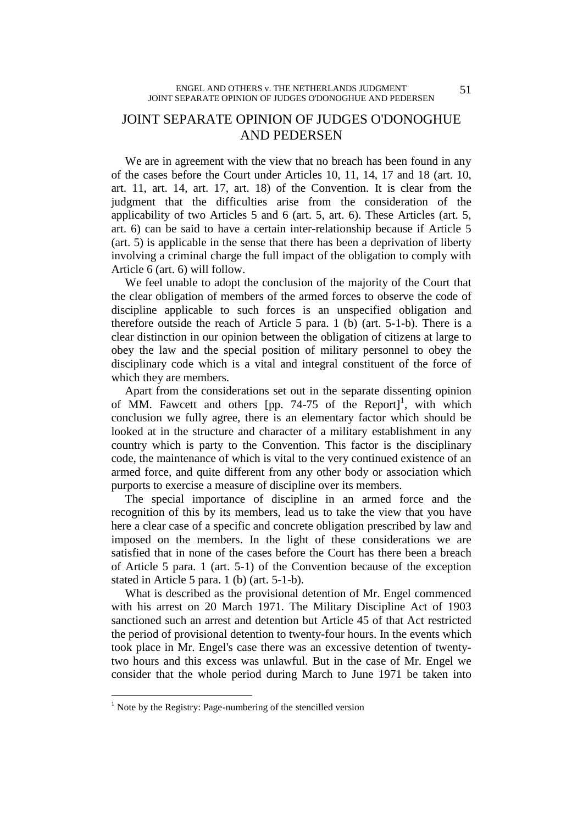## JOINT SEPARATE OPINION OF JUDGES O'DONOGHUE AND PEDERSEN

We are in agreement with the view that no breach has been found in any of the cases before the Court under Articles 10, 11, 14, 17 and 18 (art. 10, art. 11, art. 14, art. 17, art. 18) of the Convention. It is clear from the judgment that the difficulties arise from the consideration of the applicability of two Articles 5 and 6 (art. 5, art. 6). These Articles (art. 5, art. 6) can be said to have a certain inter-relationship because if Article 5 (art. 5) is applicable in the sense that there has been a deprivation of liberty involving a criminal charge the full impact of the obligation to comply with Article 6 (art. 6) will follow.

We feel unable to adopt the conclusion of the majority of the Court that the clear obligation of members of the armed forces to observe the code of discipline applicable to such forces is an unspecified obligation and therefore outside the reach of Article 5 para. 1 (b) (art. 5-1-b). There is a clear distinction in our opinion between the obligation of citizens at large to obey the law and the special position of military personnel to obey the disciplinary code which is a vital and integral constituent of the force of which they are members.

Apart from the considerations set out in the separate dissenting opinion of MM. Fawcett and others [pp. 74-75 of the Report]<sup>1</sup>, with which conclusion we fully agree, there is an elementary factor which should be looked at in the structure and character of a military establishment in any country which is party to the Convention. This factor is the disciplinary code, the maintenance of which is vital to the very continued existence of an armed force, and quite different from any other body or association which purports to exercise a measure of discipline over its members.

The special importance of discipline in an armed force and the recognition of this by its members, lead us to take the view that you have here a clear case of a specific and concrete obligation prescribed by law and imposed on the members. In the light of these considerations we are satisfied that in none of the cases before the Court has there been a breach of Article 5 para. 1 (art. 5-1) of the Convention because of the exception stated in Article 5 para. 1 (b) (art. 5-1-b).

What is described as the provisional detention of Mr. Engel commenced with his arrest on 20 March 1971. The Military Discipline Act of 1903 sanctioned such an arrest and detention but Article 45 of that Act restricted the period of provisional detention to twenty-four hours. In the events which took place in Mr. Engel's case there was an excessive detention of twentytwo hours and this excess was unlawful. But in the case of Mr. Engel we consider that the whole period during March to June 1971 be taken into

1

 $1$  Note by the Registry: Page-numbering of the stencilled version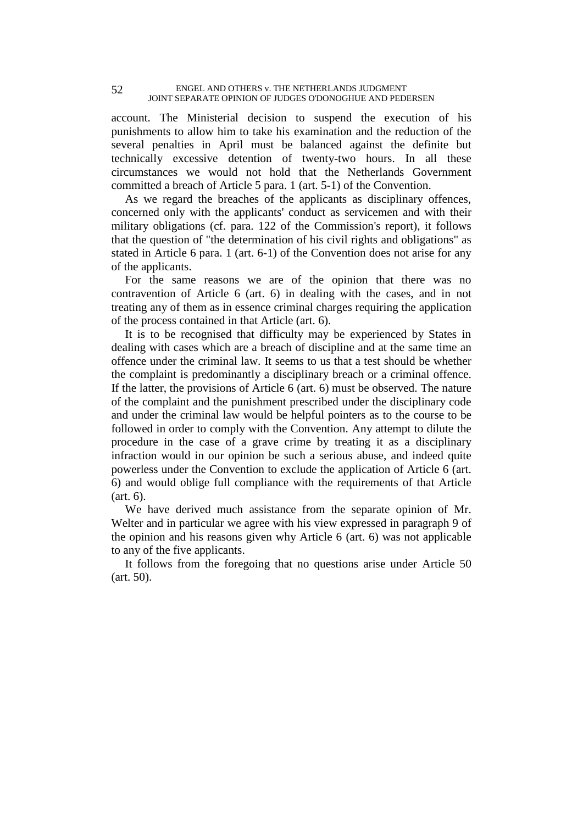ENGEL AND OTHERS v. THE NETHERLANDS JUDGMENT JOINT SEPARATE OPINION OF JUDGES O'DONOGHUE AND PEDERSEN 52

account. The Ministerial decision to suspend the execution of his punishments to allow him to take his examination and the reduction of the several penalties in April must be balanced against the definite but technically excessive detention of twenty-two hours. In all these circumstances we would not hold that the Netherlands Government committed a breach of Article 5 para. 1 (art. 5-1) of the Convention.

As we regard the breaches of the applicants as disciplinary offences, concerned only with the applicants' conduct as servicemen and with their military obligations (cf. para. 122 of the Commission's report), it follows that the question of "the determination of his civil rights and obligations" as stated in Article 6 para. 1 (art. 6-1) of the Convention does not arise for any of the applicants.

For the same reasons we are of the opinion that there was no contravention of Article 6 (art. 6) in dealing with the cases, and in not treating any of them as in essence criminal charges requiring the application of the process contained in that Article (art. 6).

It is to be recognised that difficulty may be experienced by States in dealing with cases which are a breach of discipline and at the same time an offence under the criminal law. It seems to us that a test should be whether the complaint is predominantly a disciplinary breach or a criminal offence. If the latter, the provisions of Article 6 (art. 6) must be observed. The nature of the complaint and the punishment prescribed under the disciplinary code and under the criminal law would be helpful pointers as to the course to be followed in order to comply with the Convention. Any attempt to dilute the procedure in the case of a grave crime by treating it as a disciplinary infraction would in our opinion be such a serious abuse, and indeed quite powerless under the Convention to exclude the application of Article 6 (art. 6) and would oblige full compliance with the requirements of that Article (art. 6).

We have derived much assistance from the separate opinion of Mr. Welter and in particular we agree with his view expressed in paragraph 9 of the opinion and his reasons given why Article 6 (art. 6) was not applicable to any of the five applicants.

It follows from the foregoing that no questions arise under Article 50 (art. 50).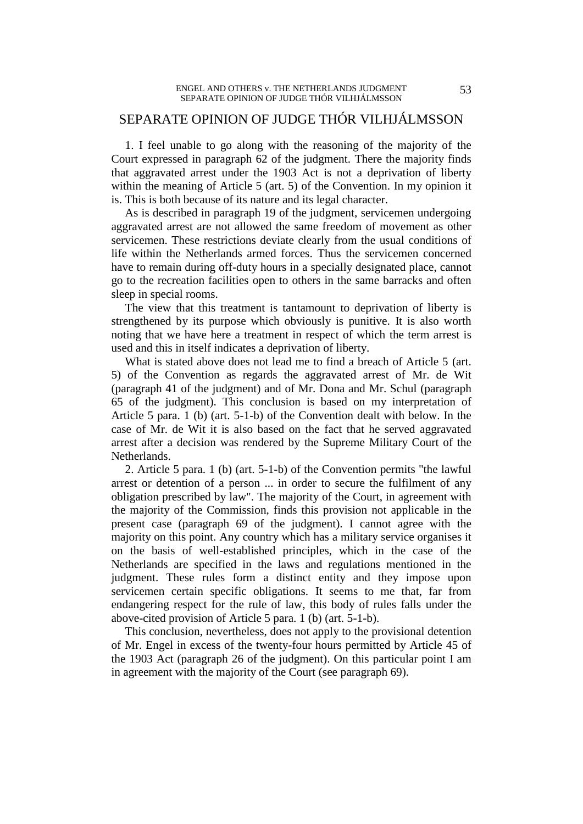## SEPARATE OPINION OF JUDGE THÓR VILHJÁLMSSON

1. I feel unable to go along with the reasoning of the majority of the Court expressed in paragraph 62 of the judgment. There the majority finds that aggravated arrest under the 1903 Act is not a deprivation of liberty within the meaning of Article 5 (art. 5) of the Convention. In my opinion it is. This is both because of its nature and its legal character.

As is described in paragraph 19 of the judgment, servicemen undergoing aggravated arrest are not allowed the same freedom of movement as other servicemen. These restrictions deviate clearly from the usual conditions of life within the Netherlands armed forces. Thus the servicemen concerned have to remain during off-duty hours in a specially designated place, cannot go to the recreation facilities open to others in the same barracks and often sleep in special rooms.

The view that this treatment is tantamount to deprivation of liberty is strengthened by its purpose which obviously is punitive. It is also worth noting that we have here a treatment in respect of which the term arrest is used and this in itself indicates a deprivation of liberty.

What is stated above does not lead me to find a breach of Article 5 (art. 5) of the Convention as regards the aggravated arrest of Mr. de Wit (paragraph 41 of the judgment) and of Mr. Dona and Mr. Schul (paragraph 65 of the judgment). This conclusion is based on my interpretation of Article 5 para. 1 (b) (art. 5-1-b) of the Convention dealt with below. In the case of Mr. de Wit it is also based on the fact that he served aggravated arrest after a decision was rendered by the Supreme Military Court of the Netherlands.

2. Article 5 para. 1 (b) (art. 5-1-b) of the Convention permits "the lawful arrest or detention of a person ... in order to secure the fulfilment of any obligation prescribed by law". The majority of the Court, in agreement with the majority of the Commission, finds this provision not applicable in the present case (paragraph 69 of the judgment). I cannot agree with the majority on this point. Any country which has a military service organises it on the basis of well-established principles, which in the case of the Netherlands are specified in the laws and regulations mentioned in the judgment. These rules form a distinct entity and they impose upon servicemen certain specific obligations. It seems to me that, far from endangering respect for the rule of law, this body of rules falls under the above-cited provision of Article 5 para. 1 (b) (art. 5-1-b).

This conclusion, nevertheless, does not apply to the provisional detention of Mr. Engel in excess of the twenty-four hours permitted by Article 45 of the 1903 Act (paragraph 26 of the judgment). On this particular point I am in agreement with the majority of the Court (see paragraph 69).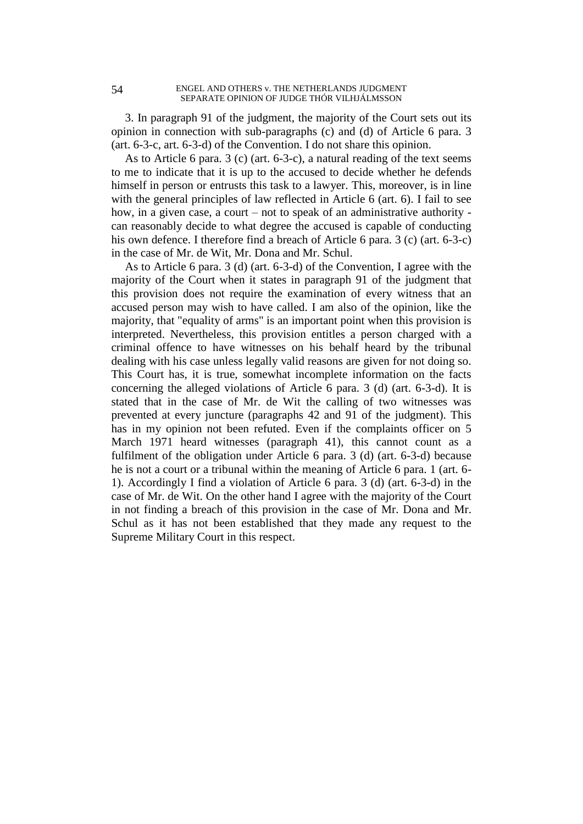3. In paragraph 91 of the judgment, the majority of the Court sets out its opinion in connection with sub-paragraphs (c) and (d) of Article 6 para. 3 (art. 6-3-c, art. 6-3-d) of the Convention. I do not share this opinion.

As to Article 6 para. 3 (c) (art. 6-3-c), a natural reading of the text seems to me to indicate that it is up to the accused to decide whether he defends himself in person or entrusts this task to a lawyer. This, moreover, is in line with the general principles of law reflected in Article 6 (art. 6). I fail to see how, in a given case, a court – not to speak of an administrative authority can reasonably decide to what degree the accused is capable of conducting his own defence. I therefore find a breach of Article 6 para. 3 (c) (art. 6-3-c) in the case of Mr. de Wit, Mr. Dona and Mr. Schul.

As to Article 6 para. 3 (d) (art. 6-3-d) of the Convention, I agree with the majority of the Court when it states in paragraph 91 of the judgment that this provision does not require the examination of every witness that an accused person may wish to have called. I am also of the opinion, like the majority, that "equality of arms" is an important point when this provision is interpreted. Nevertheless, this provision entitles a person charged with a criminal offence to have witnesses on his behalf heard by the tribunal dealing with his case unless legally valid reasons are given for not doing so. This Court has, it is true, somewhat incomplete information on the facts concerning the alleged violations of Article 6 para. 3 (d) (art. 6-3-d). It is stated that in the case of Mr. de Wit the calling of two witnesses was prevented at every juncture (paragraphs 42 and 91 of the judgment). This has in my opinion not been refuted. Even if the complaints officer on 5 March 1971 heard witnesses (paragraph 41), this cannot count as a fulfilment of the obligation under Article 6 para. 3 (d) (art. 6-3-d) because he is not a court or a tribunal within the meaning of Article 6 para. 1 (art. 6- 1). Accordingly I find a violation of Article 6 para. 3 (d) (art. 6-3-d) in the case of Mr. de Wit. On the other hand I agree with the majority of the Court in not finding a breach of this provision in the case of Mr. Dona and Mr. Schul as it has not been established that they made any request to the Supreme Military Court in this respect.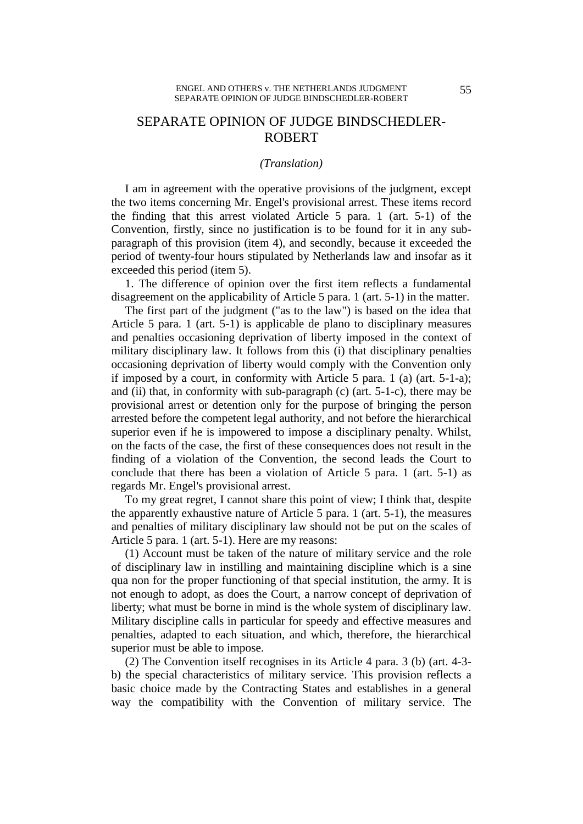## SEPARATE OPINION OF JUDGE BINDSCHEDLER-ROBERT

#### *(Translation)*

I am in agreement with the operative provisions of the judgment, except the two items concerning Mr. Engel's provisional arrest. These items record the finding that this arrest violated Article 5 para. 1 (art. 5-1) of the Convention, firstly, since no justification is to be found for it in any subparagraph of this provision (item 4), and secondly, because it exceeded the period of twenty-four hours stipulated by Netherlands law and insofar as it exceeded this period (item 5).

1. The difference of opinion over the first item reflects a fundamental disagreement on the applicability of Article 5 para. 1 (art. 5-1) in the matter.

The first part of the judgment ("as to the law") is based on the idea that Article 5 para. 1 (art. 5-1) is applicable de plano to disciplinary measures and penalties occasioning deprivation of liberty imposed in the context of military disciplinary law. It follows from this (i) that disciplinary penalties occasioning deprivation of liberty would comply with the Convention only if imposed by a court, in conformity with Article 5 para. 1 (a) (art. 5-1-a); and (ii) that, in conformity with sub-paragraph (c) (art.  $5-1-c$ ), there may be provisional arrest or detention only for the purpose of bringing the person arrested before the competent legal authority, and not before the hierarchical superior even if he is impowered to impose a disciplinary penalty. Whilst, on the facts of the case, the first of these consequences does not result in the finding of a violation of the Convention, the second leads the Court to conclude that there has been a violation of Article 5 para. 1 (art. 5-1) as regards Mr. Engel's provisional arrest.

To my great regret, I cannot share this point of view; I think that, despite the apparently exhaustive nature of Article 5 para. 1 (art. 5-1), the measures and penalties of military disciplinary law should not be put on the scales of Article 5 para. 1 (art. 5-1). Here are my reasons:

(1) Account must be taken of the nature of military service and the role of disciplinary law in instilling and maintaining discipline which is a sine qua non for the proper functioning of that special institution, the army. It is not enough to adopt, as does the Court, a narrow concept of deprivation of liberty; what must be borne in mind is the whole system of disciplinary law. Military discipline calls in particular for speedy and effective measures and penalties, adapted to each situation, and which, therefore, the hierarchical superior must be able to impose.

(2) The Convention itself recognises in its Article 4 para. 3 (b) (art. 4-3 b) the special characteristics of military service. This provision reflects a basic choice made by the Contracting States and establishes in a general way the compatibility with the Convention of military service. The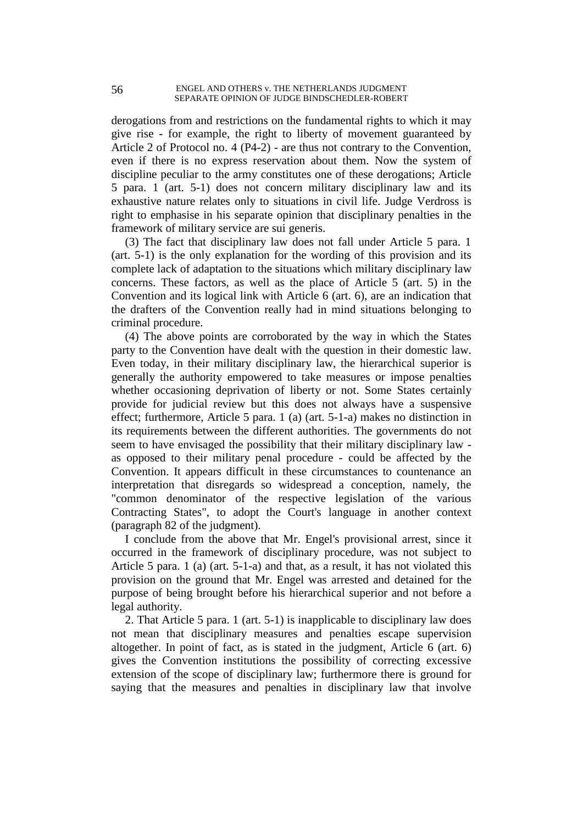derogations from and restrictions on the fundamental rights to which it may give rise - for example, the right to liberty of movement guaranteed by Article 2 of Protocol no. 4 (P4-2) - are thus not contrary to the Convention, even if there is no express reservation about them. Now the system of discipline peculiar to the army constitutes one of these derogations; Article 5 para. 1 (art. 5-1) does not concern military disciplinary law and its exhaustive nature relates only to situations in civil life. Judge Verdross is right to emphasise in his separate opinion that disciplinary penalties in the framework of military service are sui generis.

(3) The fact that disciplinary law does not fall under Article 5 para. 1 (art. 5-1) is the only explanation for the wording of this provision and its complete lack of adaptation to the situations which military disciplinary law concerns. These factors, as well as the place of Article 5 (art. 5) in the Convention and its logical link with Article 6 (art. 6), are an indication that the drafters of the Convention really had in mind situations belonging to criminal procedure.

(4) The above points are corroborated by the way in which the States party to the Convention have dealt with the question in their domestic law. Even today, in their military disciplinary law, the hierarchical superior is generally the authority empowered to take measures or impose penalties whether occasioning deprivation of liberty or not. Some States certainly provide for judicial review but this does not always have a suspensive effect; furthermore, Article 5 para. 1 (a) (art. 5-1-a) makes no distinction in its requirements between the different authorities. The governments do not seem to have envisaged the possibility that their military disciplinary law as opposed to their military penal procedure - could be affected by the Convention. It appears difficult in these circumstances to countenance an interpretation that disregards so widespread a conception, namely, the "common denominator of the respective legislation of the various Contracting States", to adopt the Court's language in another context (paragraph 82 of the judgment).

I conclude from the above that Mr. Engel's provisional arrest, since it occurred in the framework of disciplinary procedure, was not subject to Article 5 para. 1 (a) (art. 5-1-a) and that, as a result, it has not violated this provision on the ground that Mr. Engel was arrested and detained for the purpose of being brought before his hierarchical superior and not before a legal authority.

2. That Article 5 para. 1 (art. 5-1) is inapplicable to disciplinary law does not mean that disciplinary measures and penalties escape supervision altogether. In point of fact, as is stated in the judgment, Article 6 (art. 6) gives the Convention institutions the possibility of correcting excessive extension of the scope of disciplinary law; furthermore there is ground for saying that the measures and penalties in disciplinary law that involve

56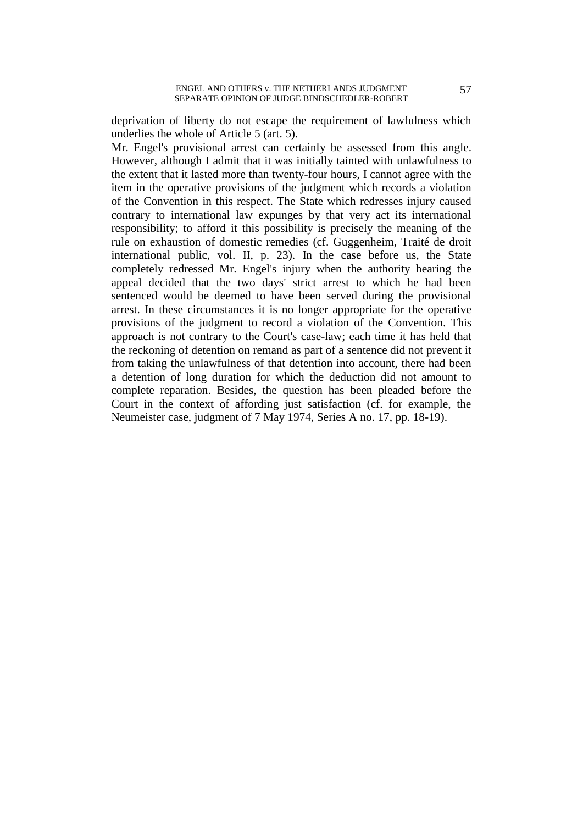deprivation of liberty do not escape the requirement of lawfulness which underlies the whole of Article 5 (art. 5).

Mr. Engel's provisional arrest can certainly be assessed from this angle. However, although I admit that it was initially tainted with unlawfulness to the extent that it lasted more than twenty-four hours, I cannot agree with the item in the operative provisions of the judgment which records a violation of the Convention in this respect. The State which redresses injury caused contrary to international law expunges by that very act its international responsibility; to afford it this possibility is precisely the meaning of the rule on exhaustion of domestic remedies (cf. Guggenheim, Traité de droit international public, vol. II, p. 23). In the case before us, the State completely redressed Mr. Engel's injury when the authority hearing the appeal decided that the two days' strict arrest to which he had been sentenced would be deemed to have been served during the provisional arrest. In these circumstances it is no longer appropriate for the operative provisions of the judgment to record a violation of the Convention. This approach is not contrary to the Court's case-law; each time it has held that the reckoning of detention on remand as part of a sentence did not prevent it from taking the unlawfulness of that detention into account, there had been a detention of long duration for which the deduction did not amount to complete reparation. Besides, the question has been pleaded before the Court in the context of affording just satisfaction (cf. for example, the Neumeister case, judgment of 7 May 1974, Series A no. 17, pp. 18-19).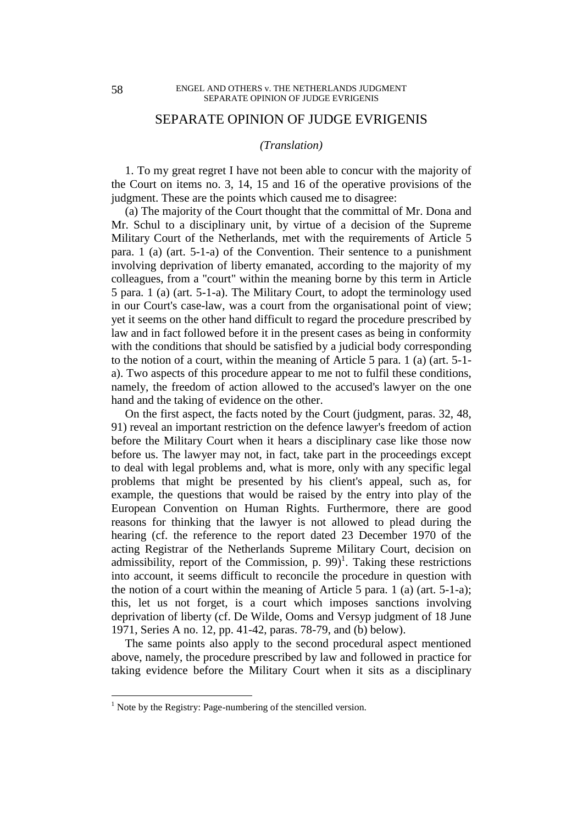## SEPARATE OPINION OF JUDGE EVRIGENIS

### *(Translation)*

1. To my great regret I have not been able to concur with the majority of the Court on items no. 3, 14, 15 and 16 of the operative provisions of the judgment. These are the points which caused me to disagree:

(a) The majority of the Court thought that the committal of Mr. Dona and Mr. Schul to a disciplinary unit, by virtue of a decision of the Supreme Military Court of the Netherlands, met with the requirements of Article 5 para. 1 (a) (art. 5-1-a) of the Convention. Their sentence to a punishment involving deprivation of liberty emanated, according to the majority of my colleagues, from a "court" within the meaning borne by this term in Article 5 para. 1 (a) (art. 5-1-a). The Military Court, to adopt the terminology used in our Court's case-law, was a court from the organisational point of view; yet it seems on the other hand difficult to regard the procedure prescribed by law and in fact followed before it in the present cases as being in conformity with the conditions that should be satisfied by a judicial body corresponding to the notion of a court, within the meaning of Article 5 para. 1 (a) (art. 5-1 a). Two aspects of this procedure appear to me not to fulfil these conditions, namely, the freedom of action allowed to the accused's lawyer on the one hand and the taking of evidence on the other.

On the first aspect, the facts noted by the Court (judgment, paras. 32, 48, 91) reveal an important restriction on the defence lawyer's freedom of action before the Military Court when it hears a disciplinary case like those now before us. The lawyer may not, in fact, take part in the proceedings except to deal with legal problems and, what is more, only with any specific legal problems that might be presented by his client's appeal, such as, for example, the questions that would be raised by the entry into play of the European Convention on Human Rights. Furthermore, there are good reasons for thinking that the lawyer is not allowed to plead during the hearing (cf. the reference to the report dated 23 December 1970 of the acting Registrar of the Netherlands Supreme Military Court, decision on admissibility, report of the Commission, p.  $99)^1$ . Taking these restrictions into account, it seems difficult to reconcile the procedure in question with the notion of a court within the meaning of Article 5 para. 1 (a) (art. 5-1-a); this, let us not forget, is a court which imposes sanctions involving deprivation of liberty (cf. De Wilde, Ooms and Versyp judgment of 18 June 1971, Series A no. 12, pp. 41-42, paras. 78-79, and (b) below).

The same points also apply to the second procedural aspect mentioned above, namely, the procedure prescribed by law and followed in practice for taking evidence before the Military Court when it sits as a disciplinary

1

 $<sup>1</sup>$  Note by the Registry: Page-numbering of the stencilled version.</sup>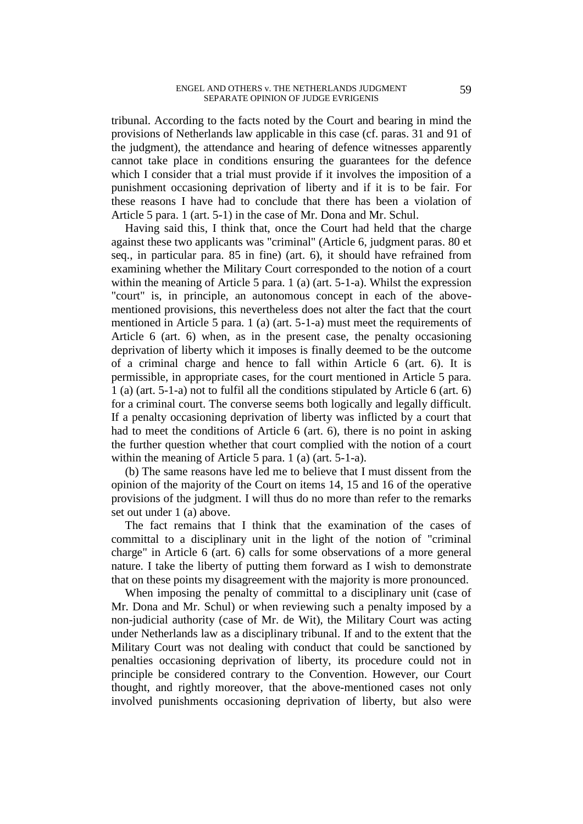tribunal. According to the facts noted by the Court and bearing in mind the provisions of Netherlands law applicable in this case (cf. paras. 31 and 91 of the judgment), the attendance and hearing of defence witnesses apparently cannot take place in conditions ensuring the guarantees for the defence which I consider that a trial must provide if it involves the imposition of a punishment occasioning deprivation of liberty and if it is to be fair. For these reasons I have had to conclude that there has been a violation of Article 5 para. 1 (art. 5-1) in the case of Mr. Dona and Mr. Schul.

Having said this, I think that, once the Court had held that the charge against these two applicants was "criminal" (Article 6, judgment paras. 80 et seq., in particular para. 85 in fine) (art. 6), it should have refrained from examining whether the Military Court corresponded to the notion of a court within the meaning of Article 5 para. 1 (a) (art. 5-1-a). Whilst the expression "court" is, in principle, an autonomous concept in each of the abovementioned provisions, this nevertheless does not alter the fact that the court mentioned in Article 5 para. 1 (a) (art. 5-1-a) must meet the requirements of Article 6 (art. 6) when, as in the present case, the penalty occasioning deprivation of liberty which it imposes is finally deemed to be the outcome of a criminal charge and hence to fall within Article 6 (art. 6). It is permissible, in appropriate cases, for the court mentioned in Article 5 para. 1 (a) (art. 5-1-a) not to fulfil all the conditions stipulated by Article 6 (art. 6) for a criminal court. The converse seems both logically and legally difficult. If a penalty occasioning deprivation of liberty was inflicted by a court that had to meet the conditions of Article 6 (art. 6), there is no point in asking the further question whether that court complied with the notion of a court within the meaning of Article 5 para. 1 (a) (art. 5-1-a).

(b) The same reasons have led me to believe that I must dissent from the opinion of the majority of the Court on items 14, 15 and 16 of the operative provisions of the judgment. I will thus do no more than refer to the remarks set out under 1 (a) above.

The fact remains that I think that the examination of the cases of committal to a disciplinary unit in the light of the notion of "criminal charge" in Article 6 (art. 6) calls for some observations of a more general nature. I take the liberty of putting them forward as I wish to demonstrate that on these points my disagreement with the majority is more pronounced.

When imposing the penalty of committal to a disciplinary unit (case of Mr. Dona and Mr. Schul) or when reviewing such a penalty imposed by a non-judicial authority (case of Mr. de Wit), the Military Court was acting under Netherlands law as a disciplinary tribunal. If and to the extent that the Military Court was not dealing with conduct that could be sanctioned by penalties occasioning deprivation of liberty, its procedure could not in principle be considered contrary to the Convention. However, our Court thought, and rightly moreover, that the above-mentioned cases not only involved punishments occasioning deprivation of liberty, but also were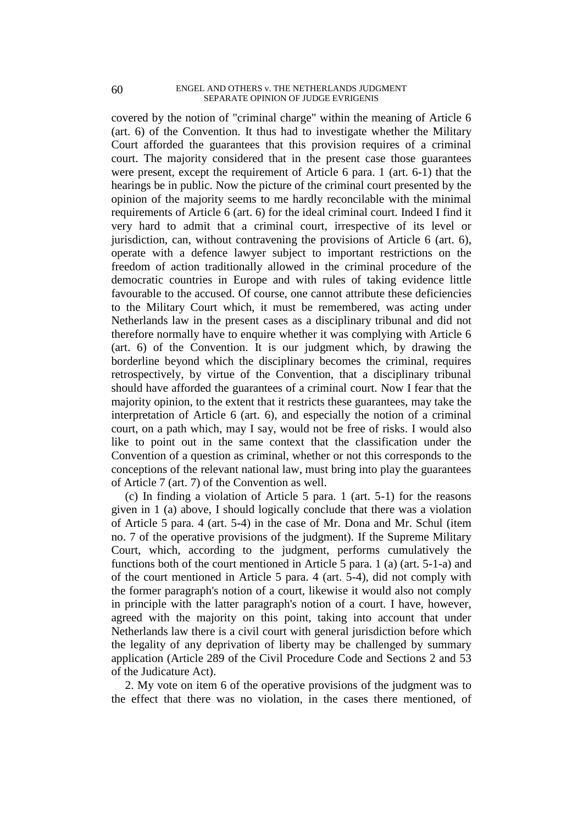covered by the notion of "criminal charge" within the meaning of Article 6 (art. 6) of the Convention. It thus had to investigate whether the Military Court afforded the guarantees that this provision requires of a criminal court. The majority considered that in the present case those guarantees were present, except the requirement of Article 6 para. 1 (art. 6-1) that the hearings be in public. Now the picture of the criminal court presented by the opinion of the majority seems to me hardly reconcilable with the minimal requirements of Article 6 (art. 6) for the ideal criminal court. Indeed I find it very hard to admit that a criminal court, irrespective of its level or jurisdiction, can, without contravening the provisions of Article 6 (art. 6), operate with a defence lawyer subject to important restrictions on the freedom of action traditionally allowed in the criminal procedure of the democratic countries in Europe and with rules of taking evidence little favourable to the accused. Of course, one cannot attribute these deficiencies to the Military Court which, it must be remembered, was acting under Netherlands law in the present cases as a disciplinary tribunal and did not therefore normally have to enquire whether it was complying with Article 6 (art. 6) of the Convention. It is our judgment which, by drawing the borderline beyond which the disciplinary becomes the criminal, requires retrospectively, by virtue of the Convention, that a disciplinary tribunal should have afforded the guarantees of a criminal court. Now I fear that the majority opinion, to the extent that it restricts these guarantees, may take the interpretation of Article 6 (art. 6), and especially the notion of a criminal court, on a path which, may I say, would not be free of risks. I would also like to point out in the same context that the classification under the Convention of a question as criminal, whether or not this corresponds to the conceptions of the relevant national law, must bring into play the guarantees of Article 7 (art. 7) of the Convention as well.

(c) In finding a violation of Article 5 para. 1 (art. 5-1) for the reasons given in 1 (a) above, I should logically conclude that there was a violation of Article 5 para. 4 (art. 5-4) in the case of Mr. Dona and Mr. Schul (item no. 7 of the operative provisions of the judgment). If the Supreme Military Court, which, according to the judgment, performs cumulatively the functions both of the court mentioned in Article 5 para. 1 (a) (art. 5-1-a) and of the court mentioned in Article 5 para. 4 (art. 5-4), did not comply with the former paragraph's notion of a court, likewise it would also not comply in principle with the latter paragraph's notion of a court. I have, however, agreed with the majority on this point, taking into account that under Netherlands law there is a civil court with general jurisdiction before which the legality of any deprivation of liberty may be challenged by summary application (Article 289 of the Civil Procedure Code and Sections 2 and 53 of the Judicature Act).

2. My vote on item 6 of the operative provisions of the judgment was to the effect that there was no violation, in the cases there mentioned, of